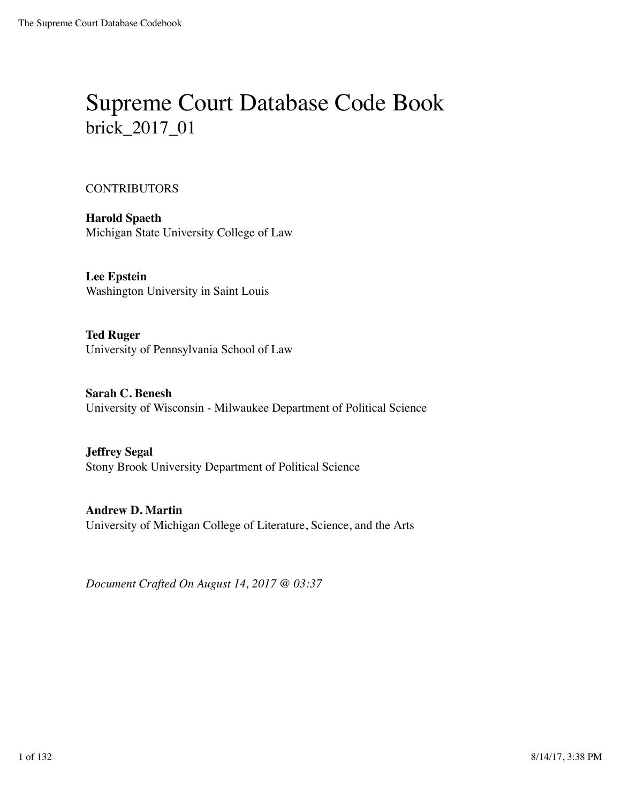# Supreme Court Database Code Book brick\_2017\_01

#### **CONTRIBUTORS**

**Harold Spaeth** Michigan State University College of Law

**Lee Epstein** Washington University in Saint Louis

**Ted Ruger** University of Pennsylvania School of Law

**Sarah C. Benesh** University of Wisconsin - Milwaukee Department of Political Science

**Jeffrey Segal** Stony Brook University Department of Political Science

**Andrew D. Martin** University of Michigan College of Literature, Science, and the Arts

*Document Crafted On August 14, 2017 @ 03:37*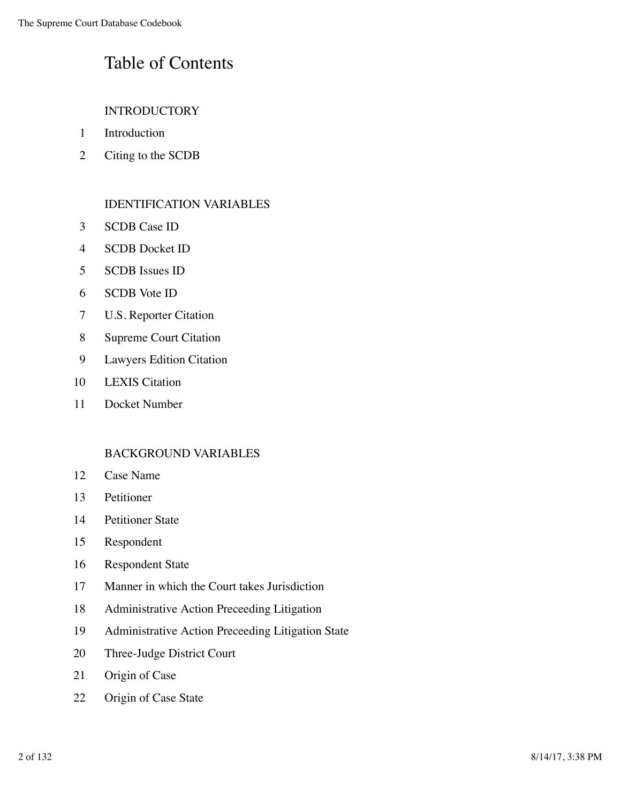#### Table of Contents

#### **INTRODUCTORY**

- Introduction
- Citing to the SCDB

#### IDENTIFICATION VARIABLES

- SCDB Case ID
- SCDB Docket ID
- SCDB Issues ID
- SCDB Vote ID
- U.S. Reporter Citation
- Supreme Court Citation
- Lawyers Edition Citation
- LEXIS Citation
- Docket Number

#### BACKGROUND VARIABLES

- Case Name
- Petitioner
- Petitioner State
- Respondent
- Respondent State
- Manner in which the Court takes Jurisdiction
- Administrative Action Preceeding Litigation
- Administrative Action Preceeding Litigation State
- Three-Judge District Court
- Origin of Case
- Origin of Case State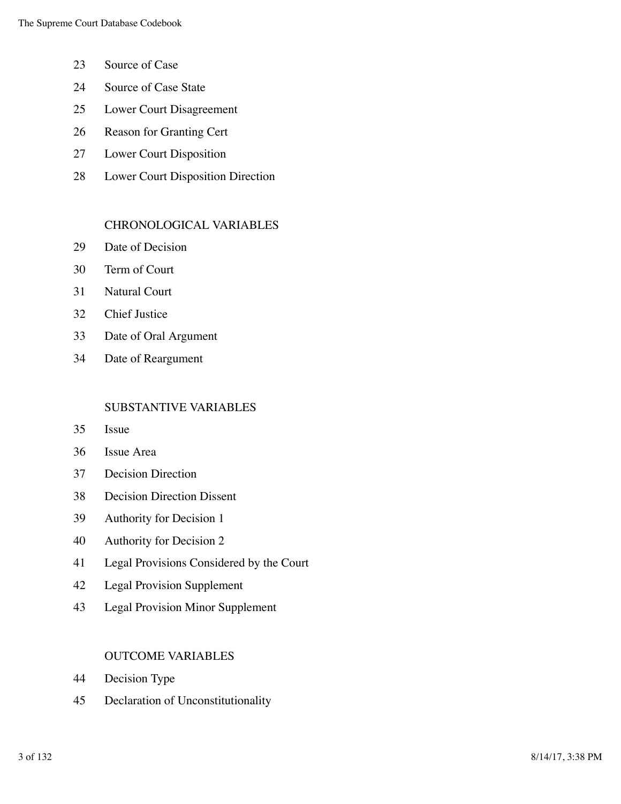- Source of Case
- Source of Case State
- Lower Court Disagreement
- Reason for Granting Cert
- Lower Court Disposition
- Lower Court Disposition Direction

#### CHRONOLOGICAL VARIABLES

- Date of Decision
- Term of Court
- Natural Court
- Chief Justice
- Date of Oral Argument
- Date of Reargument

#### SUBSTANTIVE VARIABLES

- Issue
- Issue Area
- Decision Direction
- Decision Direction Dissent
- Authority for Decision 1
- Authority for Decision 2
- Legal Provisions Considered by the Court
- Legal Provision Supplement
- Legal Provision Minor Supplement

#### OUTCOME VARIABLES

- Decision Type
- Declaration of Unconstitutionality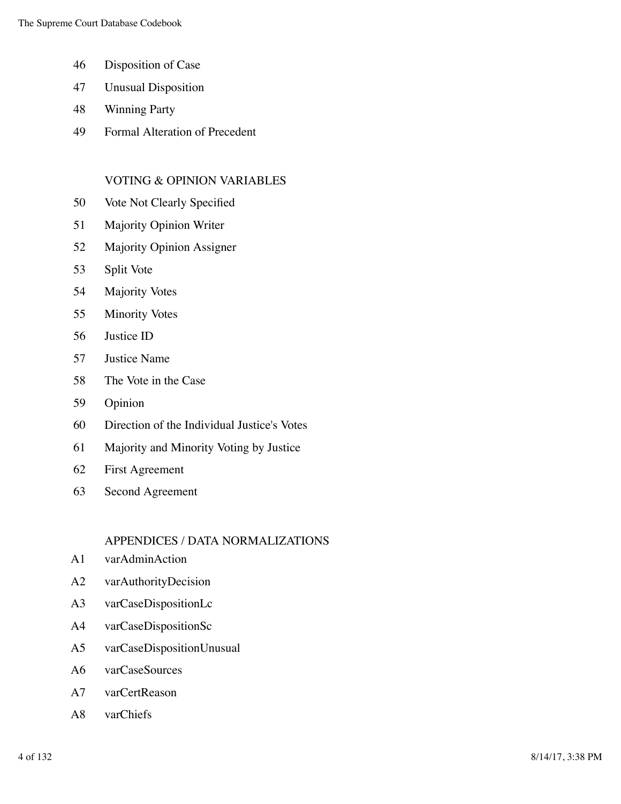- 46 Disposition of Case
- 47 Unusual Disposition
- 48 Winning Party
- 49 Formal Alteration of Precedent

#### VOTING & OPINION VARIABLES

- 50 Vote Not Clearly Specified
- 51 Majority Opinion Writer
- 52 Majority Opinion Assigner
- 53 Split Vote
- 54 Majority Votes
- 55 Minority Votes
- 56 Justice ID
- 57 Justice Name
- 58 The Vote in the Case
- 59 Opinion
- 60 Direction of the Individual Justice's Votes
- 61 Majority and Minority Voting by Justice
- 62 First Agreement
- 63 Second Agreement

#### APPENDICES / DATA NORMALIZATIONS

- A1 varAdminAction
- A2 varAuthorityDecision
- A3 varCaseDispositionLc
- A4 varCaseDispositionSc
- A5 varCaseDispositionUnusual
- A6 varCaseSources
- A7 varCertReason
- A8 varChiefs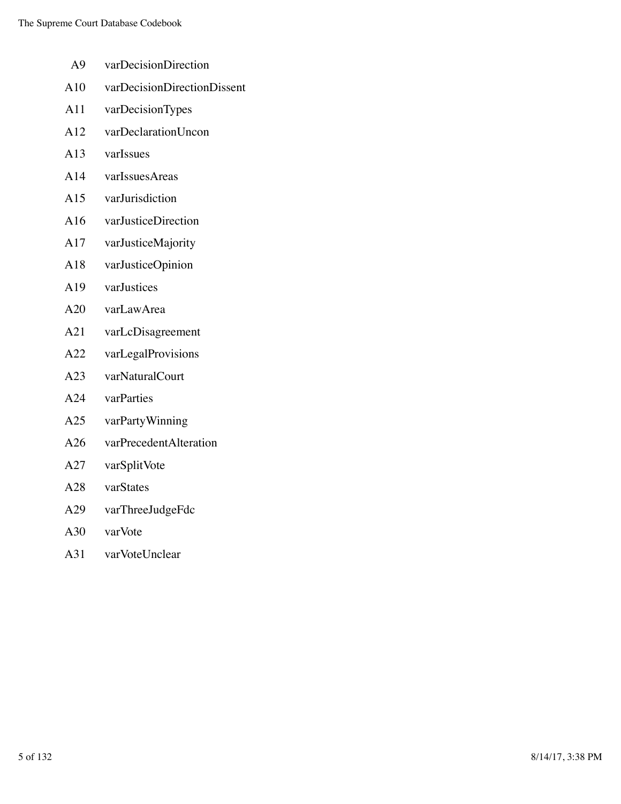- A9 varDecisionDirection A10 varDecisionDirectionDissent A11 varDecisionTypes A12 varDeclarationUncon A13 varIssues A14 varIssuesAreas A15 varJurisdiction A16 varJusticeDirection A17 varJusticeMajority A18 varJusticeOpinion A19 varJustices A20 varLawArea A21 varLcDisagreement A22 varLegalProvisions A23 varNaturalCourt A24 varParties A25 varPartyWinning A26 varPrecedentAlteration A27 varSplitVote
- A28 varStates
- A29 varThreeJudgeFdc
- A30 varVote
- A31 varVoteUnclear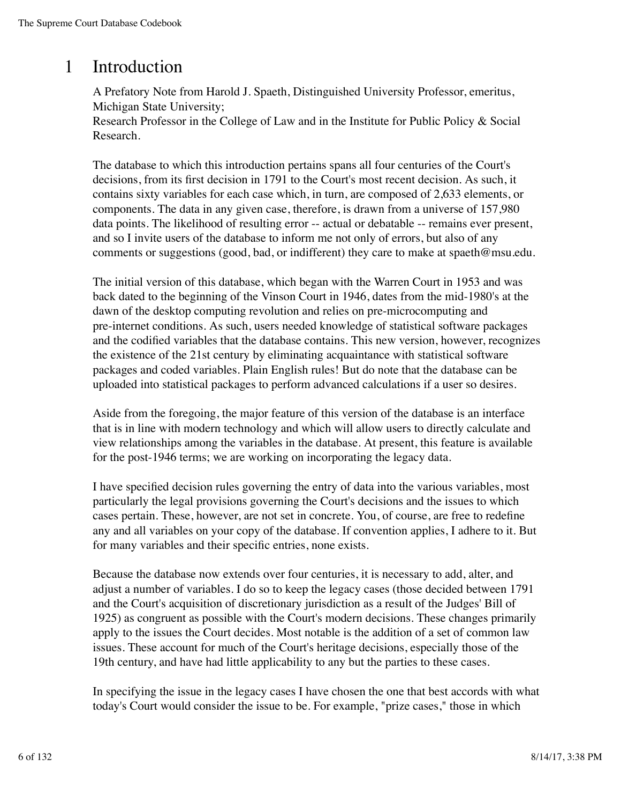## 1 Introduction

A Prefatory Note from Harold J. Spaeth, Distinguished University Professor, emeritus, Michigan State University;

Research Professor in the College of Law and in the Institute for Public Policy & Social Research.

The database to which this introduction pertains spans all four centuries of the Court's decisions, from its first decision in 1791 to the Court's most recent decision. As such, it contains sixty variables for each case which, in turn, are composed of 2,633 elements, or components. The data in any given case, therefore, is drawn from a universe of 157,980 data points. The likelihood of resulting error -- actual or debatable -- remains ever present, and so I invite users of the database to inform me not only of errors, but also of any comments or suggestions (good, bad, or indifferent) they care to make at spaeth@msu.edu.

The initial version of this database, which began with the Warren Court in 1953 and was back dated to the beginning of the Vinson Court in 1946, dates from the mid-1980's at the dawn of the desktop computing revolution and relies on pre-microcomputing and pre-internet conditions. As such, users needed knowledge of statistical software packages and the codified variables that the database contains. This new version, however, recognizes the existence of the 21st century by eliminating acquaintance with statistical software packages and coded variables. Plain English rules! But do note that the database can be uploaded into statistical packages to perform advanced calculations if a user so desires.

Aside from the foregoing, the major feature of this version of the database is an interface that is in line with modern technology and which will allow users to directly calculate and view relationships among the variables in the database. At present, this feature is available for the post-1946 terms; we are working on incorporating the legacy data.

I have specified decision rules governing the entry of data into the various variables, most particularly the legal provisions governing the Court's decisions and the issues to which cases pertain. These, however, are not set in concrete. You, of course, are free to redefine any and all variables on your copy of the database. If convention applies, I adhere to it. But for many variables and their specific entries, none exists.

Because the database now extends over four centuries, it is necessary to add, alter, and adjust a number of variables. I do so to keep the legacy cases (those decided between 1791 and the Court's acquisition of discretionary jurisdiction as a result of the Judges' Bill of 1925) as congruent as possible with the Court's modern decisions. These changes primarily apply to the issues the Court decides. Most notable is the addition of a set of common law issues. These account for much of the Court's heritage decisions, especially those of the 19th century, and have had little applicability to any but the parties to these cases.

In specifying the issue in the legacy cases I have chosen the one that best accords with what today's Court would consider the issue to be. For example, "prize cases," those in which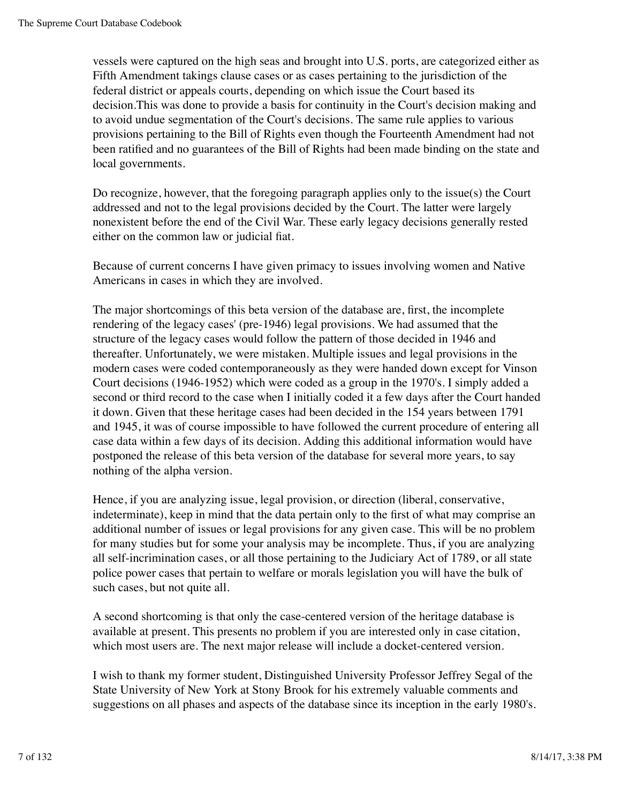vessels were captured on the high seas and brought into U.S. ports, are categorized either as Fifth Amendment takings clause cases or as cases pertaining to the jurisdiction of the federal district or appeals courts, depending on which issue the Court based its decision.This was done to provide a basis for continuity in the Court's decision making and to avoid undue segmentation of the Court's decisions. The same rule applies to various provisions pertaining to the Bill of Rights even though the Fourteenth Amendment had not been ratified and no guarantees of the Bill of Rights had been made binding on the state and local governments.

Do recognize, however, that the foregoing paragraph applies only to the issue(s) the Court addressed and not to the legal provisions decided by the Court. The latter were largely nonexistent before the end of the Civil War. These early legacy decisions generally rested either on the common law or judicial fiat.

Because of current concerns I have given primacy to issues involving women and Native Americans in cases in which they are involved.

The major shortcomings of this beta version of the database are, first, the incomplete rendering of the legacy cases' (pre-1946) legal provisions. We had assumed that the structure of the legacy cases would follow the pattern of those decided in 1946 and thereafter. Unfortunately, we were mistaken. Multiple issues and legal provisions in the modern cases were coded contemporaneously as they were handed down except for Vinson Court decisions (1946-1952) which were coded as a group in the 1970's. I simply added a second or third record to the case when I initially coded it a few days after the Court handed it down. Given that these heritage cases had been decided in the 154 years between 1791 and 1945, it was of course impossible to have followed the current procedure of entering all case data within a few days of its decision. Adding this additional information would have postponed the release of this beta version of the database for several more years, to say nothing of the alpha version.

Hence, if you are analyzing issue, legal provision, or direction (liberal, conservative, indeterminate), keep in mind that the data pertain only to the first of what may comprise an additional number of issues or legal provisions for any given case. This will be no problem for many studies but for some your analysis may be incomplete. Thus, if you are analyzing all self-incrimination cases, or all those pertaining to the Judiciary Act of 1789, or all state police power cases that pertain to welfare or morals legislation you will have the bulk of such cases, but not quite all.

A second shortcoming is that only the case-centered version of the heritage database is available at present. This presents no problem if you are interested only in case citation, which most users are. The next major release will include a docket-centered version.

I wish to thank my former student, Distinguished University Professor Jeffrey Segal of the State University of New York at Stony Brook for his extremely valuable comments and suggestions on all phases and aspects of the database since its inception in the early 1980's.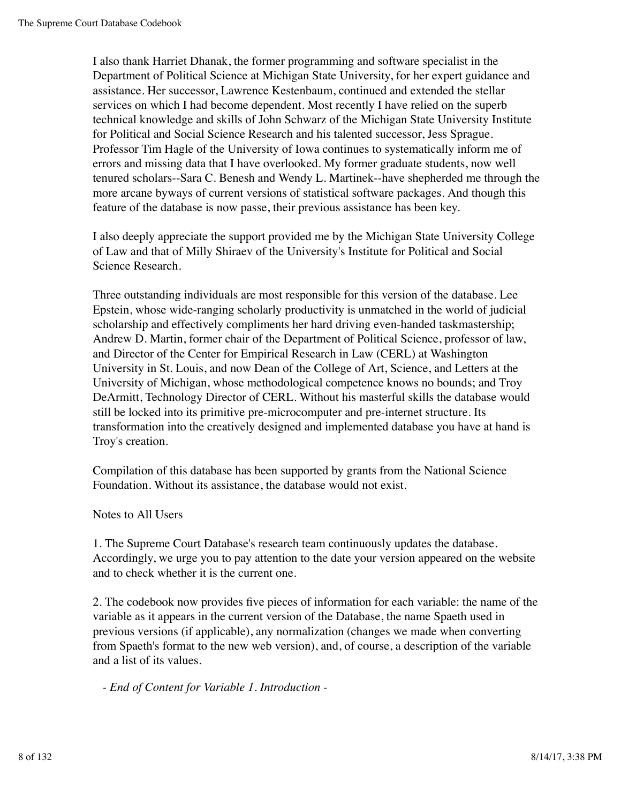I also thank Harriet Dhanak, the former programming and software specialist in the Department of Political Science at Michigan State University, for her expert guidance and assistance. Her successor, Lawrence Kestenbaum, continued and extended the stellar services on which I had become dependent. Most recently I have relied on the superb technical knowledge and skills of John Schwarz of the Michigan State University Institute for Political and Social Science Research and his talented successor, Jess Sprague. Professor Tim Hagle of the University of Iowa continues to systematically inform me of errors and missing data that I have overlooked. My former graduate students, now well tenured scholars--Sara C. Benesh and Wendy L. Martinek--have shepherded me through the more arcane byways of current versions of statistical software packages. And though this feature of the database is now passe, their previous assistance has been key.

I also deeply appreciate the support provided me by the Michigan State University College of Law and that of Milly Shiraev of the University's Institute for Political and Social Science Research.

Three outstanding individuals are most responsible for this version of the database. Lee Epstein, whose wide-ranging scholarly productivity is unmatched in the world of judicial scholarship and effectively compliments her hard driving even-handed taskmastership; Andrew D. Martin, former chair of the Department of Political Science, professor of law, and Director of the Center for Empirical Research in Law (CERL) at Washington University in St. Louis, and now Dean of the College of Art, Science, and Letters at the University of Michigan, whose methodological competence knows no bounds; and Troy DeArmitt, Technology Director of CERL. Without his masterful skills the database would still be locked into its primitive pre-microcomputer and pre-internet structure. Its transformation into the creatively designed and implemented database you have at hand is Troy's creation.

Compilation of this database has been supported by grants from the National Science Foundation. Without its assistance, the database would not exist.

#### Notes to All Users

1. The Supreme Court Database's research team continuously updates the database. Accordingly, we urge you to pay attention to the date your version appeared on the website and to check whether it is the current one.

2. The codebook now provides five pieces of information for each variable: the name of the variable as it appears in the current version of the Database, the name Spaeth used in previous versions (if applicable), any normalization (changes we made when converting from Spaeth's format to the new web version), and, of course, a description of the variable and a list of its values.

*- End of Content for Variable 1. Introduction -*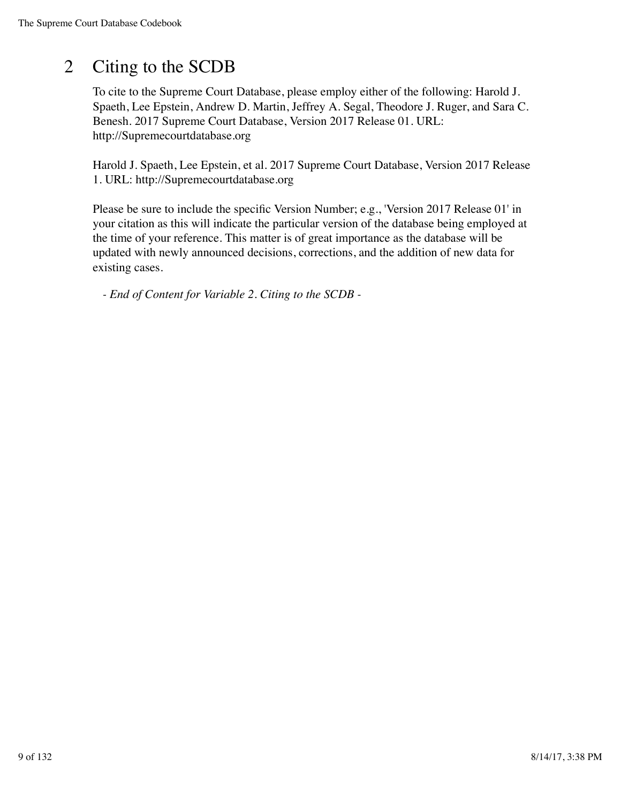# 2 Citing to the SCDB

To cite to the Supreme Court Database, please employ either of the following: Harold J. Spaeth, Lee Epstein, Andrew D. Martin, Jeffrey A. Segal, Theodore J. Ruger, and Sara C. Benesh. 2017 Supreme Court Database, Version 2017 Release 01. URL: http://Supremecourtdatabase.org

Harold J. Spaeth, Lee Epstein, et al. 2017 Supreme Court Database, Version 2017 Release 1. URL: http://Supremecourtdatabase.org

Please be sure to include the specific Version Number; e.g., 'Version 2017 Release 01' in your citation as this will indicate the particular version of the database being employed at the time of your reference. This matter is of great importance as the database will be updated with newly announced decisions, corrections, and the addition of new data for existing cases.

*- End of Content for Variable 2. Citing to the SCDB -*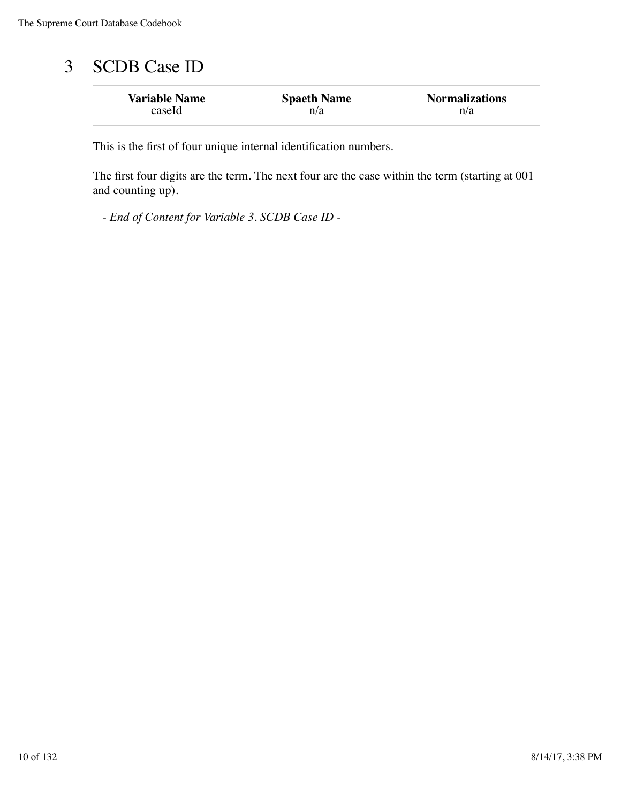| 3 | <b>SCDB Case ID</b> |
|---|---------------------|
|   |                     |

| <b>Variable Name</b> | <b>Spaeth Name</b> | <b>Normalizations</b> |
|----------------------|--------------------|-----------------------|
| caseld               | n/a                | n/a                   |

This is the first of four unique internal identification numbers.

The first four digits are the term. The next four are the case within the term (starting at 001 and counting up).

*- End of Content for Variable 3. SCDB Case ID -*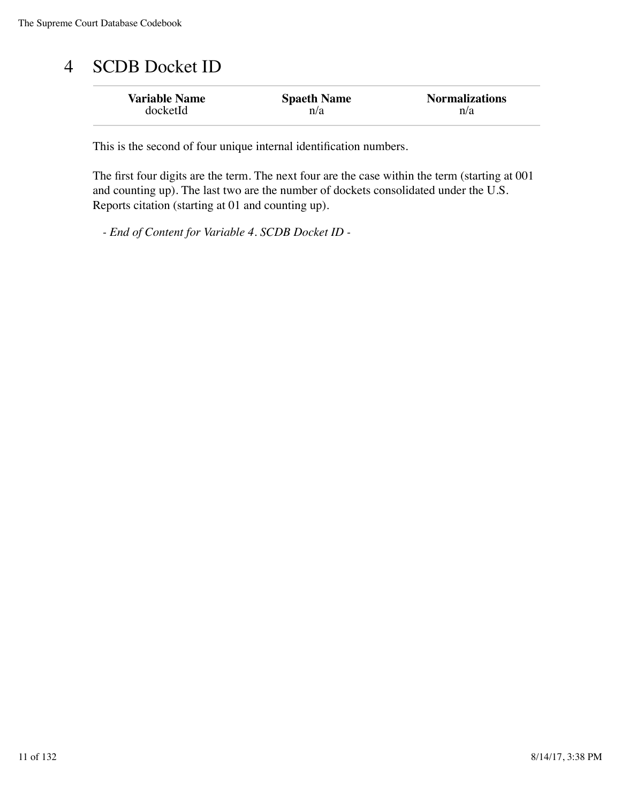# 4 SCDB Docket ID

| <b>Variable Name</b> | <b>Spaeth Name</b> | <b>Normalizations</b> |
|----------------------|--------------------|-----------------------|
| docketId             | n/a                | n/a                   |

This is the second of four unique internal identification numbers.

The first four digits are the term. The next four are the case within the term (starting at 001 and counting up). The last two are the number of dockets consolidated under the U.S. Reports citation (starting at 01 and counting up).

*- End of Content for Variable 4. SCDB Docket ID -*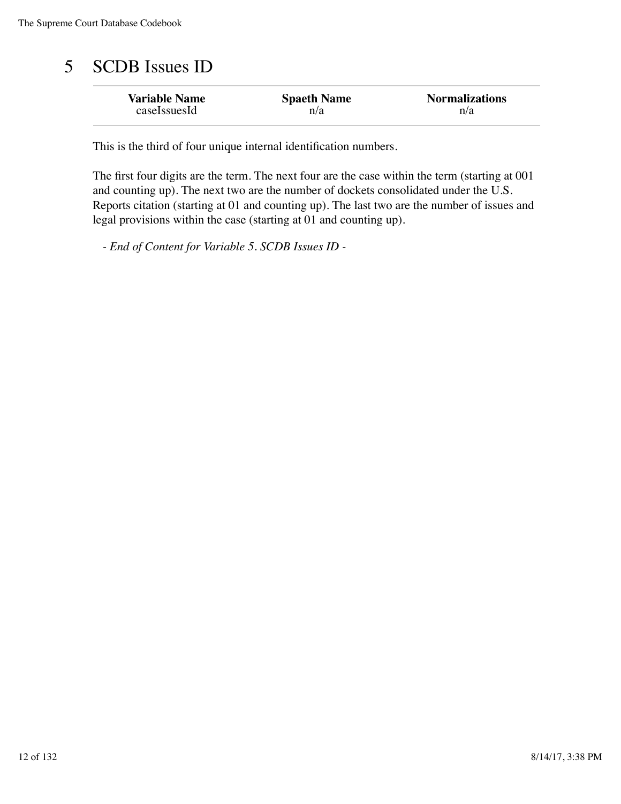# 5 SCDB Issues ID

| <b>Variable Name</b> | <b>Spaeth Name</b> | <b>Normalizations</b> |
|----------------------|--------------------|-----------------------|
| caseLssuesId         | n/a                | n/a                   |

This is the third of four unique internal identification numbers.

The first four digits are the term. The next four are the case within the term (starting at 001 and counting up). The next two are the number of dockets consolidated under the U.S. Reports citation (starting at 01 and counting up). The last two are the number of issues and legal provisions within the case (starting at 01 and counting up).

*- End of Content for Variable 5. SCDB Issues ID -*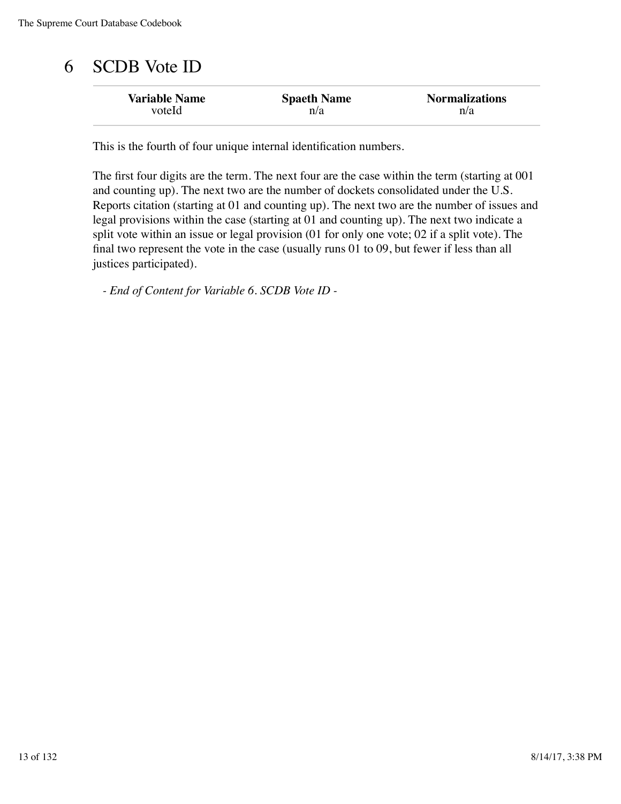# 6 SCDB Vote ID

| <b>Variable Name</b> | <b>Spaeth Name</b> | <b>Normalizations</b> |
|----------------------|--------------------|-----------------------|
| voteld               | n/a                | n/a                   |

This is the fourth of four unique internal identification numbers.

The first four digits are the term. The next four are the case within the term (starting at 001 and counting up). The next two are the number of dockets consolidated under the U.S. Reports citation (starting at 01 and counting up). The next two are the number of issues and legal provisions within the case (starting at 01 and counting up). The next two indicate a split vote within an issue or legal provision (01 for only one vote; 02 if a split vote). The final two represent the vote in the case (usually runs 01 to 09, but fewer if less than all justices participated).

*- End of Content for Variable 6. SCDB Vote ID -*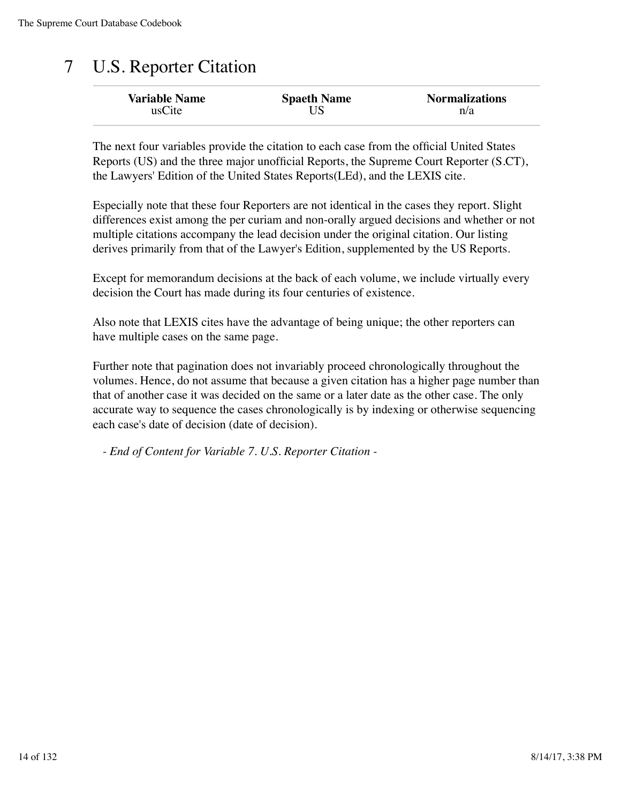# 7 U.S. Reporter Citation

| <b>Variable Name</b> | <b>Spaeth Name</b> | <b>Normalizations</b> |
|----------------------|--------------------|-----------------------|
| usCite               |                    | n/a                   |

The next four variables provide the citation to each case from the official United States Reports (US) and the three major unofficial Reports, the Supreme Court Reporter (S.CT), the Lawyers' Edition of the United States Reports(LEd), and the LEXIS cite.

Especially note that these four Reporters are not identical in the cases they report. Slight differences exist among the per curiam and non-orally argued decisions and whether or not multiple citations accompany the lead decision under the original citation. Our listing derives primarily from that of the Lawyer's Edition, supplemented by the US Reports.

Except for memorandum decisions at the back of each volume, we include virtually every decision the Court has made during its four centuries of existence.

Also note that LEXIS cites have the advantage of being unique; the other reporters can have multiple cases on the same page.

Further note that pagination does not invariably proceed chronologically throughout the volumes. Hence, do not assume that because a given citation has a higher page number than that of another case it was decided on the same or a later date as the other case. The only accurate way to sequence the cases chronologically is by indexing or otherwise sequencing each case's date of decision (date of decision).

*- End of Content for Variable 7. U.S. Reporter Citation -*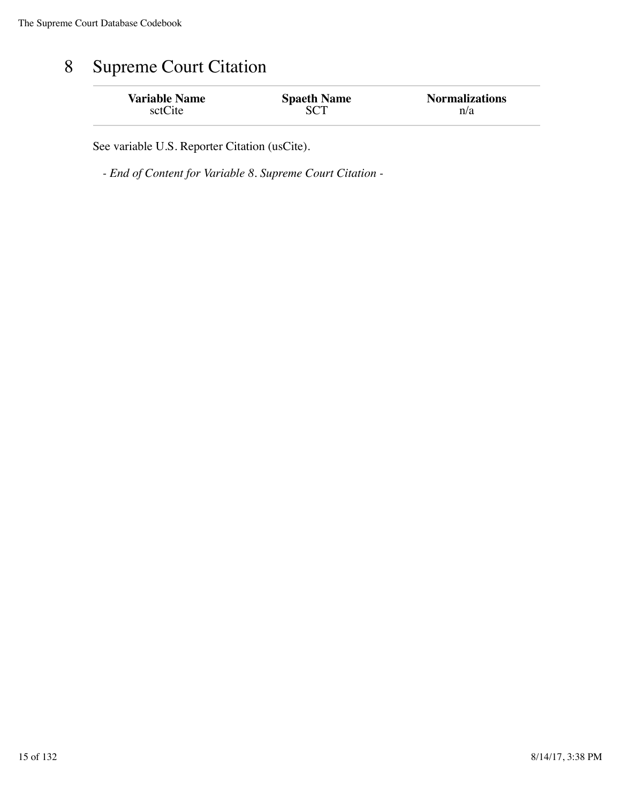## 8 Supreme Court Citation

| <b>Variable Name</b> | <b>Spaeth Name</b> | <b>Normalizations</b> |
|----------------------|--------------------|-----------------------|
| sctCite              |                    | n/a                   |

See variable U.S. Reporter Citation (usCite).

*- End of Content for Variable 8. Supreme Court Citation -*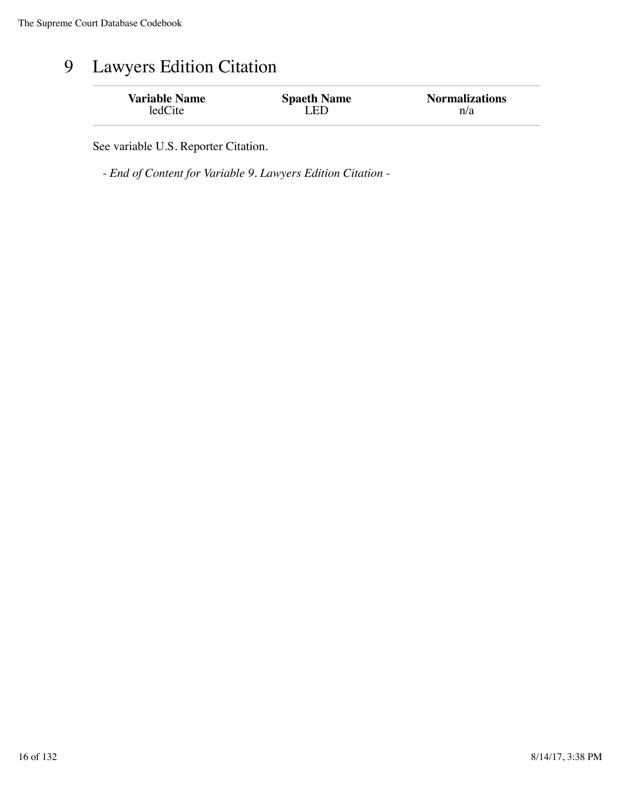## 9 Lawyers Edition Citation

| <b>Variable Name</b> | <b>Spaeth Name</b> | <b>Normalizations</b> |
|----------------------|--------------------|-----------------------|
| ledCite              | I ED               | n/a                   |

See variable U.S. Reporter Citation.

*- End of Content for Variable 9. Lawyers Edition Citation -*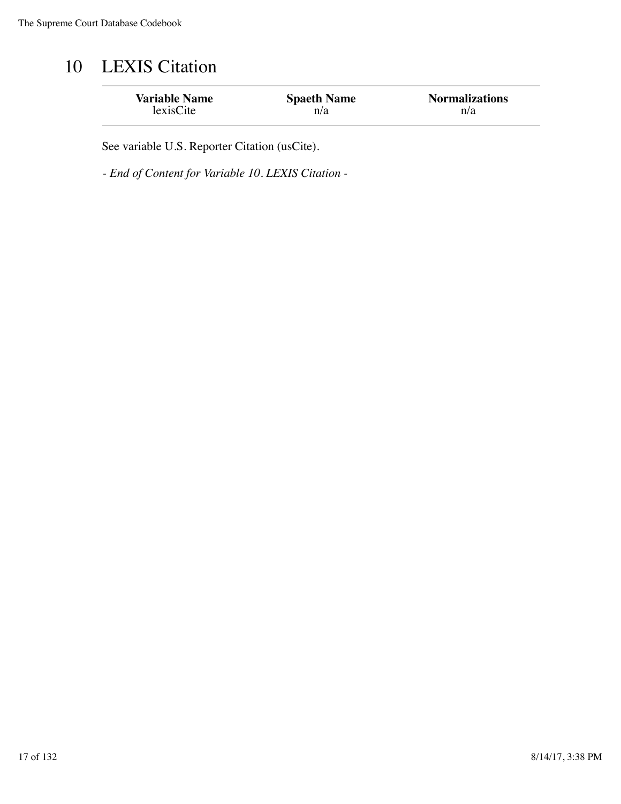# 10 LEXIS Citation

| <b>Variable Name</b> | <b>Spaeth Name</b> | <b>Normalizations</b> |
|----------------------|--------------------|-----------------------|
| lexisCite            | n/a                | n/a                   |

See variable U.S. Reporter Citation (usCite).

*- End of Content for Variable 10. LEXIS Citation -*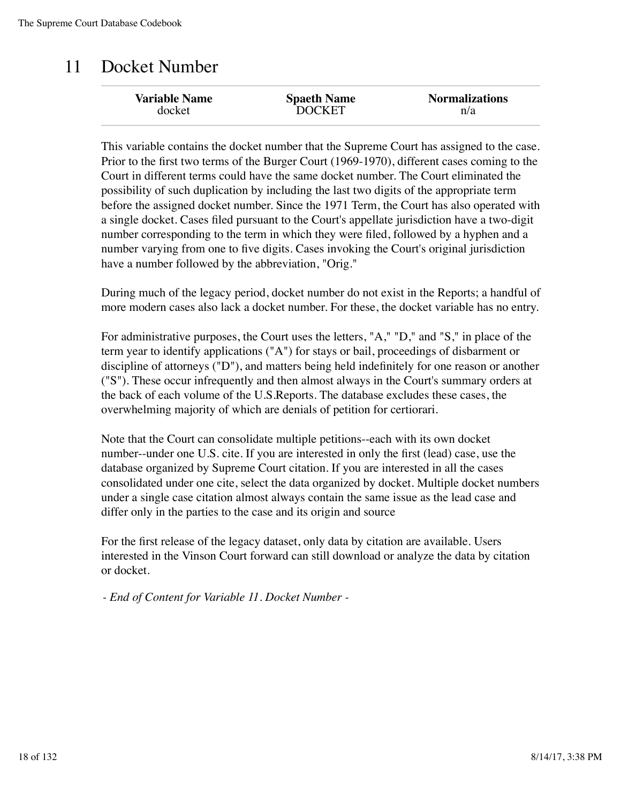# 11 Docket Number

| <b>Variable Name</b> | <b>Spaeth Name</b> | <b>Normalizations</b> |
|----------------------|--------------------|-----------------------|
| docket               | <b>DOCKET</b>      | n/a                   |

This variable contains the docket number that the Supreme Court has assigned to the case. Prior to the first two terms of the Burger Court (1969-1970), different cases coming to the Court in different terms could have the same docket number. The Court eliminated the possibility of such duplication by including the last two digits of the appropriate term before the assigned docket number. Since the 1971 Term, the Court has also operated with a single docket. Cases filed pursuant to the Court's appellate jurisdiction have a two-digit number corresponding to the term in which they were filed, followed by a hyphen and a number varying from one to five digits. Cases invoking the Court's original jurisdiction have a number followed by the abbreviation, "Orig."

During much of the legacy period, docket number do not exist in the Reports; a handful of more modern cases also lack a docket number. For these, the docket variable has no entry.

For administrative purposes, the Court uses the letters, "A," "D," and "S," in place of the term year to identify applications ("A") for stays or bail, proceedings of disbarment or discipline of attorneys ("D"), and matters being held indefinitely for one reason or another ("S"). These occur infrequently and then almost always in the Court's summary orders at the back of each volume of the U.S.Reports. The database excludes these cases, the overwhelming majority of which are denials of petition for certiorari.

Note that the Court can consolidate multiple petitions--each with its own docket number--under one U.S. cite. If you are interested in only the first (lead) case, use the database organized by Supreme Court citation. If you are interested in all the cases consolidated under one cite, select the data organized by docket. Multiple docket numbers under a single case citation almost always contain the same issue as the lead case and differ only in the parties to the case and its origin and source

For the first release of the legacy dataset, only data by citation are available. Users interested in the Vinson Court forward can still download or analyze the data by citation or docket.

*- End of Content for Variable 11. Docket Number -*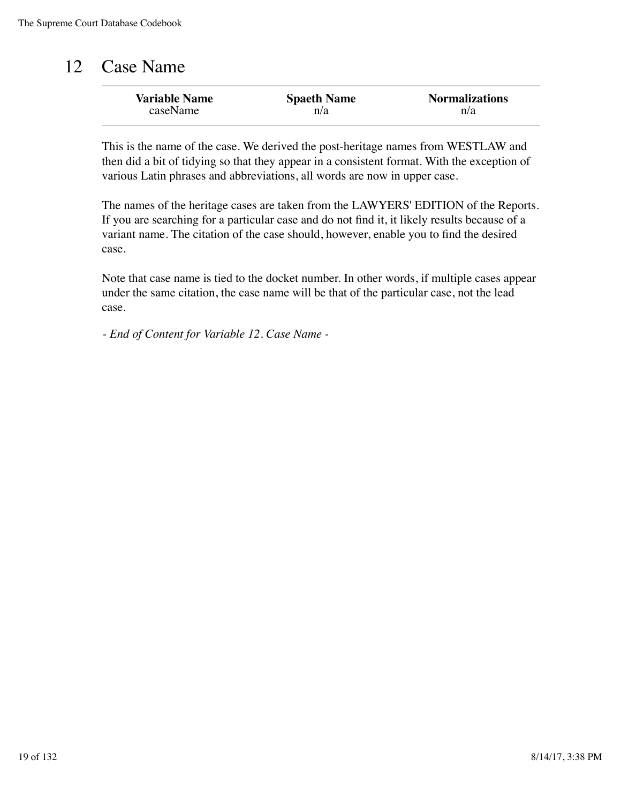### 12 Case Name

| <b>Variable Name</b> | <b>Spaeth Name</b> | <b>Normalizations</b> |
|----------------------|--------------------|-----------------------|
| caseName             | n/a                | n/a                   |

This is the name of the case. We derived the post-heritage names from WESTLAW and then did a bit of tidying so that they appear in a consistent format. With the exception of various Latin phrases and abbreviations, all words are now in upper case.

The names of the heritage cases are taken from the LAWYERS' EDITION of the Reports. If you are searching for a particular case and do not find it, it likely results because of a variant name. The citation of the case should, however, enable you to find the desired case.

Note that case name is tied to the docket number. In other words, if multiple cases appear under the same citation, the case name will be that of the particular case, not the lead case.

*- End of Content for Variable 12. Case Name -*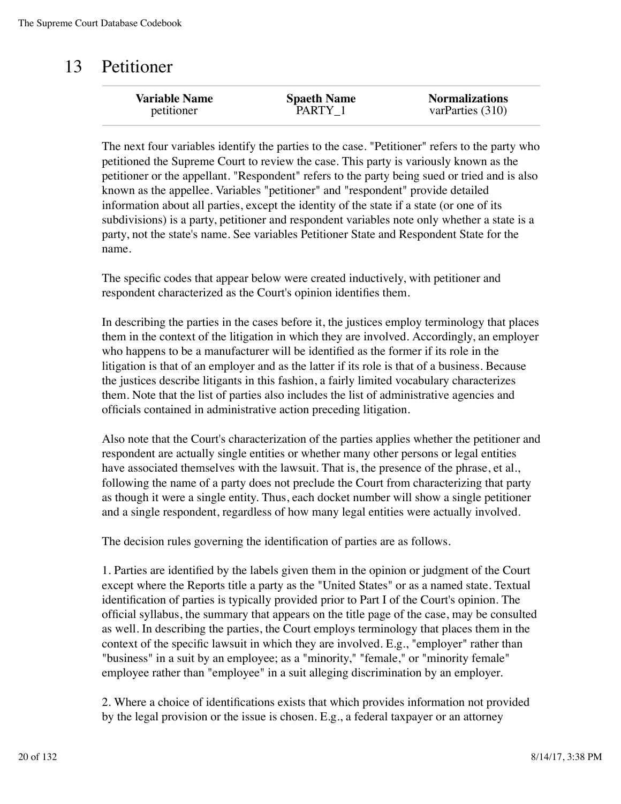### 13 Petitioner

| <b>Variable Name</b> | <b>Spaeth Name</b> | <b>Normalizations</b> |
|----------------------|--------------------|-----------------------|
| petitioner           | PARTY 1            | varParties $(310)$    |
|                      |                    |                       |

The next four variables identify the parties to the case. "Petitioner" refers to the party who petitioned the Supreme Court to review the case. This party is variously known as the petitioner or the appellant. "Respondent" refers to the party being sued or tried and is also known as the appellee. Variables "petitioner" and "respondent" provide detailed information about all parties, except the identity of the state if a state (or one of its subdivisions) is a party, petitioner and respondent variables note only whether a state is a party, not the state's name. See variables Petitioner State and Respondent State for the name.

The specific codes that appear below were created inductively, with petitioner and respondent characterized as the Court's opinion identifies them.

In describing the parties in the cases before it, the justices employ terminology that places them in the context of the litigation in which they are involved. Accordingly, an employer who happens to be a manufacturer will be identified as the former if its role in the litigation is that of an employer and as the latter if its role is that of a business. Because the justices describe litigants in this fashion, a fairly limited vocabulary characterizes them. Note that the list of parties also includes the list of administrative agencies and officials contained in administrative action preceding litigation.

Also note that the Court's characterization of the parties applies whether the petitioner and respondent are actually single entities or whether many other persons or legal entities have associated themselves with the lawsuit. That is, the presence of the phrase, et al., following the name of a party does not preclude the Court from characterizing that party as though it were a single entity. Thus, each docket number will show a single petitioner and a single respondent, regardless of how many legal entities were actually involved.

The decision rules governing the identification of parties are as follows.

1. Parties are identified by the labels given them in the opinion or judgment of the Court except where the Reports title a party as the "United States" or as a named state. Textual identification of parties is typically provided prior to Part I of the Court's opinion. The official syllabus, the summary that appears on the title page of the case, may be consulted as well. In describing the parties, the Court employs terminology that places them in the context of the specific lawsuit in which they are involved. E.g., "employer" rather than "business" in a suit by an employee; as a "minority," "female," or "minority female" employee rather than "employee" in a suit alleging discrimination by an employer.

2. Where a choice of identifications exists that which provides information not provided by the legal provision or the issue is chosen. E.g., a federal taxpayer or an attorney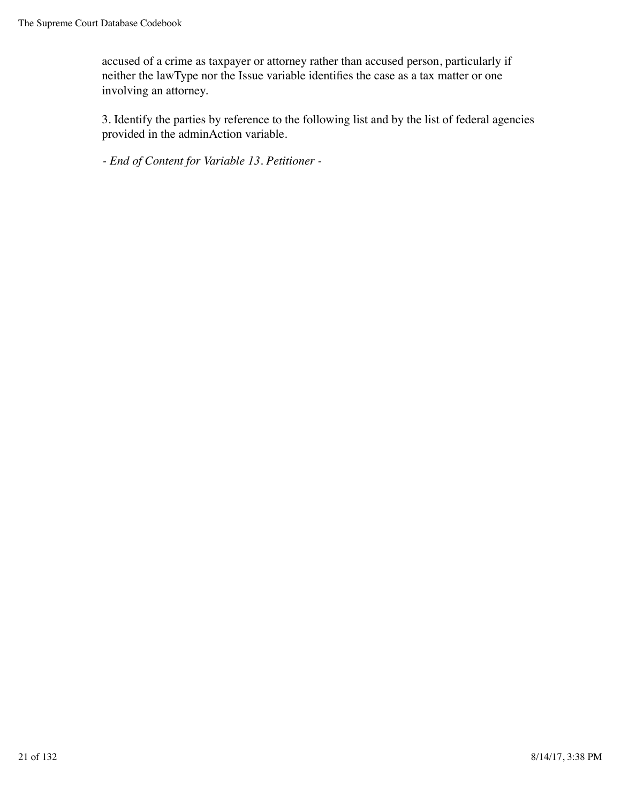accused of a crime as taxpayer or attorney rather than accused person, particularly if neither the lawType nor the Issue variable identifies the case as a tax matter or one involving an attorney.

3. Identify the parties by reference to the following list and by the list of federal agencies provided in the adminAction variable.

*- End of Content for Variable 13. Petitioner -*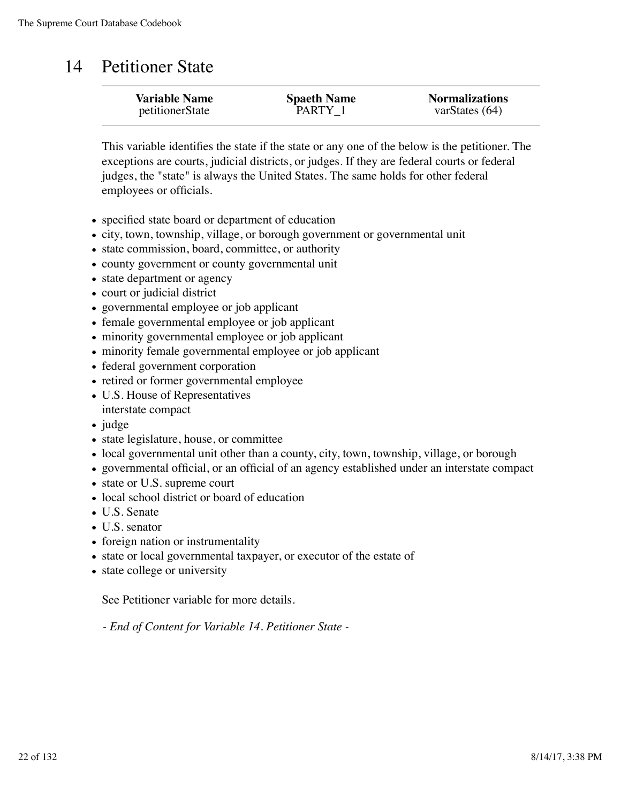### 14 Petitioner State

| <b>Variable Name</b> | <b>Spaeth Name</b> | <b>Normalizations</b> |
|----------------------|--------------------|-----------------------|
| petitionerState      | PARTY 1            | varStates $(64)$      |
|                      |                    |                       |

This variable identifies the state if the state or any one of the below is the petitioner. The exceptions are courts, judicial districts, or judges. If they are federal courts or federal judges, the "state" is always the United States. The same holds for other federal employees or officials.

- specified state board or department of education
- city, town, township, village, or borough government or governmental unit
- state commission, board, committee, or authority
- county government or county governmental unit
- state department or agency
- court or judicial district
- governmental employee or job applicant
- female governmental employee or job applicant
- minority governmental employee or job applicant
- minority female governmental employee or job applicant
- federal government corporation
- retired or former governmental employee
- U.S. House of Representatives
- interstate compact
- $\bullet$  judge
- state legislature, house, or committee
- local governmental unit other than a county, city, town, township, village, or borough
- governmental official, or an official of an agency established under an interstate compact
- state or U.S. supreme court
- local school district or board of education
- U.S. Senate
- U.S. senator
- foreign nation or instrumentality
- state or local governmental taxpayer, or executor of the estate of
- state college or university

See Petitioner variable for more details.

*- End of Content for Variable 14. Petitioner State -*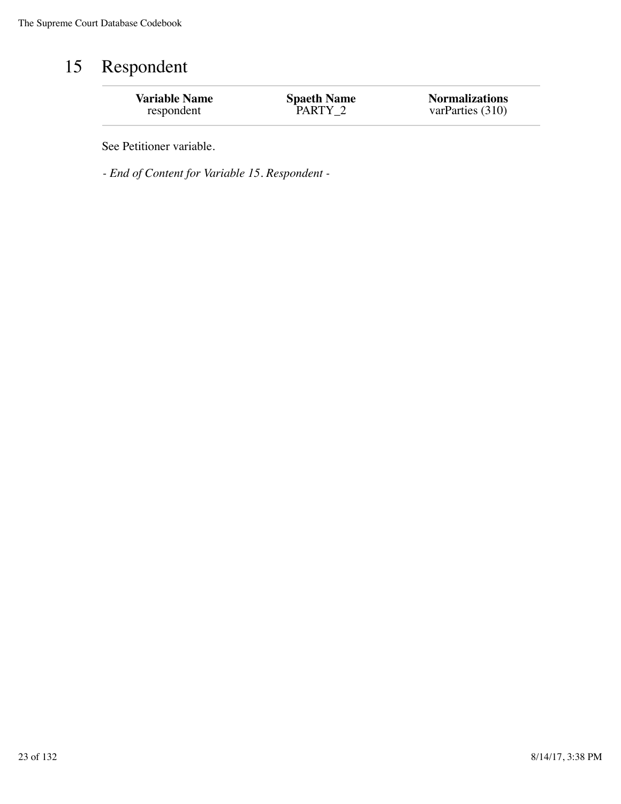## 15 Respondent

| <b>Variable Name</b> | <b>Spaeth Name</b> | <b>Normalizations</b> |
|----------------------|--------------------|-----------------------|
| respondent           | PARTY 2            | varParties $(310)$    |
|                      |                    |                       |

See Petitioner variable.

*- End of Content for Variable 15. Respondent -*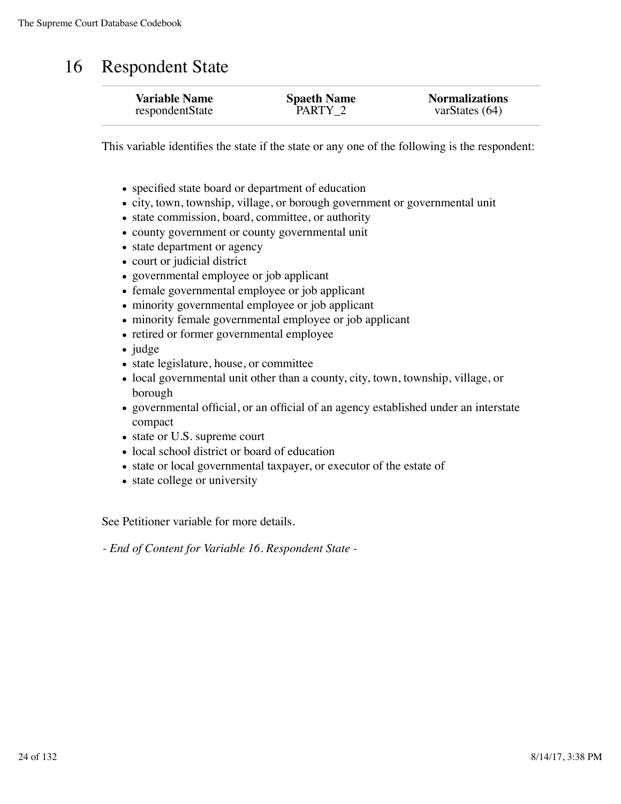### 16 Respondent State

| <b>Variable Name</b> | <b>Spaeth Name</b> | <b>Normalizations</b> |
|----------------------|--------------------|-----------------------|
| respondentState      | PARTY <sub>2</sub> | varStates $(64)$      |

This variable identifies the state if the state or any one of the following is the respondent:

- specified state board or department of education
- city, town, township, village, or borough government or governmental unit
- state commission, board, committee, or authority
- county government or county governmental unit
- state department or agency
- court or judicial district
- governmental employee or job applicant
- female governmental employee or job applicant
- minority governmental employee or job applicant
- minority female governmental employee or job applicant
- retired or former governmental employee
- judge
- state legislature, house, or committee
- local governmental unit other than a county, city, town, township, village, or borough
- governmental official, or an official of an agency established under an interstate compact
- state or U.S. supreme court
- local school district or board of education
- state or local governmental taxpayer, or executor of the estate of
- state college or university

See Petitioner variable for more details.

*- End of Content for Variable 16. Respondent State -*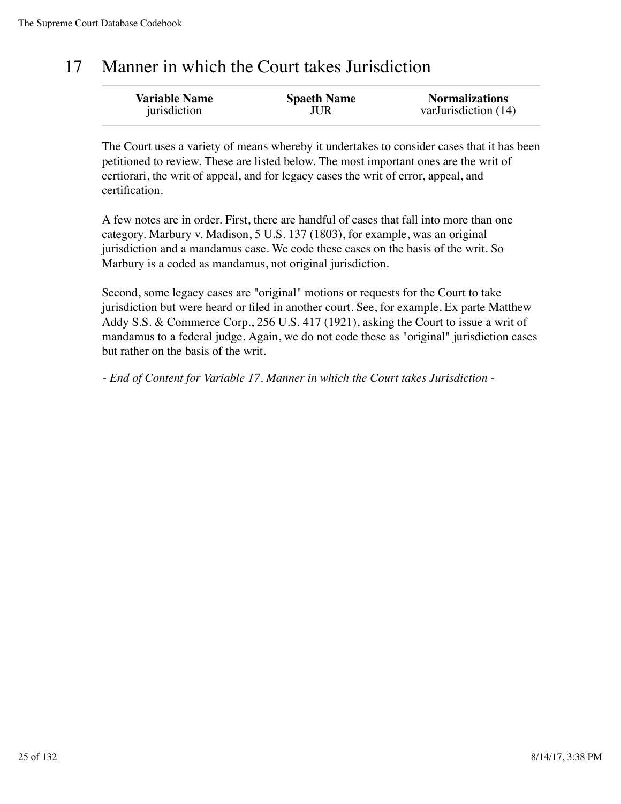#### 17 Manner in which the Court takes Jurisdiction

| <b>Variable Name</b> | <b>Spaeth Name</b> | <b>Normalizations</b> |
|----------------------|--------------------|-----------------------|
| jurisdiction         | JUR                | varJurisdiction (14)  |

The Court uses a variety of means whereby it undertakes to consider cases that it has been petitioned to review. These are listed below. The most important ones are the writ of certiorari, the writ of appeal, and for legacy cases the writ of error, appeal, and certification.

A few notes are in order. First, there are handful of cases that fall into more than one category. Marbury v. Madison, 5 U.S. 137 (1803), for example, was an original jurisdiction and a mandamus case. We code these cases on the basis of the writ. So Marbury is a coded as mandamus, not original jurisdiction.

Second, some legacy cases are "original" motions or requests for the Court to take jurisdiction but were heard or filed in another court. See, for example, Ex parte Matthew Addy S.S. & Commerce Corp., 256 U.S. 417 (1921), asking the Court to issue a writ of mandamus to a federal judge. Again, we do not code these as "original" jurisdiction cases but rather on the basis of the writ.

*- End of Content for Variable 17. Manner in which the Court takes Jurisdiction -*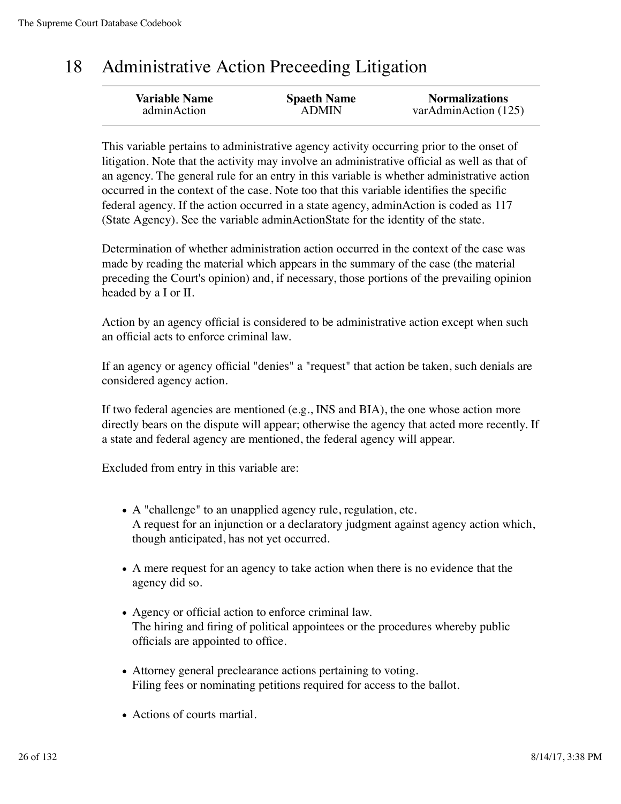### 18 Administrative Action Preceeding Litigation

This variable pertains to administrative agency activity occurring prior to the onset of litigation. Note that the activity may involve an administrative official as well as that of an agency. The general rule for an entry in this variable is whether administrative action occurred in the context of the case. Note too that this variable identifies the specific federal agency. If the action occurred in a state agency, adminAction is coded as 117 (State Agency). See the variable adminActionState for the identity of the state.

Determination of whether administration action occurred in the context of the case was made by reading the material which appears in the summary of the case (the material preceding the Court's opinion) and, if necessary, those portions of the prevailing opinion headed by a I or II.

Action by an agency official is considered to be administrative action except when such an official acts to enforce criminal law.

If an agency or agency official "denies" a "request" that action be taken, such denials are considered agency action.

If two federal agencies are mentioned (e.g., INS and BIA), the one whose action more directly bears on the dispute will appear; otherwise the agency that acted more recently. If a state and federal agency are mentioned, the federal agency will appear.

Excluded from entry in this variable are:

- A "challenge" to an unapplied agency rule, regulation, etc. A request for an injunction or a declaratory judgment against agency action which, though anticipated, has not yet occurred.
- A mere request for an agency to take action when there is no evidence that the agency did so.
- Agency or official action to enforce criminal law. The hiring and firing of political appointees or the procedures whereby public officials are appointed to office.
- Attorney general preclearance actions pertaining to voting. Filing fees or nominating petitions required for access to the ballot.
- Actions of courts martial.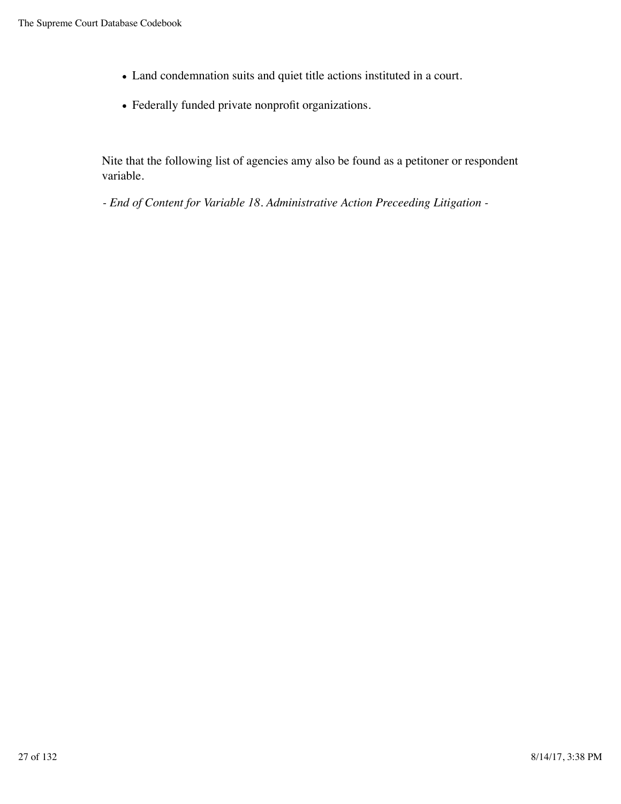- Land condemnation suits and quiet title actions instituted in a court.
- Federally funded private nonprofit organizations.

Nite that the following list of agencies amy also be found as a petitoner or respondent variable.

*- End of Content for Variable 18. Administrative Action Preceeding Litigation -*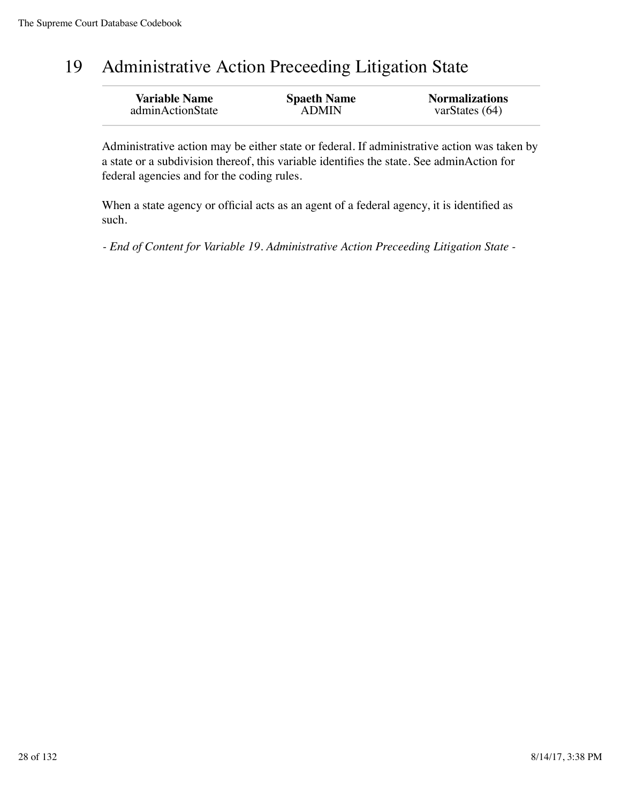### 19 Administrative Action Preceeding Litigation State

| <b>Variable Name</b> | <b>Spaeth Name</b> | <b>Normalizations</b> |
|----------------------|--------------------|-----------------------|
| adminActionState     | <b>ADMIN</b>       | varStates $(64)$      |
|                      |                    |                       |

Administrative action may be either state or federal. If administrative action was taken by a state or a subdivision thereof, this variable identifies the state. See adminAction for federal agencies and for the coding rules.

When a state agency or official acts as an agent of a federal agency, it is identified as such.

*- End of Content for Variable 19. Administrative Action Preceeding Litigation State -*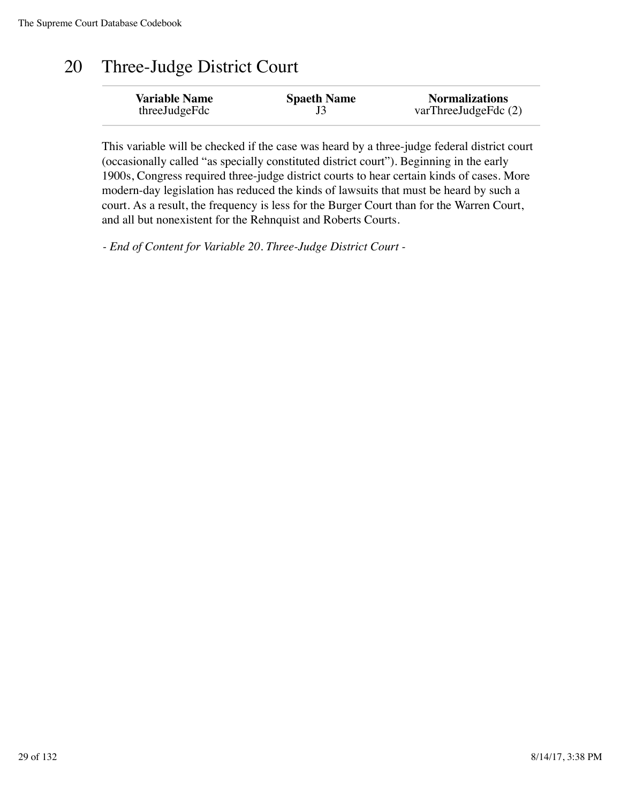### 20 Three-Judge District Court

| <b>Variable Name</b> | <b>Spaeth Name</b> | <b>Normalizations</b>  |
|----------------------|--------------------|------------------------|
| threeJudgeFdc        |                    | varThreeJudgeFdc $(2)$ |

This variable will be checked if the case was heard by a three-judge federal district court (occasionally called "as specially constituted district court"). Beginning in the early 1900s, Congress required three-judge district courts to hear certain kinds of cases. More modern-day legislation has reduced the kinds of lawsuits that must be heard by such a court. As a result, the frequency is less for the Burger Court than for the Warren Court, and all but nonexistent for the Rehnquist and Roberts Courts.

*- End of Content for Variable 20. Three-Judge District Court -*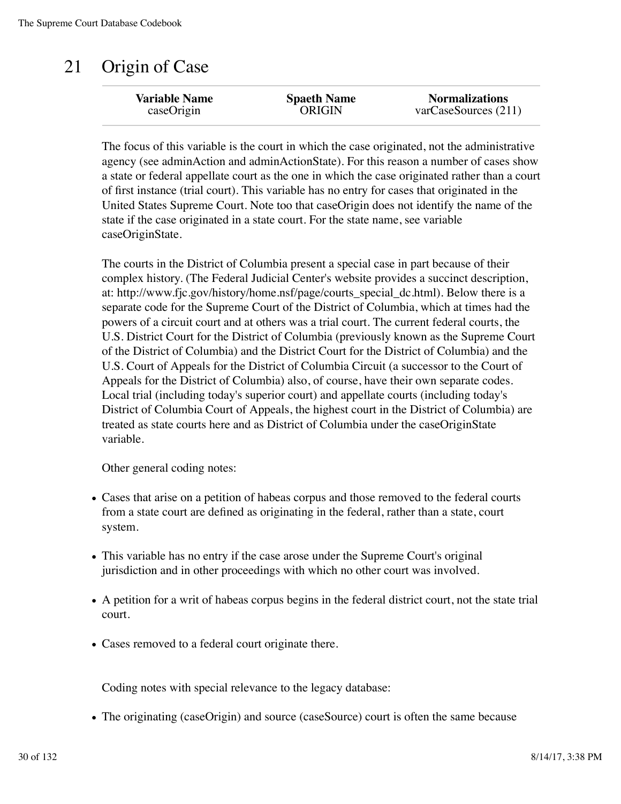## 21 Origin of Case

The focus of this variable is the court in which the case originated, not the administrative agency (see adminAction and adminActionState). For this reason a number of cases show a state or federal appellate court as the one in which the case originated rather than a court of first instance (trial court). This variable has no entry for cases that originated in the United States Supreme Court. Note too that caseOrigin does not identify the name of the state if the case originated in a state court. For the state name, see variable caseOriginState.

The courts in the District of Columbia present a special case in part because of their complex history. (The Federal Judicial Center's website provides a succinct description, at: http://www.fjc.gov/history/home.nsf/page/courts\_special\_dc.html). Below there is a separate code for the Supreme Court of the District of Columbia, which at times had the powers of a circuit court and at others was a trial court. The current federal courts, the U.S. District Court for the District of Columbia (previously known as the Supreme Court of the District of Columbia) and the District Court for the District of Columbia) and the U.S. Court of Appeals for the District of Columbia Circuit (a successor to the Court of Appeals for the District of Columbia) also, of course, have their own separate codes. Local trial (including today's superior court) and appellate courts (including today's District of Columbia Court of Appeals, the highest court in the District of Columbia) are treated as state courts here and as District of Columbia under the caseOriginState variable.

Other general coding notes:

- Cases that arise on a petition of habeas corpus and those removed to the federal courts from a state court are defined as originating in the federal, rather than a state, court system.
- This variable has no entry if the case arose under the Supreme Court's original jurisdiction and in other proceedings with which no other court was involved.
- A petition for a writ of habeas corpus begins in the federal district court, not the state trial court.
- Cases removed to a federal court originate there.

Coding notes with special relevance to the legacy database:

The originating (caseOrigin) and source (caseSource) court is often the same because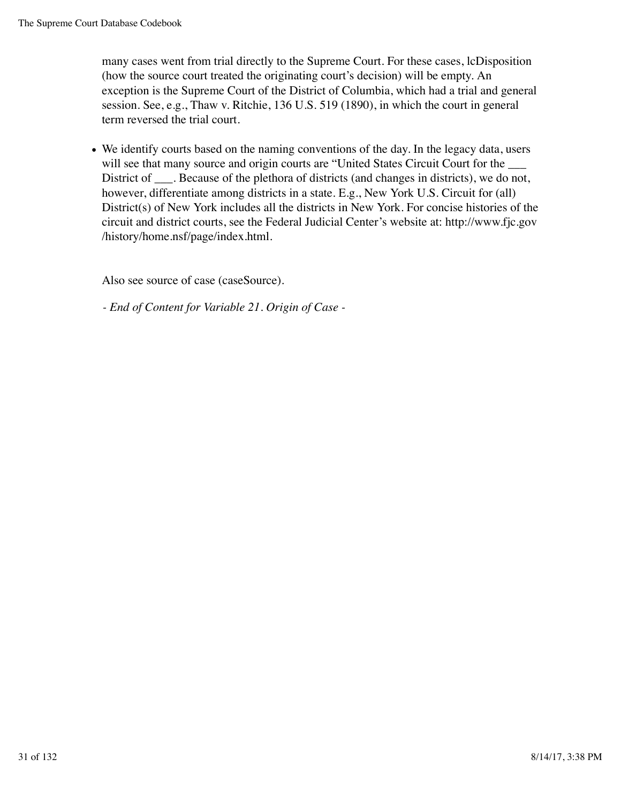many cases went from trial directly to the Supreme Court. For these cases, lcDisposition (how the source court treated the originating court's decision) will be empty. An exception is the Supreme Court of the District of Columbia, which had a trial and general session. See, e.g., Thaw v. Ritchie, 136 U.S. 519 (1890), in which the court in general term reversed the trial court.

We identify courts based on the naming conventions of the day. In the legacy data, users will see that many source and origin courts are "United States Circuit Court for the District of \_\_\_. Because of the plethora of districts (and changes in districts), we do not, however, differentiate among districts in a state. E.g., New York U.S. Circuit for (all) District(s) of New York includes all the districts in New York. For concise histories of the circuit and district courts, see the Federal Judicial Center's website at: http://www.fjc.gov /history/home.nsf/page/index.html.

Also see source of case (caseSource).

*- End of Content for Variable 21. Origin of Case -*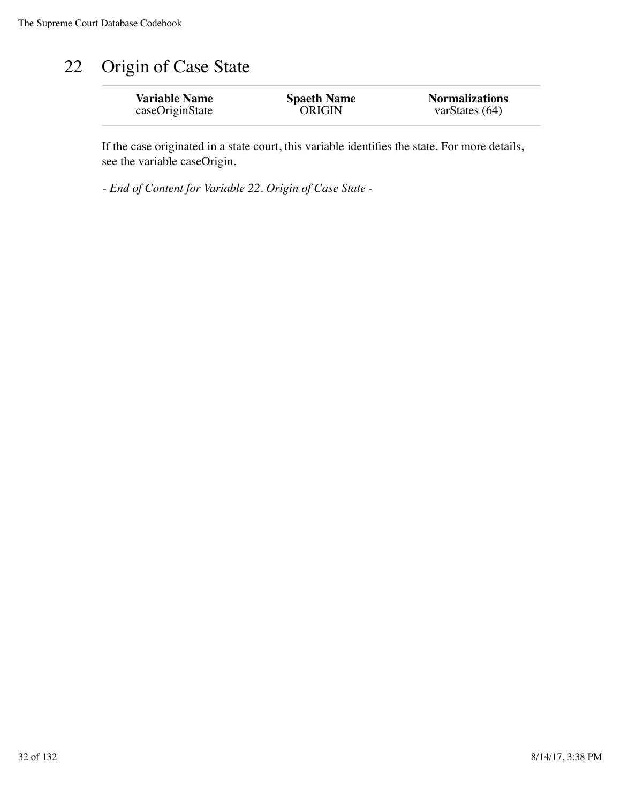## 22 Origin of Case State

If the case originated in a state court, this variable identifies the state. For more details, see the variable caseOrigin.

*- End of Content for Variable 22. Origin of Case State -*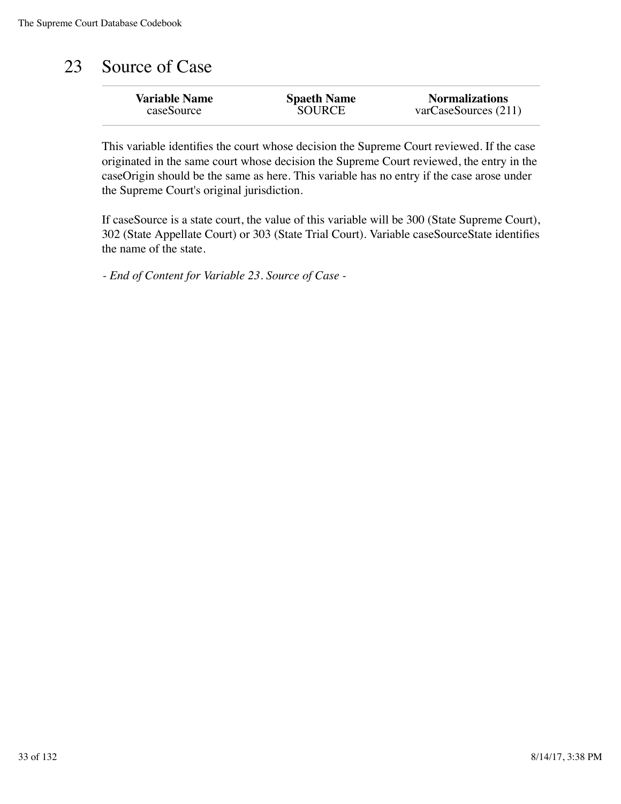# 23 Source of Case

| <b>Variable Name</b> | <b>Spaeth Name</b> | <b>Normalizations</b> |
|----------------------|--------------------|-----------------------|
| caseSource           | <b>SOURCE</b>      | varCase Sources (211) |
|                      |                    |                       |

This variable identifies the court whose decision the Supreme Court reviewed. If the case originated in the same court whose decision the Supreme Court reviewed, the entry in the caseOrigin should be the same as here. This variable has no entry if the case arose under the Supreme Court's original jurisdiction.

If caseSource is a state court, the value of this variable will be 300 (State Supreme Court), 302 (State Appellate Court) or 303 (State Trial Court). Variable caseSourceState identifies the name of the state.

*- End of Content for Variable 23. Source of Case -*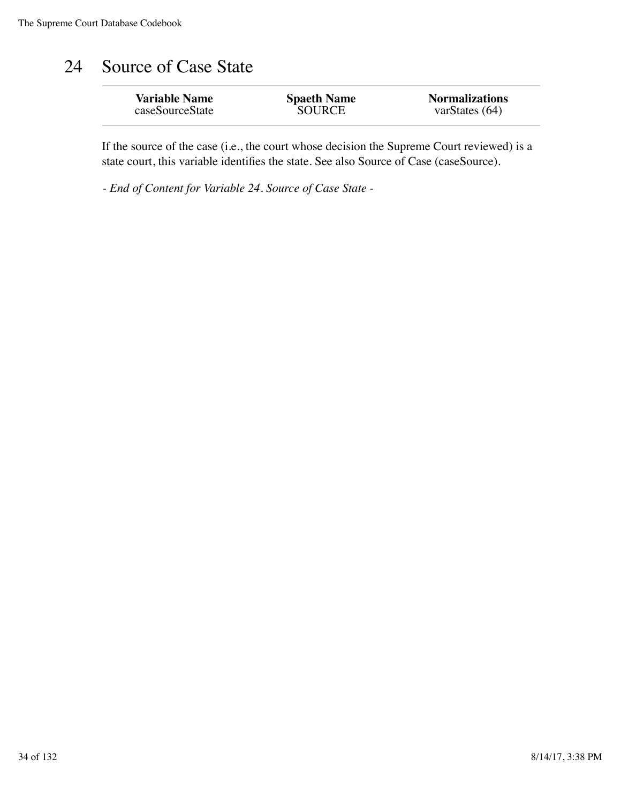### 24 Source of Case State

| <b>Variable Name</b> | <b>Spaeth Name</b> | <b>Normalizations</b> |
|----------------------|--------------------|-----------------------|
| caseSourceState      | <b>SOURCE</b>      | varStates $(64)$      |
|                      |                    |                       |

If the source of the case (i.e., the court whose decision the Supreme Court reviewed) is a state court, this variable identifies the state. See also Source of Case (caseSource).

*- End of Content for Variable 24. Source of Case State -*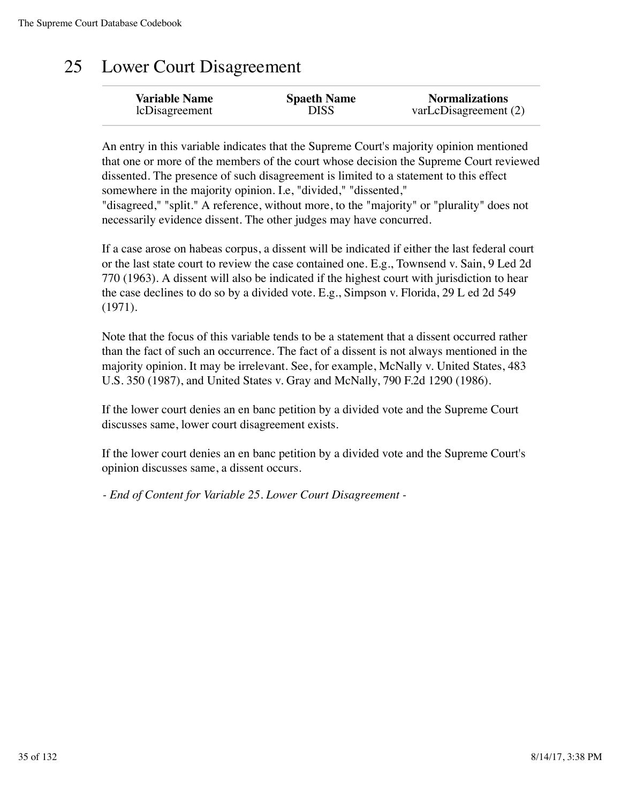## 25 Lower Court Disagreement

| <b>Variable Name</b> | <b>Spaeth Name</b> | <b>Normalizations</b> |
|----------------------|--------------------|-----------------------|
| lcDisagreement       | <b>DISS</b>        | varLcDisagreement (2) |

An entry in this variable indicates that the Supreme Court's majority opinion mentioned that one or more of the members of the court whose decision the Supreme Court reviewed dissented. The presence of such disagreement is limited to a statement to this effect somewhere in the majority opinion. I.e, "divided," "dissented," "disagreed," "split." A reference, without more, to the "majority" or "plurality" does not necessarily evidence dissent. The other judges may have concurred.

If a case arose on habeas corpus, a dissent will be indicated if either the last federal court or the last state court to review the case contained one. E.g., Townsend v. Sain, 9 Led 2d 770 (1963). A dissent will also be indicated if the highest court with jurisdiction to hear the case declines to do so by a divided vote. E.g., Simpson v. Florida, 29 L ed 2d 549 (1971).

Note that the focus of this variable tends to be a statement that a dissent occurred rather than the fact of such an occurrence. The fact of a dissent is not always mentioned in the majority opinion. It may be irrelevant. See, for example, McNally v. United States, 483 U.S. 350 (1987), and United States v. Gray and McNally, 790 F.2d 1290 (1986).

If the lower court denies an en banc petition by a divided vote and the Supreme Court discusses same, lower court disagreement exists.

If the lower court denies an en banc petition by a divided vote and the Supreme Court's opinion discusses same, a dissent occurs.

*- End of Content for Variable 25. Lower Court Disagreement -*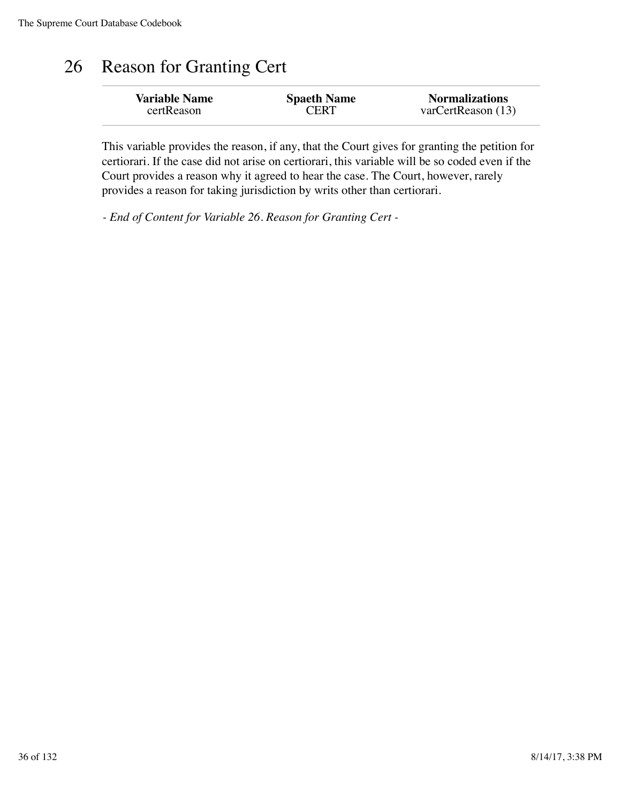### 26 Reason for Granting Cert

This variable provides the reason, if any, that the Court gives for granting the petition for certiorari. If the case did not arise on certiorari, this variable will be so coded even if the Court provides a reason why it agreed to hear the case. The Court, however, rarely provides a reason for taking jurisdiction by writs other than certiorari.

*- End of Content for Variable 26. Reason for Granting Cert -*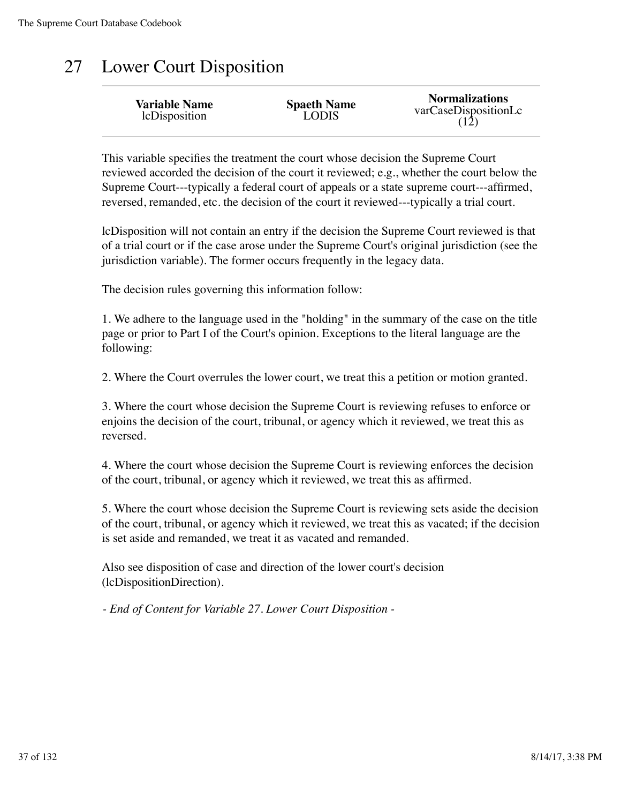### 27 Lower Court Disposition

| <b>Variable Name</b> | <b>Spaeth Name</b> | <b>Normalizations</b> |
|----------------------|--------------------|-----------------------|
| lcDisposition        | <b>LODIS</b>       | varCaseDispositionLc  |

This variable specifies the treatment the court whose decision the Supreme Court reviewed accorded the decision of the court it reviewed; e.g., whether the court below the Supreme Court---typically a federal court of appeals or a state supreme court---affirmed, reversed, remanded, etc. the decision of the court it reviewed---typically a trial court.

lcDisposition will not contain an entry if the decision the Supreme Court reviewed is that of a trial court or if the case arose under the Supreme Court's original jurisdiction (see the jurisdiction variable). The former occurs frequently in the legacy data.

The decision rules governing this information follow:

1. We adhere to the language used in the "holding" in the summary of the case on the title page or prior to Part I of the Court's opinion. Exceptions to the literal language are the following:

2. Where the Court overrules the lower court, we treat this a petition or motion granted.

3. Where the court whose decision the Supreme Court is reviewing refuses to enforce or enjoins the decision of the court, tribunal, or agency which it reviewed, we treat this as reversed.

4. Where the court whose decision the Supreme Court is reviewing enforces the decision of the court, tribunal, or agency which it reviewed, we treat this as affirmed.

5. Where the court whose decision the Supreme Court is reviewing sets aside the decision of the court, tribunal, or agency which it reviewed, we treat this as vacated; if the decision is set aside and remanded, we treat it as vacated and remanded.

Also see disposition of case and direction of the lower court's decision (lcDispositionDirection).

*- End of Content for Variable 27. Lower Court Disposition -*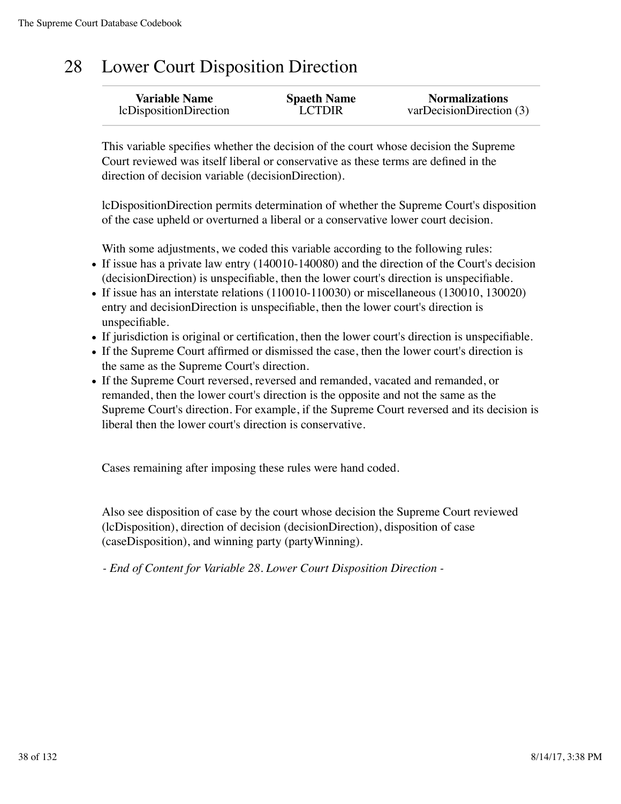# 28 Lower Court Disposition Direction

| <b>Variable Name</b>   | <b>Spaeth Name</b> | <b>Normalizations</b>    |
|------------------------|--------------------|--------------------------|
| lcDispositionDirection | <b>LCTDIR</b>      | varDecisionDirection (3) |

This variable specifies whether the decision of the court whose decision the Supreme Court reviewed was itself liberal or conservative as these terms are defined in the direction of decision variable (decisionDirection).

lcDispositionDirection permits determination of whether the Supreme Court's disposition of the case upheld or overturned a liberal or a conservative lower court decision.

With some adjustments, we coded this variable according to the following rules:

- If issue has a private law entry (140010-140080) and the direction of the Court's decision (decisionDirection) is unspecifiable, then the lower court's direction is unspecifiable.
- If issue has an interstate relations (110010-110030) or miscellaneous (130010, 130020) entry and decisionDirection is unspecifiable, then the lower court's direction is unspecifiable.
- If jurisdiction is original or certification, then the lower court's direction is unspecifiable.
- If the Supreme Court affirmed or dismissed the case, then the lower court's direction is the same as the Supreme Court's direction.
- If the Supreme Court reversed, reversed and remanded, vacated and remanded, or remanded, then the lower court's direction is the opposite and not the same as the Supreme Court's direction. For example, if the Supreme Court reversed and its decision is liberal then the lower court's direction is conservative.

Cases remaining after imposing these rules were hand coded.

Also see disposition of case by the court whose decision the Supreme Court reviewed (lcDisposition), direction of decision (decisionDirection), disposition of case (caseDisposition), and winning party (partyWinning).

*- End of Content for Variable 28. Lower Court Disposition Direction -*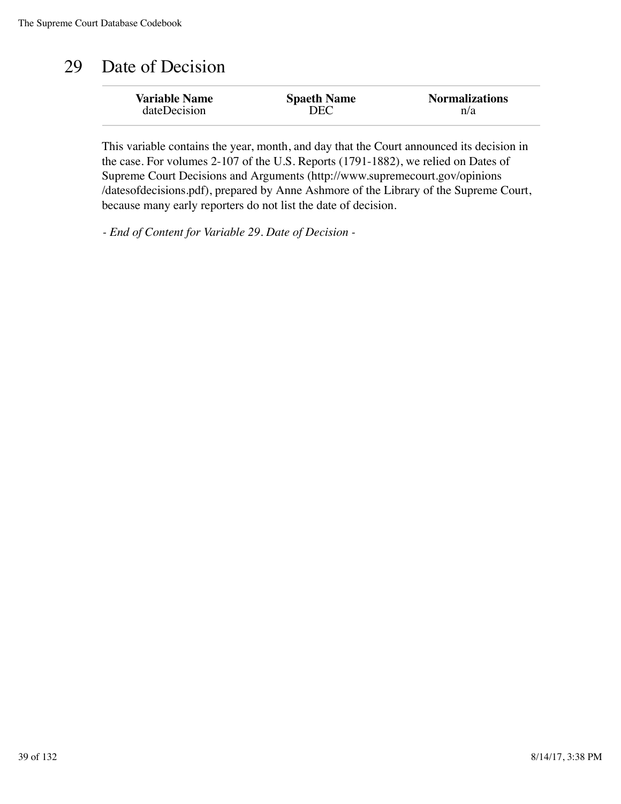## 29 Date of Decision

| <b>Variable Name</b> | <b>Spaeth Name</b> | <b>Normalizations</b> |
|----------------------|--------------------|-----------------------|
| dateDecision         | DEC                | n/a                   |
|                      |                    |                       |

This variable contains the year, month, and day that the Court announced its decision in the case. For volumes 2-107 of the U.S. Reports (1791-1882), we relied on Dates of Supreme Court Decisions and Arguments (http://www.supremecourt.gov/opinions /datesofdecisions.pdf), prepared by Anne Ashmore of the Library of the Supreme Court, because many early reporters do not list the date of decision.

*- End of Content for Variable 29. Date of Decision -*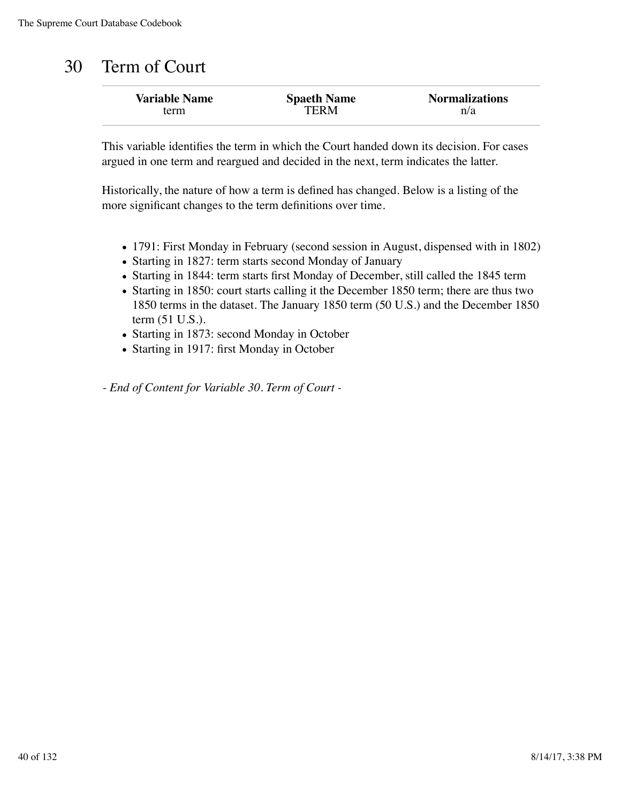### 30 Term of Court

| <b>Variable Name</b> | <b>Spaeth Name</b> | <b>Normalizations</b> |
|----------------------|--------------------|-----------------------|
| term                 | TERM               | n/a                   |

This variable identifies the term in which the Court handed down its decision. For cases argued in one term and reargued and decided in the next, term indicates the latter.

Historically, the nature of how a term is defined has changed. Below is a listing of the more significant changes to the term definitions over time.

- 1791: First Monday in February (second session in August, dispensed with in 1802)
- Starting in 1827: term starts second Monday of January
- Starting in 1844: term starts first Monday of December, still called the 1845 term
- Starting in 1850: court starts calling it the December 1850 term; there are thus two 1850 terms in the dataset. The January 1850 term (50 U.S.) and the December 1850 term (51 U.S.).
- Starting in 1873: second Monday in October
- Starting in 1917: first Monday in October

*- End of Content for Variable 30. Term of Court -*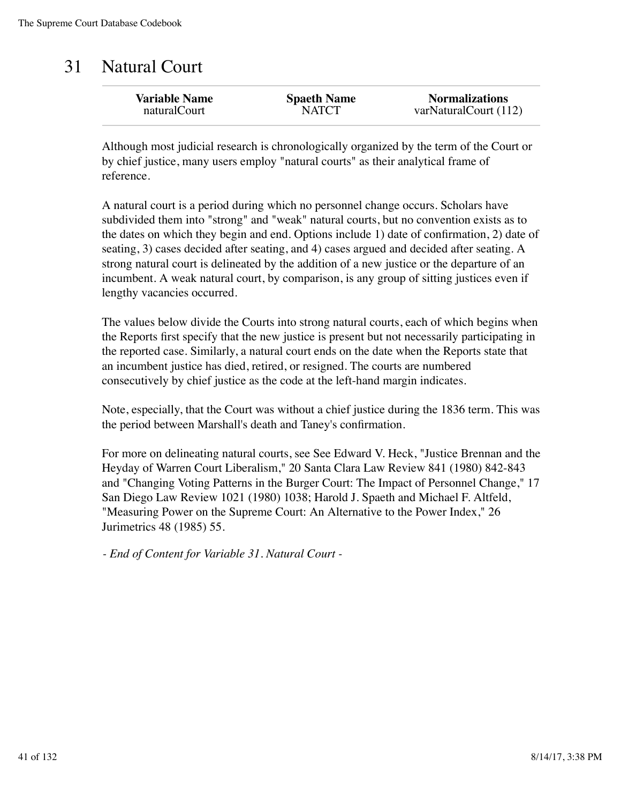### 31 Natural Court

| <b>Variable Name</b> | <b>Spaeth Name</b> | <b>Normalizations</b> |
|----------------------|--------------------|-----------------------|
| naturalCourt         | <b>NATCT</b>       | varNaturalCourt (112) |
|                      |                    |                       |

Although most judicial research is chronologically organized by the term of the Court or by chief justice, many users employ "natural courts" as their analytical frame of reference.

A natural court is a period during which no personnel change occurs. Scholars have subdivided them into "strong" and "weak" natural courts, but no convention exists as to the dates on which they begin and end. Options include 1) date of confirmation, 2) date of seating, 3) cases decided after seating, and 4) cases argued and decided after seating. A strong natural court is delineated by the addition of a new justice or the departure of an incumbent. A weak natural court, by comparison, is any group of sitting justices even if lengthy vacancies occurred.

The values below divide the Courts into strong natural courts, each of which begins when the Reports first specify that the new justice is present but not necessarily participating in the reported case. Similarly, a natural court ends on the date when the Reports state that an incumbent justice has died, retired, or resigned. The courts are numbered consecutively by chief justice as the code at the left-hand margin indicates.

Note, especially, that the Court was without a chief justice during the 1836 term. This was the period between Marshall's death and Taney's confirmation.

For more on delineating natural courts, see See Edward V. Heck, "Justice Brennan and the Heyday of Warren Court Liberalism," 20 Santa Clara Law Review 841 (1980) 842-843 and "Changing Voting Patterns in the Burger Court: The Impact of Personnel Change," 17 San Diego Law Review 1021 (1980) 1038; Harold J. Spaeth and Michael F. Altfeld, "Measuring Power on the Supreme Court: An Alternative to the Power Index," 26 Jurimetrics 48 (1985) 55.

*- End of Content for Variable 31. Natural Court -*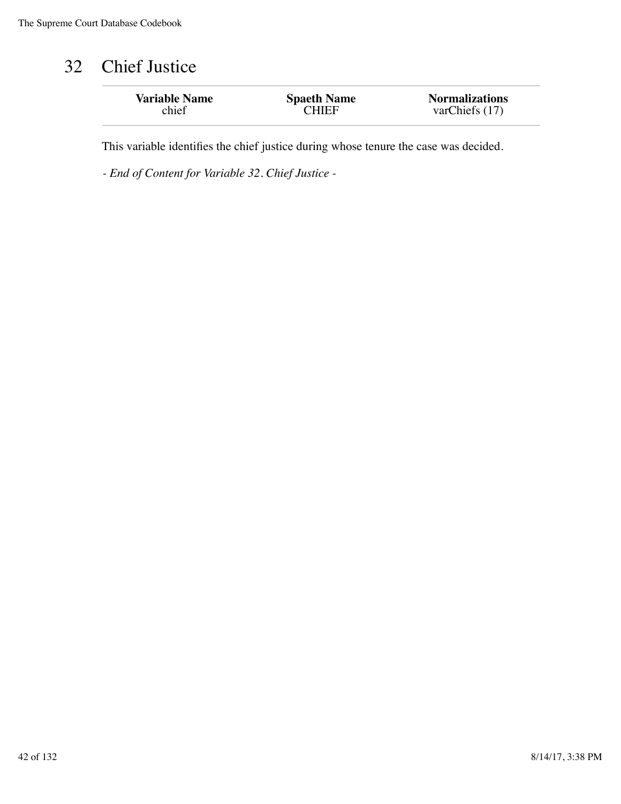### 32 Chief Justice

| <b>Variable Name</b> | <b>Spaeth Name</b> | <b>Normalizations</b> |
|----------------------|--------------------|-----------------------|
| chief                | <b>CHIEF</b>       | varChiefs (17)        |
|                      |                    |                       |

This variable identifies the chief justice during whose tenure the case was decided.

*- End of Content for Variable 32. Chief Justice -*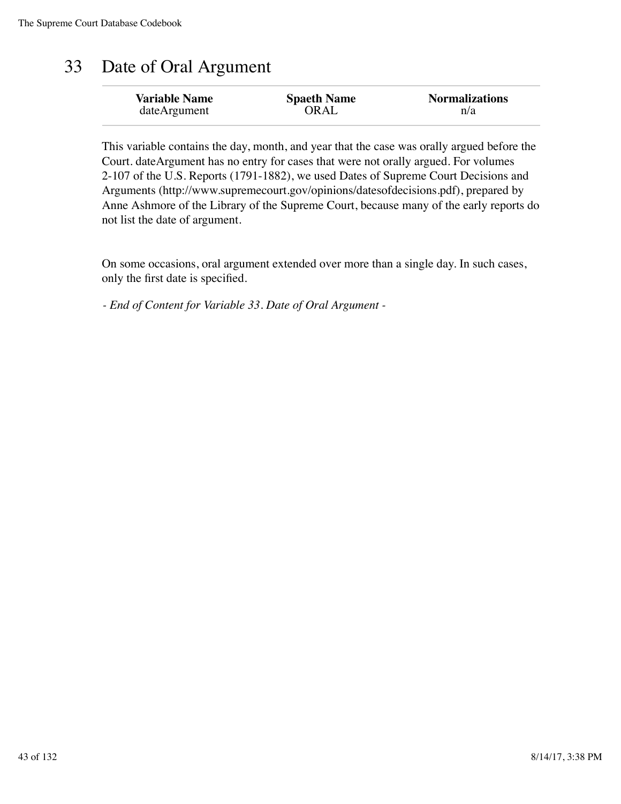## 33 Date of Oral Argument

| <b>Variable Name</b> | <b>Spaeth Name</b> | <b>Normalizations</b> |
|----------------------|--------------------|-----------------------|
| dateArgument         | ORAI               | n/a                   |
|                      |                    |                       |

This variable contains the day, month, and year that the case was orally argued before the Court. dateArgument has no entry for cases that were not orally argued. For volumes 2-107 of the U.S. Reports (1791-1882), we used Dates of Supreme Court Decisions and Arguments (http://www.supremecourt.gov/opinions/datesofdecisions.pdf), prepared by Anne Ashmore of the Library of the Supreme Court, because many of the early reports do not list the date of argument.

On some occasions, oral argument extended over more than a single day. In such cases, only the first date is specified.

*- End of Content for Variable 33. Date of Oral Argument -*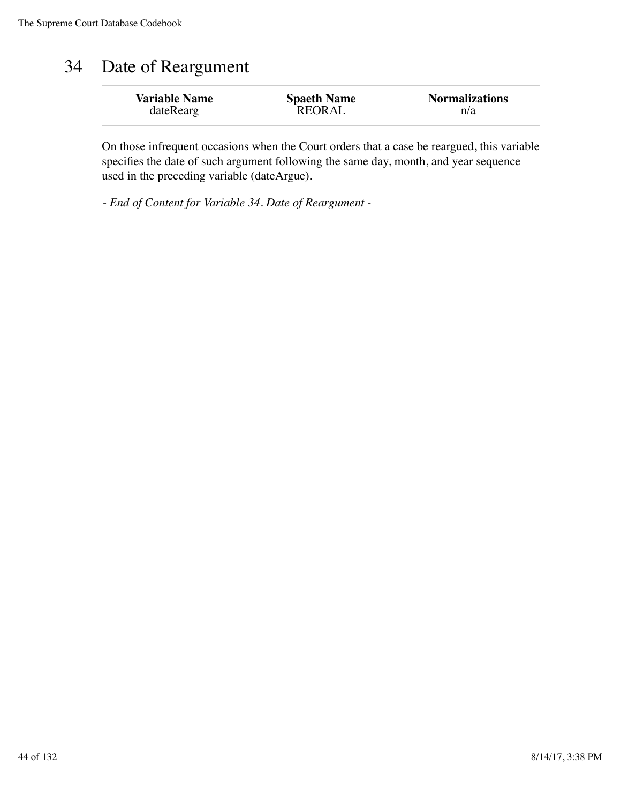### 34 Date of Reargument

| <b>Variable Name</b> | <b>Spaeth Name</b> | <b>Normalizations</b> |
|----------------------|--------------------|-----------------------|
| dateRearg            | <b>REORAL</b>      | n/a                   |

On those infrequent occasions when the Court orders that a case be reargued, this variable specifies the date of such argument following the same day, month, and year sequence used in the preceding variable (dateArgue).

*- End of Content for Variable 34. Date of Reargument -*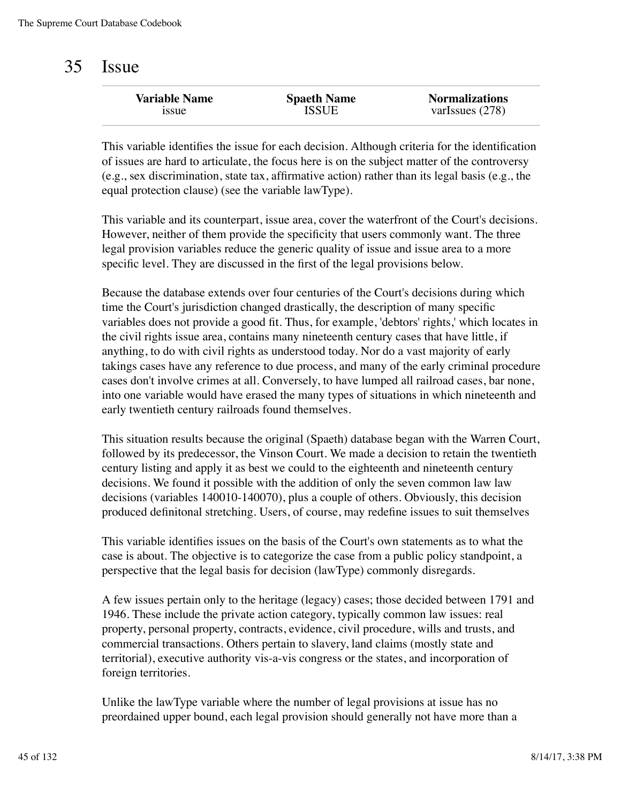#### 35 Issue

| <b>Variable Name</b> | <b>Spaeth Name</b> | <b>Normalizations</b> |
|----------------------|--------------------|-----------------------|
| <b>1SSUe</b>         | <b>ISSUE</b>       | varIssues $(278)$     |
|                      |                    |                       |

This variable identifies the issue for each decision. Although criteria for the identification of issues are hard to articulate, the focus here is on the subject matter of the controversy (e.g., sex discrimination, state tax, affirmative action) rather than its legal basis (e.g., the equal protection clause) (see the variable lawType).

This variable and its counterpart, issue area, cover the waterfront of the Court's decisions. However, neither of them provide the specificity that users commonly want. The three legal provision variables reduce the generic quality of issue and issue area to a more specific level. They are discussed in the first of the legal provisions below.

Because the database extends over four centuries of the Court's decisions during which time the Court's jurisdiction changed drastically, the description of many specific variables does not provide a good fit. Thus, for example, 'debtors' rights,' which locates in the civil rights issue area, contains many nineteenth century cases that have little, if anything, to do with civil rights as understood today. Nor do a vast majority of early takings cases have any reference to due process, and many of the early criminal procedure cases don't involve crimes at all. Conversely, to have lumped all railroad cases, bar none, into one variable would have erased the many types of situations in which nineteenth and early twentieth century railroads found themselves.

This situation results because the original (Spaeth) database began with the Warren Court, followed by its predecessor, the Vinson Court. We made a decision to retain the twentieth century listing and apply it as best we could to the eighteenth and nineteenth century decisions. We found it possible with the addition of only the seven common law law decisions (variables 140010-140070), plus a couple of others. Obviously, this decision produced definitonal stretching. Users, of course, may redefine issues to suit themselves

This variable identifies issues on the basis of the Court's own statements as to what the case is about. The objective is to categorize the case from a public policy standpoint, a perspective that the legal basis for decision (lawType) commonly disregards.

A few issues pertain only to the heritage (legacy) cases; those decided between 1791 and 1946. These include the private action category, typically common law issues: real property, personal property, contracts, evidence, civil procedure, wills and trusts, and commercial transactions. Others pertain to slavery, land claims (mostly state and territorial), executive authority vis-a-vis congress or the states, and incorporation of foreign territories.

Unlike the lawType variable where the number of legal provisions at issue has no preordained upper bound, each legal provision should generally not have more than a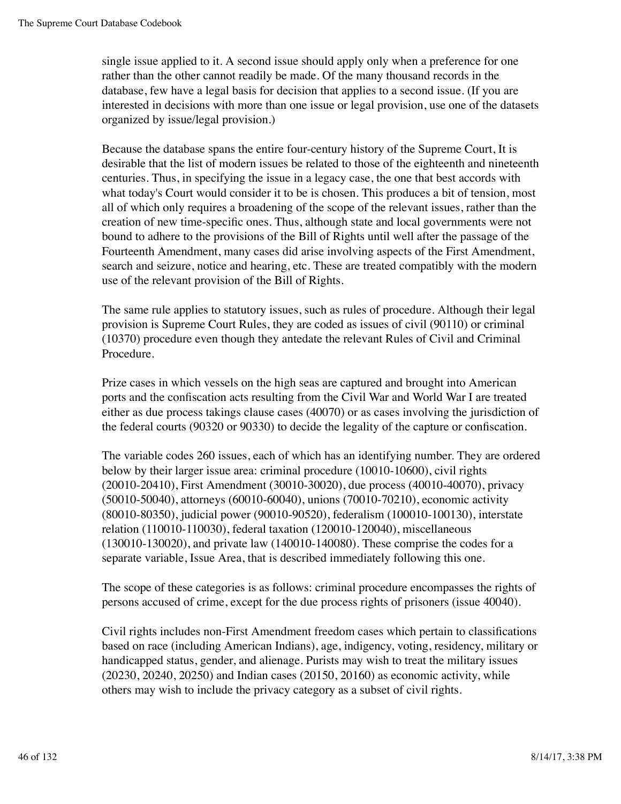single issue applied to it. A second issue should apply only when a preference for one rather than the other cannot readily be made. Of the many thousand records in the database, few have a legal basis for decision that applies to a second issue. (If you are interested in decisions with more than one issue or legal provision, use one of the datasets organized by issue/legal provision.)

Because the database spans the entire four-century history of the Supreme Court, It is desirable that the list of modern issues be related to those of the eighteenth and nineteenth centuries. Thus, in specifying the issue in a legacy case, the one that best accords with what today's Court would consider it to be is chosen. This produces a bit of tension, most all of which only requires a broadening of the scope of the relevant issues, rather than the creation of new time-specific ones. Thus, although state and local governments were not bound to adhere to the provisions of the Bill of Rights until well after the passage of the Fourteenth Amendment, many cases did arise involving aspects of the First Amendment, search and seizure, notice and hearing, etc. These are treated compatibly with the modern use of the relevant provision of the Bill of Rights.

The same rule applies to statutory issues, such as rules of procedure. Although their legal provision is Supreme Court Rules, they are coded as issues of civil (90110) or criminal (10370) procedure even though they antedate the relevant Rules of Civil and Criminal Procedure.

Prize cases in which vessels on the high seas are captured and brought into American ports and the confiscation acts resulting from the Civil War and World War I are treated either as due process takings clause cases (40070) or as cases involving the jurisdiction of the federal courts (90320 or 90330) to decide the legality of the capture or confiscation.

The variable codes 260 issues, each of which has an identifying number. They are ordered below by their larger issue area: criminal procedure (10010-10600), civil rights (20010-20410), First Amendment (30010-30020), due process (40010-40070), privacy (50010-50040), attorneys (60010-60040), unions (70010-70210), economic activity (80010-80350), judicial power (90010-90520), federalism (100010-100130), interstate relation (110010-110030), federal taxation (120010-120040), miscellaneous (130010-130020), and private law (140010-140080). These comprise the codes for a separate variable, Issue Area, that is described immediately following this one.

The scope of these categories is as follows: criminal procedure encompasses the rights of persons accused of crime, except for the due process rights of prisoners (issue 40040).

Civil rights includes non-First Amendment freedom cases which pertain to classifications based on race (including American Indians), age, indigency, voting, residency, military or handicapped status, gender, and alienage. Purists may wish to treat the military issues (20230, 20240, 20250) and Indian cases (20150, 20160) as economic activity, while others may wish to include the privacy category as a subset of civil rights.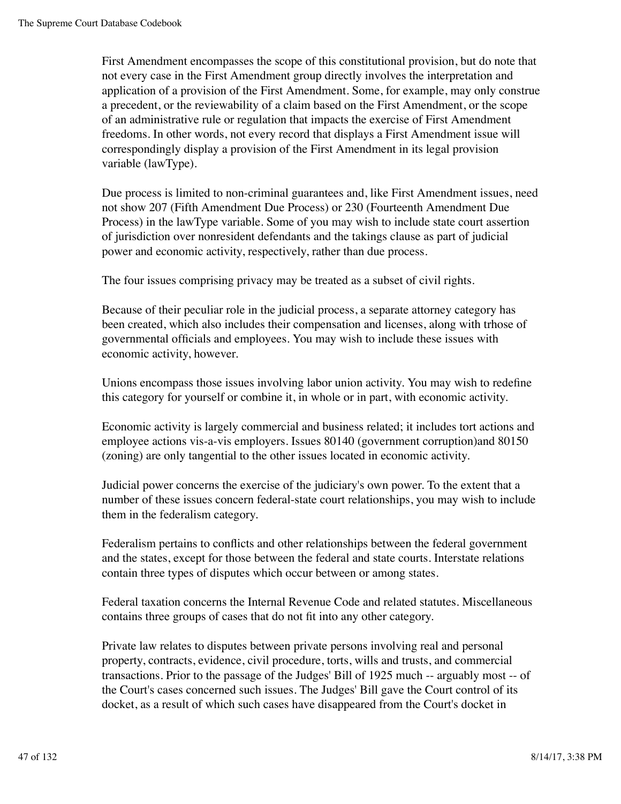First Amendment encompasses the scope of this constitutional provision, but do note that not every case in the First Amendment group directly involves the interpretation and application of a provision of the First Amendment. Some, for example, may only construe a precedent, or the reviewability of a claim based on the First Amendment, or the scope of an administrative rule or regulation that impacts the exercise of First Amendment freedoms. In other words, not every record that displays a First Amendment issue will correspondingly display a provision of the First Amendment in its legal provision variable (lawType).

Due process is limited to non-criminal guarantees and, like First Amendment issues, need not show 207 (Fifth Amendment Due Process) or 230 (Fourteenth Amendment Due Process) in the lawType variable. Some of you may wish to include state court assertion of jurisdiction over nonresident defendants and the takings clause as part of judicial power and economic activity, respectively, rather than due process.

The four issues comprising privacy may be treated as a subset of civil rights.

Because of their peculiar role in the judicial process, a separate attorney category has been created, which also includes their compensation and licenses, along with trhose of governmental officials and employees. You may wish to include these issues with economic activity, however.

Unions encompass those issues involving labor union activity. You may wish to redefine this category for yourself or combine it, in whole or in part, with economic activity.

Economic activity is largely commercial and business related; it includes tort actions and employee actions vis-a-vis employers. Issues 80140 (government corruption)and 80150 (zoning) are only tangential to the other issues located in economic activity.

Judicial power concerns the exercise of the judiciary's own power. To the extent that a number of these issues concern federal-state court relationships, you may wish to include them in the federalism category.

Federalism pertains to conflicts and other relationships between the federal government and the states, except for those between the federal and state courts. Interstate relations contain three types of disputes which occur between or among states.

Federal taxation concerns the Internal Revenue Code and related statutes. Miscellaneous contains three groups of cases that do not fit into any other category.

Private law relates to disputes between private persons involving real and personal property, contracts, evidence, civil procedure, torts, wills and trusts, and commercial transactions. Prior to the passage of the Judges' Bill of 1925 much -- arguably most -- of the Court's cases concerned such issues. The Judges' Bill gave the Court control of its docket, as a result of which such cases have disappeared from the Court's docket in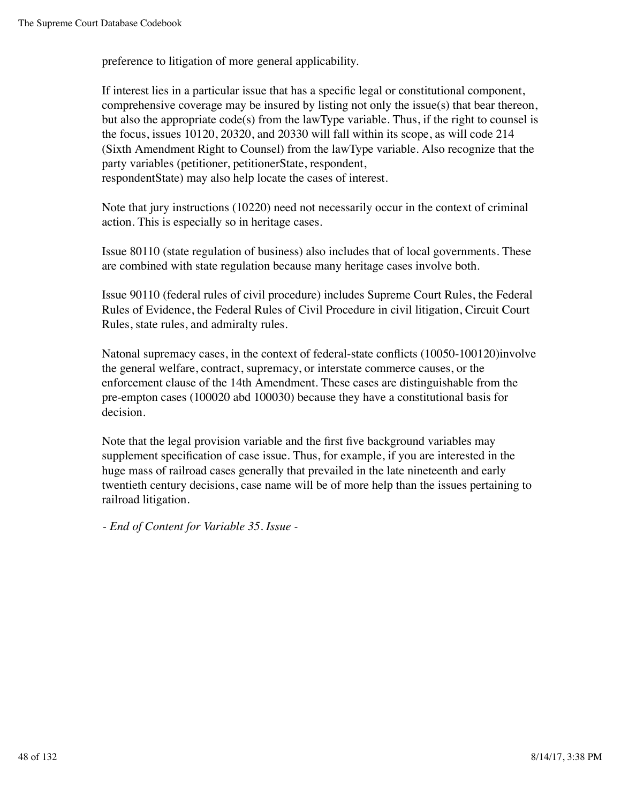preference to litigation of more general applicability.

If interest lies in a particular issue that has a specific legal or constitutional component, comprehensive coverage may be insured by listing not only the issue(s) that bear thereon, but also the appropriate code(s) from the lawType variable. Thus, if the right to counsel is the focus, issues 10120, 20320, and 20330 will fall within its scope, as will code 214 (Sixth Amendment Right to Counsel) from the lawType variable. Also recognize that the party variables (petitioner, petitionerState, respondent, respondentState) may also help locate the cases of interest.

Note that jury instructions (10220) need not necessarily occur in the context of criminal action. This is especially so in heritage cases.

Issue 80110 (state regulation of business) also includes that of local governments. These are combined with state regulation because many heritage cases involve both.

Issue 90110 (federal rules of civil procedure) includes Supreme Court Rules, the Federal Rules of Evidence, the Federal Rules of Civil Procedure in civil litigation, Circuit Court Rules, state rules, and admiralty rules.

Natonal supremacy cases, in the context of federal-state conflicts (10050-100120)involve the general welfare, contract, supremacy, or interstate commerce causes, or the enforcement clause of the 14th Amendment. These cases are distinguishable from the pre-empton cases (100020 abd 100030) because they have a constitutional basis for decision.

Note that the legal provision variable and the first five background variables may supplement specification of case issue. Thus, for example, if you are interested in the huge mass of railroad cases generally that prevailed in the late nineteenth and early twentieth century decisions, case name will be of more help than the issues pertaining to railroad litigation.

*- End of Content for Variable 35. Issue -*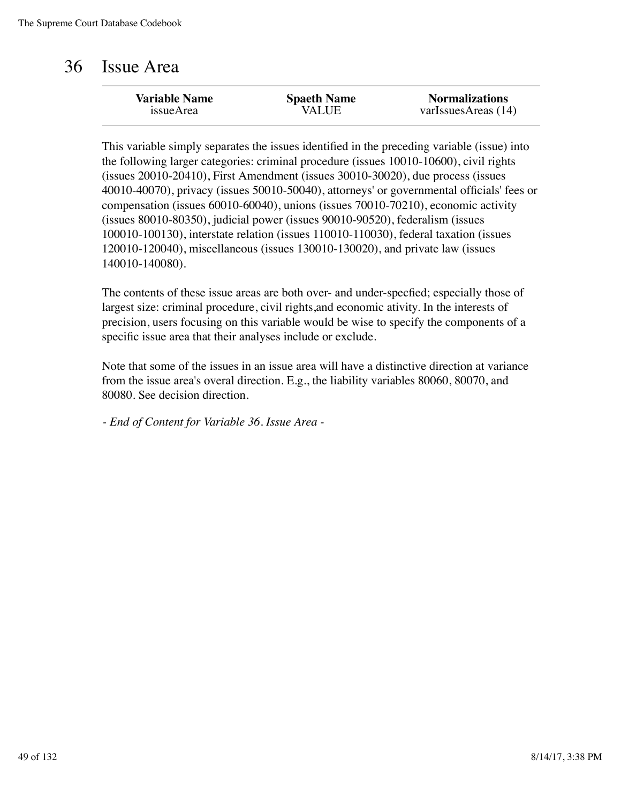#### 36 Issue Area

| <b>Variable Name</b> | <b>Spaeth Name</b> | <b>Normalizations</b> |
|----------------------|--------------------|-----------------------|
| issueArea            | <b>VALUE</b>       | varIssuesAreas (14)   |
|                      |                    |                       |

This variable simply separates the issues identified in the preceding variable (issue) into the following larger categories: criminal procedure (issues 10010-10600), civil rights (issues 20010-20410), First Amendment (issues 30010-30020), due process (issues 40010-40070), privacy (issues 50010-50040), attorneys' or governmental officials' fees or compensation (issues 60010-60040), unions (issues 70010-70210), economic activity (issues 80010-80350), judicial power (issues 90010-90520), federalism (issues 100010-100130), interstate relation (issues 110010-110030), federal taxation (issues 120010-120040), miscellaneous (issues 130010-130020), and private law (issues 140010-140080).

The contents of these issue areas are both over- and under-specfied; especially those of largest size: criminal procedure, civil rights,and economic ativity. In the interests of precision, users focusing on this variable would be wise to specify the components of a specific issue area that their analyses include or exclude.

Note that some of the issues in an issue area will have a distinctive direction at variance from the issue area's overal direction. E.g., the liability variables 80060, 80070, and 80080. See decision direction.

*- End of Content for Variable 36. Issue Area -*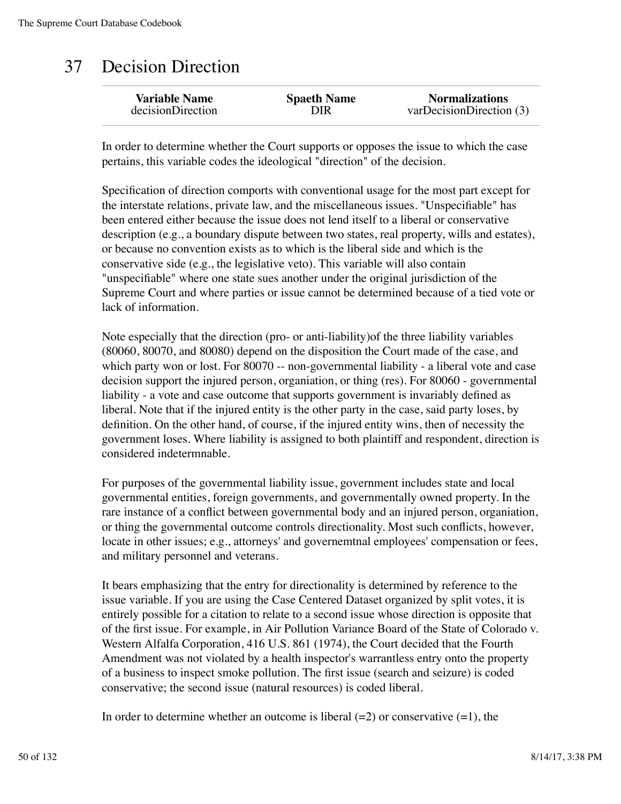# 37 Decision Direction

In order to determine whether the Court supports or opposes the issue to which the case pertains, this variable codes the ideological "direction" of the decision.

Specification of direction comports with conventional usage for the most part except for the interstate relations, private law, and the miscellaneous issues. "Unspecifiable" has been entered either because the issue does not lend itself to a liberal or conservative description (e.g., a boundary dispute between two states, real property, wills and estates), or because no convention exists as to which is the liberal side and which is the conservative side (e.g., the legislative veto). This variable will also contain "unspecifiable" where one state sues another under the original jurisdiction of the Supreme Court and where parties or issue cannot be determined because of a tied vote or lack of information.

Note especially that the direction (pro- or anti-liability)of the three liability variables (80060, 80070, and 80080) depend on the disposition the Court made of the case, and which party won or lost. For 80070 -- non-governmental liability - a liberal vote and case decision support the injured person, organiation, or thing (res). For 80060 - governmental liability - a vote and case outcome that supports government is invariably defined as liberal. Note that if the injured entity is the other party in the case, said party loses, by definition. On the other hand, of course, if the injured entity wins, then of necessity the government loses. Where liability is assigned to both plaintiff and respondent, direction is considered indetermnable.

For purposes of the governmental liability issue, government includes state and local governmental entities, foreign governments, and governmentally owned property. In the rare instance of a conflict between governmental body and an injured person, organiation, or thing the governmental outcome controls directionality. Most such conflicts, however, locate in other issues; e.g., attorneys' and governemtnal employees' compensation or fees, and military personnel and veterans.

It bears emphasizing that the entry for directionality is determined by reference to the issue variable. If you are using the Case Centered Dataset organized by split votes, it is entirely possible for a citation to relate to a second issue whose direction is opposite that of the first issue. For example, in Air Pollution Variance Board of the State of Colorado v. Western Alfalfa Corporation, 416 U.S. 861 (1974), the Court decided that the Fourth Amendment was not violated by a health inspector's warrantless entry onto the property of a business to inspect smoke pollution. The first issue (search and seizure) is coded conservative; the second issue (natural resources) is coded liberal.

In order to determine whether an outcome is liberal  $(=2)$  or conservative  $(=1)$ , the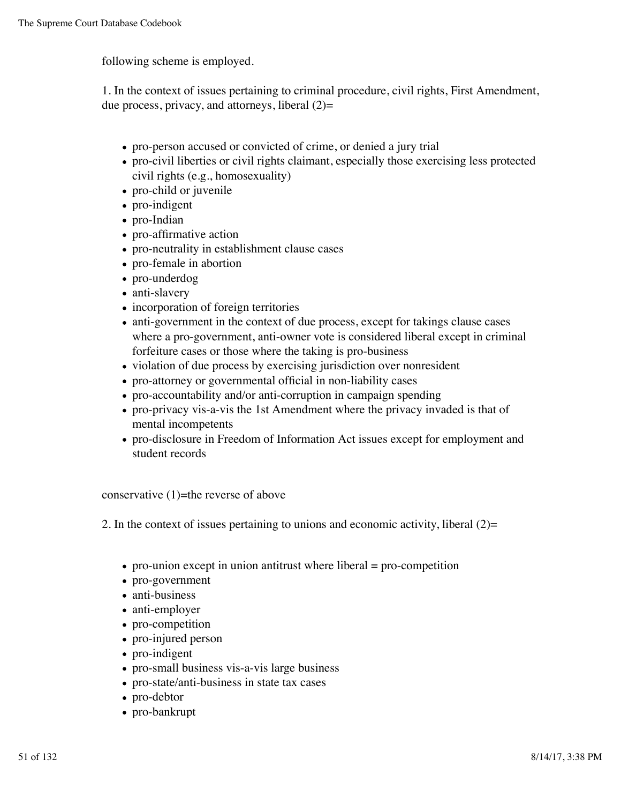following scheme is employed.

1. In the context of issues pertaining to criminal procedure, civil rights, First Amendment, due process, privacy, and attorneys, liberal  $(2)$ =

- pro-person accused or convicted of crime, or denied a jury trial
- pro-civil liberties or civil rights claimant, especially those exercising less protected civil rights (e.g., homosexuality)
- pro-child or juvenile
- pro-indigent
- pro-Indian
- pro-affirmative action
- pro-neutrality in establishment clause cases
- pro-female in abortion
- pro-underdog
- anti-slavery
- incorporation of foreign territories
- anti-government in the context of due process, except for takings clause cases where a pro-government, anti-owner vote is considered liberal except in criminal forfeiture cases or those where the taking is pro-business
- violation of due process by exercising jurisdiction over nonresident
- pro-attorney or governmental official in non-liability cases
- pro-accountability and/or anti-corruption in campaign spending
- pro-privacy vis-a-vis the 1st Amendment where the privacy invaded is that of mental incompetents
- pro-disclosure in Freedom of Information Act issues except for employment and student records

conservative  $(1)$ =the reverse of above

2. In the context of issues pertaining to unions and economic activity, liberal (2)=

- $\bullet$  pro-union except in union antitrust where liberal = pro-competition
- pro-government
- anti-business
- anti-employer
- pro-competition
- pro-injured person
- pro-indigent
- pro-small business vis-a-vis large business
- pro-state/anti-business in state tax cases
- pro-debtor
- pro-bankrupt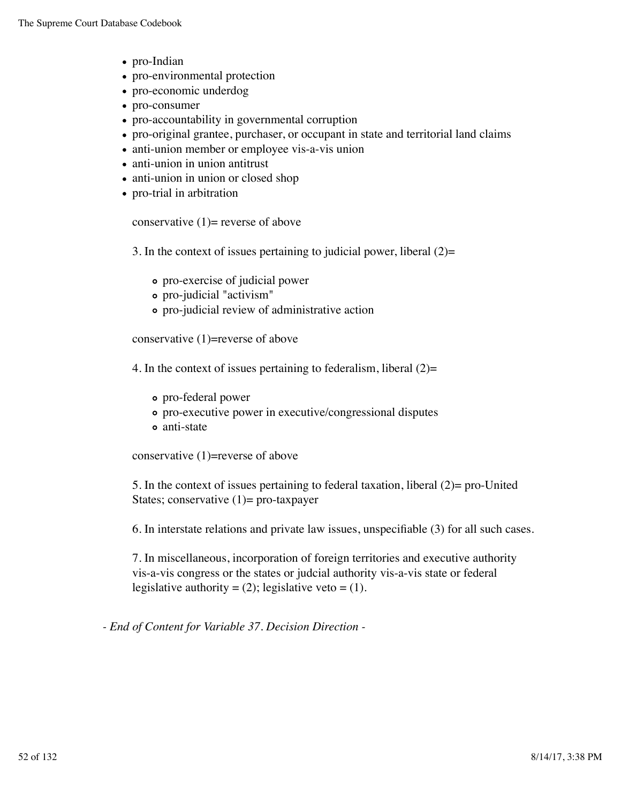- pro-Indian
- pro-environmental protection
- pro-economic underdog
- pro-consumer
- pro-accountability in governmental corruption
- pro-original grantee, purchaser, or occupant in state and territorial land claims
- anti-union member or employee vis-a-vis union
- anti-union in union antitrust
- anti-union in union or closed shop
- pro-trial in arbitration

conservative  $(1)$ = reverse of above

3. In the context of issues pertaining to judicial power, liberal (2)=

- pro-exercise of judicial power
- pro-judicial "activism"
- pro-judicial review of administrative action

conservative (1)=reverse of above

4. In the context of issues pertaining to federalism, liberal (2)=

- pro-federal power
- pro-executive power in executive/congressional disputes
- anti-state

conservative (1)=reverse of above

5. In the context of issues pertaining to federal taxation, liberal (2)= pro-United States; conservative (1)= pro-taxpayer

6. In interstate relations and private law issues, unspecifiable (3) for all such cases.

7. In miscellaneous, incorporation of foreign territories and executive authority vis-a-vis congress or the states or judcial authority vis-a-vis state or federal legislative authority = (2); legislative veto = (1).

*- End of Content for Variable 37. Decision Direction -*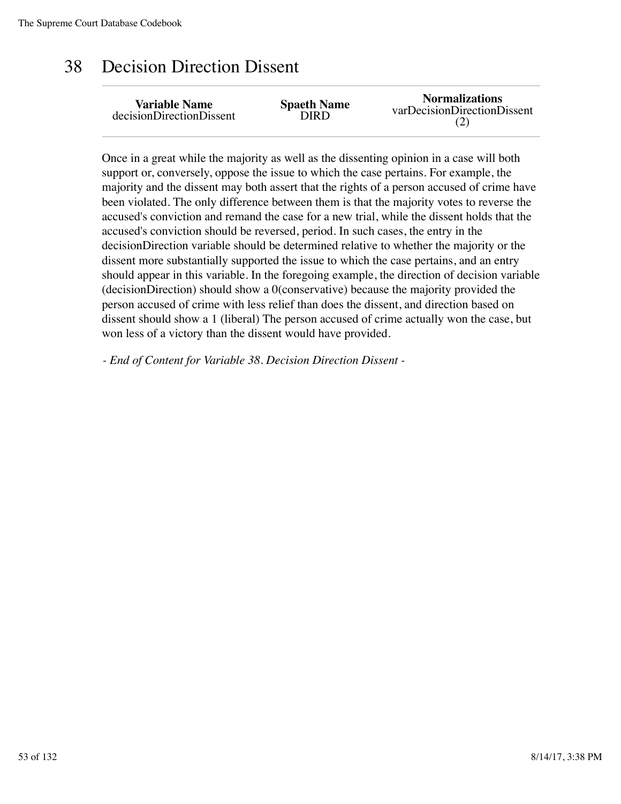### 38 Decision Direction Dissent

| <b>Variable Name</b>     | <b>Spaeth Name</b> | <b>Normalizations</b>       |
|--------------------------|--------------------|-----------------------------|
| decisionDirectionDissent | DIRD.              | varDecisionDirectionDissent |

Once in a great while the majority as well as the dissenting opinion in a case will both support or, conversely, oppose the issue to which the case pertains. For example, the majority and the dissent may both assert that the rights of a person accused of crime have been violated. The only difference between them is that the majority votes to reverse the accused's conviction and remand the case for a new trial, while the dissent holds that the accused's conviction should be reversed, period. In such cases, the entry in the decisionDirection variable should be determined relative to whether the majority or the dissent more substantially supported the issue to which the case pertains, and an entry should appear in this variable. In the foregoing example, the direction of decision variable (decisionDirection) should show a 0(conservative) because the majority provided the person accused of crime with less relief than does the dissent, and direction based on dissent should show a 1 (liberal) The person accused of crime actually won the case, but won less of a victory than the dissent would have provided.

*- End of Content for Variable 38. Decision Direction Dissent -*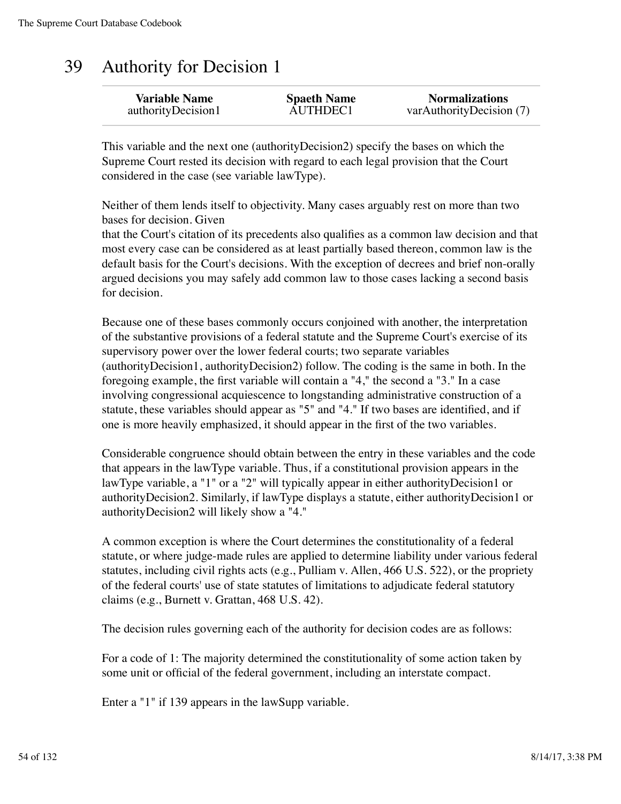#### 39 Authority for Decision 1

| <b>Variable Name</b> | <b>Spaeth Name</b> | <b>Normalizations</b>    |
|----------------------|--------------------|--------------------------|
| authorityDecision1   | AUTHDEC1           | varAuthorityDecision (7) |

This variable and the next one (authorityDecision2) specify the bases on which the Supreme Court rested its decision with regard to each legal provision that the Court considered in the case (see variable lawType).

Neither of them lends itself to objectivity. Many cases arguably rest on more than two bases for decision. Given

that the Court's citation of its precedents also qualifies as a common law decision and that most every case can be considered as at least partially based thereon, common law is the default basis for the Court's decisions. With the exception of decrees and brief non-orally argued decisions you may safely add common law to those cases lacking a second basis for decision.

Because one of these bases commonly occurs conjoined with another, the interpretation of the substantive provisions of a federal statute and the Supreme Court's exercise of its supervisory power over the lower federal courts; two separate variables (authorityDecision1, authorityDecision2) follow. The coding is the same in both. In the foregoing example, the first variable will contain a "4," the second a "3." In a case involving congressional acquiescence to longstanding administrative construction of a statute, these variables should appear as "5" and "4." If two bases are identified, and if one is more heavily emphasized, it should appear in the first of the two variables.

Considerable congruence should obtain between the entry in these variables and the code that appears in the lawType variable. Thus, if a constitutional provision appears in the lawType variable, a "1" or a "2" will typically appear in either authorityDecision1 or authorityDecision2. Similarly, if lawType displays a statute, either authorityDecision1 or authorityDecision2 will likely show a "4."

A common exception is where the Court determines the constitutionality of a federal statute, or where judge-made rules are applied to determine liability under various federal statutes, including civil rights acts (e.g., Pulliam v. Allen, 466 U.S. 522), or the propriety of the federal courts' use of state statutes of limitations to adjudicate federal statutory claims (e.g., Burnett v. Grattan, 468 U.S. 42).

The decision rules governing each of the authority for decision codes are as follows:

For a code of 1: The majority determined the constitutionality of some action taken by some unit or official of the federal government, including an interstate compact.

Enter a "1" if 139 appears in the lawSupp variable.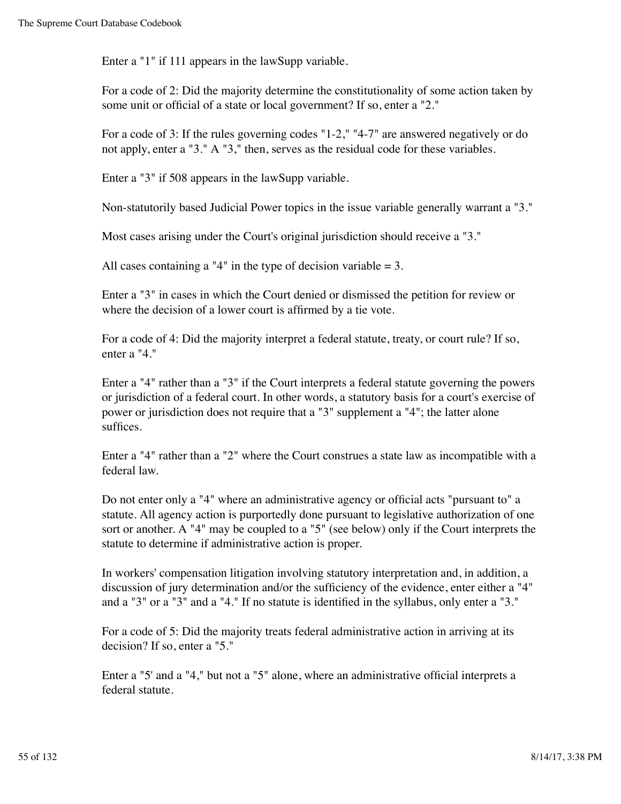Enter a "1" if 111 appears in the lawSupp variable.

For a code of 2: Did the majority determine the constitutionality of some action taken by some unit or official of a state or local government? If so, enter a "2."

For a code of 3: If the rules governing codes "1-2," "4-7" are answered negatively or do not apply, enter a "3." A "3," then, serves as the residual code for these variables.

Enter a "3" if 508 appears in the lawSupp variable.

Non-statutorily based Judicial Power topics in the issue variable generally warrant a "3."

Most cases arising under the Court's original jurisdiction should receive a "3."

All cases containing a "4" in the type of decision variable  $= 3$ .

Enter a "3" in cases in which the Court denied or dismissed the petition for review or where the decision of a lower court is affirmed by a tie vote.

For a code of 4: Did the majority interpret a federal statute, treaty, or court rule? If so, enter a "4."

Enter a "4" rather than a "3" if the Court interprets a federal statute governing the powers or jurisdiction of a federal court. In other words, a statutory basis for a court's exercise of power or jurisdiction does not require that a "3" supplement a "4"; the latter alone suffices.

Enter a "4" rather than a "2" where the Court construes a state law as incompatible with a federal law.

Do not enter only a "4" where an administrative agency or official acts "pursuant to" a statute. All agency action is purportedly done pursuant to legislative authorization of one sort or another. A "4" may be coupled to a "5" (see below) only if the Court interprets the statute to determine if administrative action is proper.

In workers' compensation litigation involving statutory interpretation and, in addition, a discussion of jury determination and/or the sufficiency of the evidence, enter either a "4" and a "3" or a "3" and a "4." If no statute is identified in the syllabus, only enter a "3."

For a code of 5: Did the majority treats federal administrative action in arriving at its decision? If so, enter a "5."

Enter a "5' and a "4," but not a "5" alone, where an administrative official interprets a federal statute.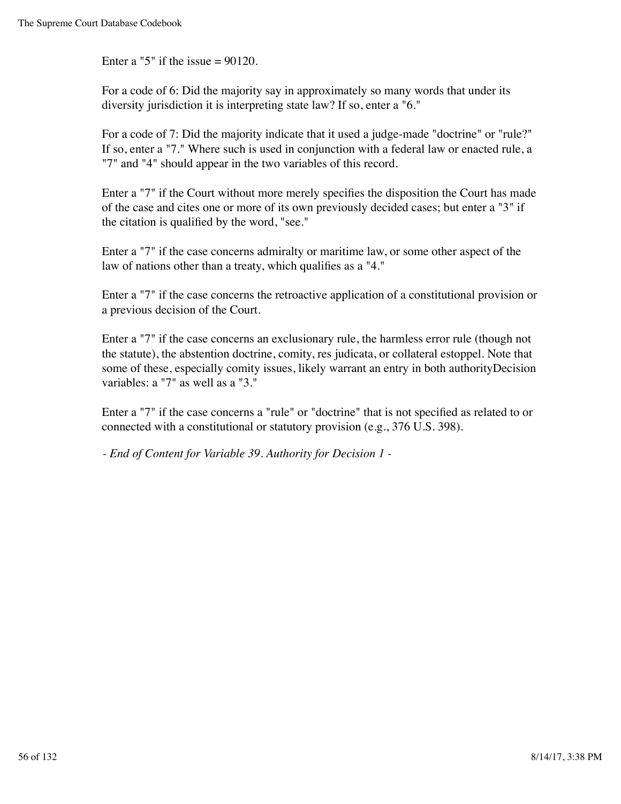Enter a "5" if the issue  $= 90120$ .

For a code of 6: Did the majority say in approximately so many words that under its diversity jurisdiction it is interpreting state law? If so, enter a "6."

For a code of 7: Did the majority indicate that it used a judge-made "doctrine" or "rule?" If so, enter a "7." Where such is used in conjunction with a federal law or enacted rule, a "7" and "4" should appear in the two variables of this record.

Enter a "7" if the Court without more merely specifies the disposition the Court has made of the case and cites one or more of its own previously decided cases; but enter a "3" if the citation is qualified by the word, "see."

Enter a "7" if the case concerns admiralty or maritime law, or some other aspect of the law of nations other than a treaty, which qualifies as a "4."

Enter a "7" if the case concerns the retroactive application of a constitutional provision or a previous decision of the Court.

Enter a "7" if the case concerns an exclusionary rule, the harmless error rule (though not the statute), the abstention doctrine, comity, res judicata, or collateral estoppel. Note that some of these, especially comity issues, likely warrant an entry in both authorityDecision variables: a "7" as well as a "3."

Enter a "7" if the case concerns a "rule" or "doctrine" that is not specified as related to or connected with a constitutional or statutory provision (e.g., 376 U.S. 398).

*- End of Content for Variable 39. Authority for Decision 1 -*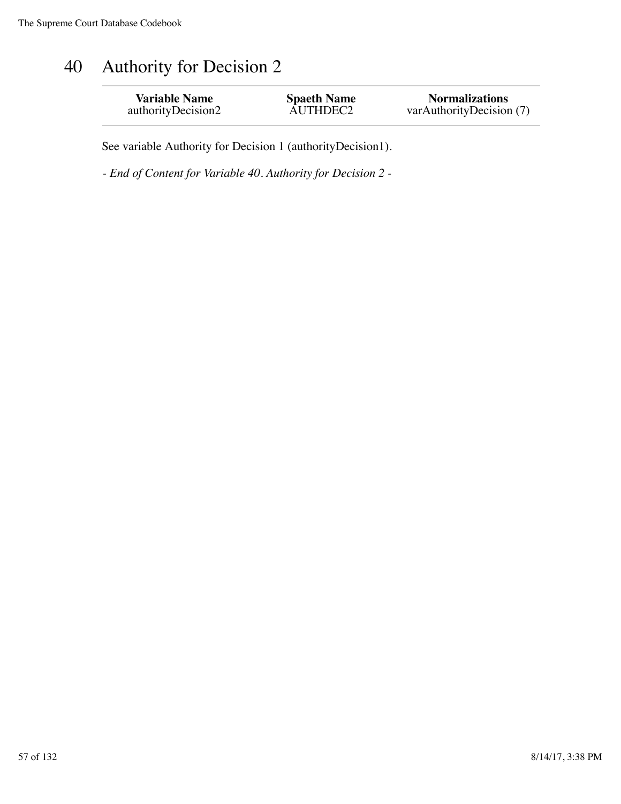#### 40 Authority for Decision 2

| <b>Variable Name</b> | <b>Spaeth Name</b> | <b>Normalizations</b>    |
|----------------------|--------------------|--------------------------|
| authorityDecision2   | AUTHDEC2           | varAuthorityDecision (7) |

See variable Authority for Decision 1 (authorityDecision1).

*- End of Content for Variable 40. Authority for Decision 2 -*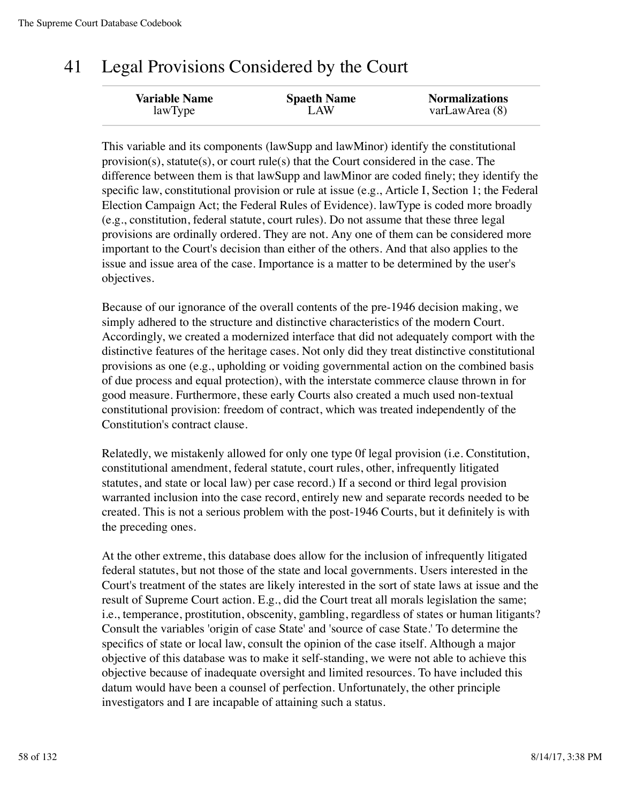#### 41 Legal Provisions Considered by the Court

| <b>Variable Name</b> | <b>Spaeth Name</b> | <b>Normalizations</b> |
|----------------------|--------------------|-----------------------|
| lawType              | LAW                | varLawArea (8)        |
|                      |                    |                       |

This variable and its components (lawSupp and lawMinor) identify the constitutional provision(s), statute(s), or court rule(s) that the Court considered in the case. The difference between them is that lawSupp and lawMinor are coded finely; they identify the specific law, constitutional provision or rule at issue (e.g., Article I, Section 1; the Federal Election Campaign Act; the Federal Rules of Evidence). lawType is coded more broadly (e.g., constitution, federal statute, court rules). Do not assume that these three legal provisions are ordinally ordered. They are not. Any one of them can be considered more important to the Court's decision than either of the others. And that also applies to the issue and issue area of the case. Importance is a matter to be determined by the user's objectives.

Because of our ignorance of the overall contents of the pre-1946 decision making, we simply adhered to the structure and distinctive characteristics of the modern Court. Accordingly, we created a modernized interface that did not adequately comport with the distinctive features of the heritage cases. Not only did they treat distinctive constitutional provisions as one (e.g., upholding or voiding governmental action on the combined basis of due process and equal protection), with the interstate commerce clause thrown in for good measure. Furthermore, these early Courts also created a much used non-textual constitutional provision: freedom of contract, which was treated independently of the Constitution's contract clause.

Relatedly, we mistakenly allowed for only one type 0f legal provision (i.e. Constitution, constitutional amendment, federal statute, court rules, other, infrequently litigated statutes, and state or local law) per case record.) If a second or third legal provision warranted inclusion into the case record, entirely new and separate records needed to be created. This is not a serious problem with the post-1946 Courts, but it definitely is with the preceding ones.

At the other extreme, this database does allow for the inclusion of infrequently litigated federal statutes, but not those of the state and local governments. Users interested in the Court's treatment of the states are likely interested in the sort of state laws at issue and the result of Supreme Court action. E.g., did the Court treat all morals legislation the same; i.e., temperance, prostitution, obscenity, gambling, regardless of states or human litigants? Consult the variables 'origin of case State' and 'source of case State.' To determine the specifics of state or local law, consult the opinion of the case itself. Although a major objective of this database was to make it self-standing, we were not able to achieve this objective because of inadequate oversight and limited resources. To have included this datum would have been a counsel of perfection. Unfortunately, the other principle investigators and I are incapable of attaining such a status.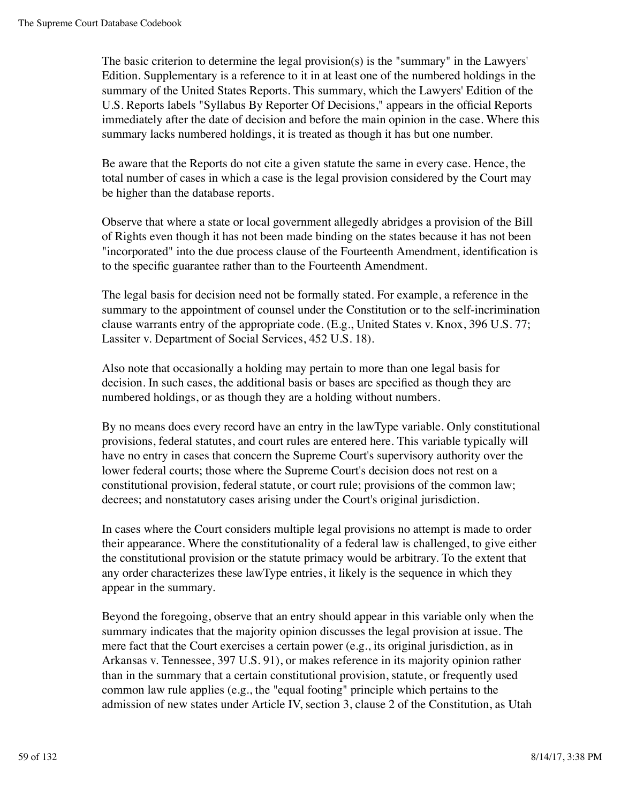The basic criterion to determine the legal provision(s) is the "summary" in the Lawyers' Edition. Supplementary is a reference to it in at least one of the numbered holdings in the summary of the United States Reports. This summary, which the Lawyers' Edition of the U.S. Reports labels "Syllabus By Reporter Of Decisions," appears in the official Reports immediately after the date of decision and before the main opinion in the case. Where this summary lacks numbered holdings, it is treated as though it has but one number.

Be aware that the Reports do not cite a given statute the same in every case. Hence, the total number of cases in which a case is the legal provision considered by the Court may be higher than the database reports.

Observe that where a state or local government allegedly abridges a provision of the Bill of Rights even though it has not been made binding on the states because it has not been "incorporated" into the due process clause of the Fourteenth Amendment, identification is to the specific guarantee rather than to the Fourteenth Amendment.

The legal basis for decision need not be formally stated. For example, a reference in the summary to the appointment of counsel under the Constitution or to the self-incrimination clause warrants entry of the appropriate code. (E.g., United States v. Knox, 396 U.S. 77; Lassiter v. Department of Social Services, 452 U.S. 18).

Also note that occasionally a holding may pertain to more than one legal basis for decision. In such cases, the additional basis or bases are specified as though they are numbered holdings, or as though they are a holding without numbers.

By no means does every record have an entry in the lawType variable. Only constitutional provisions, federal statutes, and court rules are entered here. This variable typically will have no entry in cases that concern the Supreme Court's supervisory authority over the lower federal courts; those where the Supreme Court's decision does not rest on a constitutional provision, federal statute, or court rule; provisions of the common law; decrees; and nonstatutory cases arising under the Court's original jurisdiction.

In cases where the Court considers multiple legal provisions no attempt is made to order their appearance. Where the constitutionality of a federal law is challenged, to give either the constitutional provision or the statute primacy would be arbitrary. To the extent that any order characterizes these lawType entries, it likely is the sequence in which they appear in the summary.

Beyond the foregoing, observe that an entry should appear in this variable only when the summary indicates that the majority opinion discusses the legal provision at issue. The mere fact that the Court exercises a certain power (e.g., its original jurisdiction, as in Arkansas v. Tennessee, 397 U.S. 91), or makes reference in its majority opinion rather than in the summary that a certain constitutional provision, statute, or frequently used common law rule applies (e.g., the "equal footing" principle which pertains to the admission of new states under Article IV, section 3, clause 2 of the Constitution, as Utah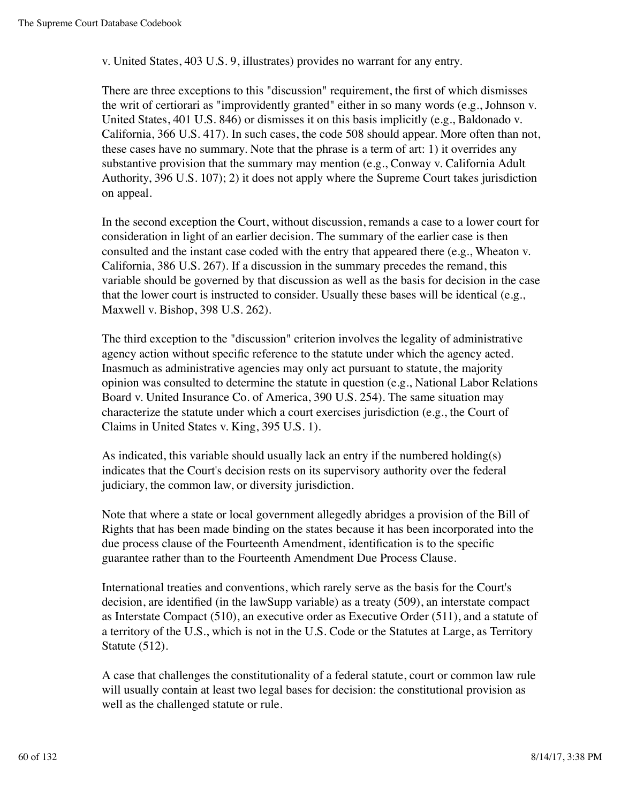v. United States, 403 U.S. 9, illustrates) provides no warrant for any entry.

There are three exceptions to this "discussion" requirement, the first of which dismisses the writ of certiorari as "improvidently granted" either in so many words (e.g., Johnson v. United States, 401 U.S. 846) or dismisses it on this basis implicitly (e.g., Baldonado v. California, 366 U.S. 417). In such cases, the code 508 should appear. More often than not, these cases have no summary. Note that the phrase is a term of art: 1) it overrides any substantive provision that the summary may mention (e.g., Conway v. California Adult Authority, 396 U.S. 107); 2) it does not apply where the Supreme Court takes jurisdiction on appeal.

In the second exception the Court, without discussion, remands a case to a lower court for consideration in light of an earlier decision. The summary of the earlier case is then consulted and the instant case coded with the entry that appeared there (e.g., Wheaton v. California, 386 U.S. 267). If a discussion in the summary precedes the remand, this variable should be governed by that discussion as well as the basis for decision in the case that the lower court is instructed to consider. Usually these bases will be identical (e.g., Maxwell v. Bishop, 398 U.S. 262).

The third exception to the "discussion" criterion involves the legality of administrative agency action without specific reference to the statute under which the agency acted. Inasmuch as administrative agencies may only act pursuant to statute, the majority opinion was consulted to determine the statute in question (e.g., National Labor Relations Board v. United Insurance Co. of America, 390 U.S. 254). The same situation may characterize the statute under which a court exercises jurisdiction (e.g., the Court of Claims in United States v. King, 395 U.S. 1).

As indicated, this variable should usually lack an entry if the numbered holding(s) indicates that the Court's decision rests on its supervisory authority over the federal judiciary, the common law, or diversity jurisdiction.

Note that where a state or local government allegedly abridges a provision of the Bill of Rights that has been made binding on the states because it has been incorporated into the due process clause of the Fourteenth Amendment, identification is to the specific guarantee rather than to the Fourteenth Amendment Due Process Clause.

International treaties and conventions, which rarely serve as the basis for the Court's decision, are identified (in the lawSupp variable) as a treaty (509), an interstate compact as Interstate Compact (510), an executive order as Executive Order (511), and a statute of a territory of the U.S., which is not in the U.S. Code or the Statutes at Large, as Territory Statute (512).

A case that challenges the constitutionality of a federal statute, court or common law rule will usually contain at least two legal bases for decision: the constitutional provision as well as the challenged statute or rule.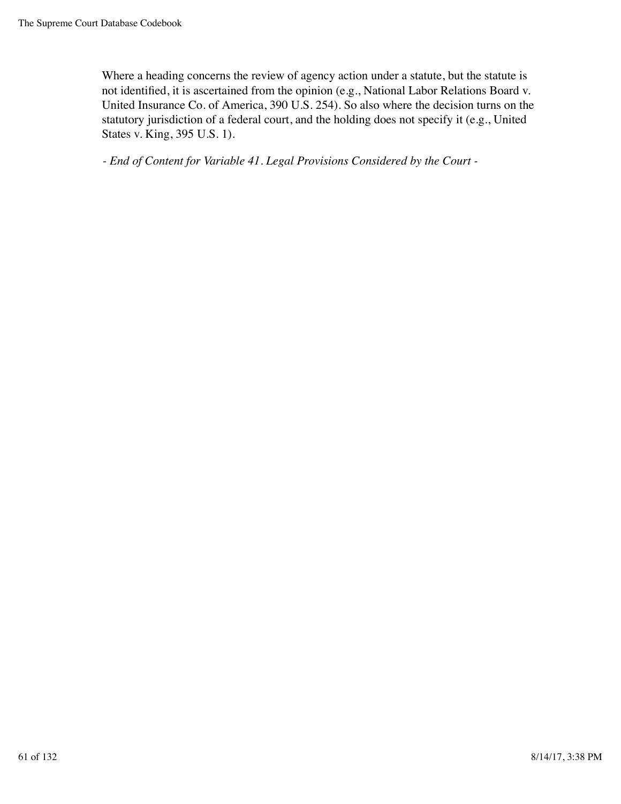Where a heading concerns the review of agency action under a statute, but the statute is not identified, it is ascertained from the opinion (e.g., National Labor Relations Board v. United Insurance Co. of America, 390 U.S. 254). So also where the decision turns on the statutory jurisdiction of a federal court, and the holding does not specify it (e.g., United States v. King, 395 U.S. 1).

*- End of Content for Variable 41. Legal Provisions Considered by the Court -*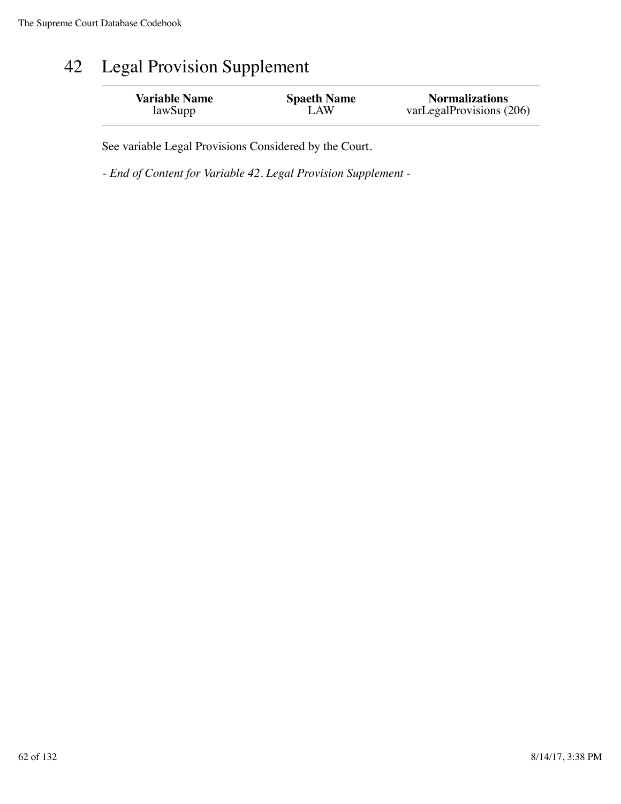### 42 Legal Provision Supplement

| <b>Variable Name</b> | <b>Spaeth Name</b> | <b>Normalizations</b>    |
|----------------------|--------------------|--------------------------|
| lawSupp              | LAW                | varLegalProvisions (206) |

See variable Legal Provisions Considered by the Court.

*- End of Content for Variable 42. Legal Provision Supplement -*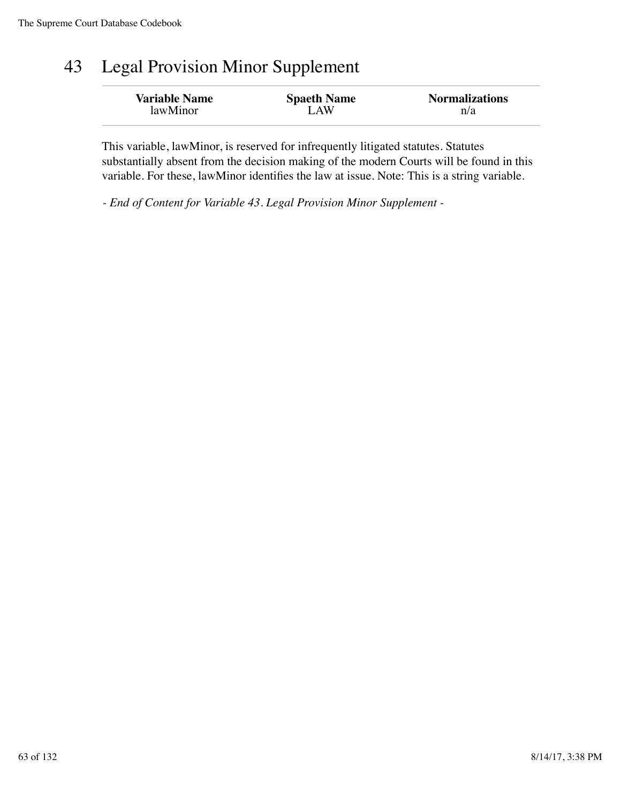## 43 Legal Provision Minor Supplement

| <b>Variable Name</b> | <b>Spaeth Name</b> | <b>Normalizations</b> |
|----------------------|--------------------|-----------------------|
| lawMinor             | LAW                | n/a                   |

This variable, lawMinor, is reserved for infrequently litigated statutes. Statutes substantially absent from the decision making of the modern Courts will be found in this variable. For these, lawMinor identifies the law at issue. Note: This is a string variable.

*- End of Content for Variable 43. Legal Provision Minor Supplement -*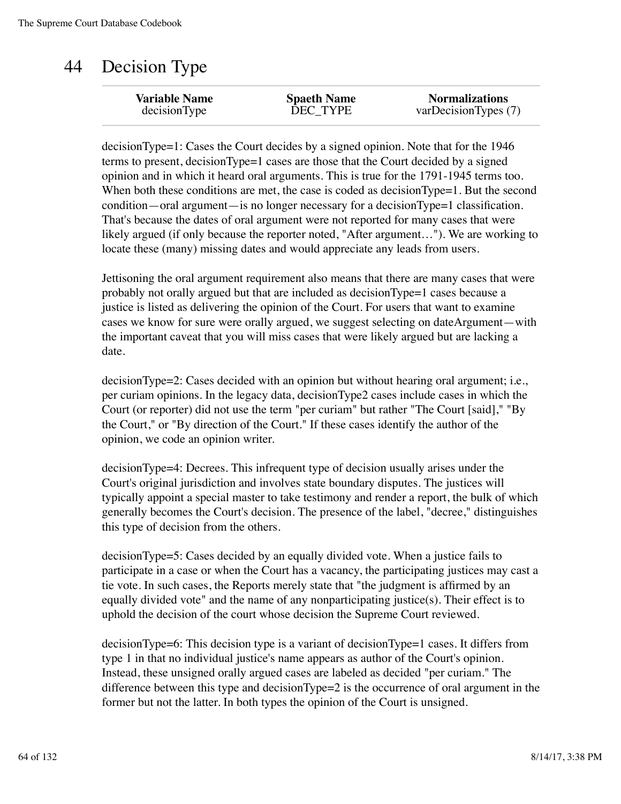# 44 Decision Type

| <b>Variable Name</b> | <b>Spaeth Name</b> | <b>Normalizations</b> |
|----------------------|--------------------|-----------------------|
| decisionType         | DEC TYPE           | varDecisionTypes (7)  |
|                      |                    |                       |

decisionType=1: Cases the Court decides by a signed opinion. Note that for the 1946 terms to present, decisionType=1 cases are those that the Court decided by a signed opinion and in which it heard oral arguments. This is true for the 1791-1945 terms too. When both these conditions are met, the case is coded as decisionType=1. But the second condition—oral argument—is no longer necessary for a decisionType=1 classification. That's because the dates of oral argument were not reported for many cases that were likely argued (if only because the reporter noted, "After argument…"). We are working to locate these (many) missing dates and would appreciate any leads from users.

Jettisoning the oral argument requirement also means that there are many cases that were probably not orally argued but that are included as decisionType=1 cases because a justice is listed as delivering the opinion of the Court. For users that want to examine cases we know for sure were orally argued, we suggest selecting on dateArgument—with the important caveat that you will miss cases that were likely argued but are lacking a date.

decisionType=2: Cases decided with an opinion but without hearing oral argument; i.e., per curiam opinions. In the legacy data, decisionType2 cases include cases in which the Court (or reporter) did not use the term "per curiam" but rather "The Court [said]," "By the Court," or "By direction of the Court." If these cases identify the author of the opinion, we code an opinion writer.

decisionType=4: Decrees. This infrequent type of decision usually arises under the Court's original jurisdiction and involves state boundary disputes. The justices will typically appoint a special master to take testimony and render a report, the bulk of which generally becomes the Court's decision. The presence of the label, "decree," distinguishes this type of decision from the others.

decisionType=5: Cases decided by an equally divided vote. When a justice fails to participate in a case or when the Court has a vacancy, the participating justices may cast a tie vote. In such cases, the Reports merely state that "the judgment is affirmed by an equally divided vote" and the name of any nonparticipating justice(s). Their effect is to uphold the decision of the court whose decision the Supreme Court reviewed.

decisionType=6: This decision type is a variant of decisionType=1 cases. It differs from type 1 in that no individual justice's name appears as author of the Court's opinion. Instead, these unsigned orally argued cases are labeled as decided "per curiam." The difference between this type and decisionType=2 is the occurrence of oral argument in the former but not the latter. In both types the opinion of the Court is unsigned.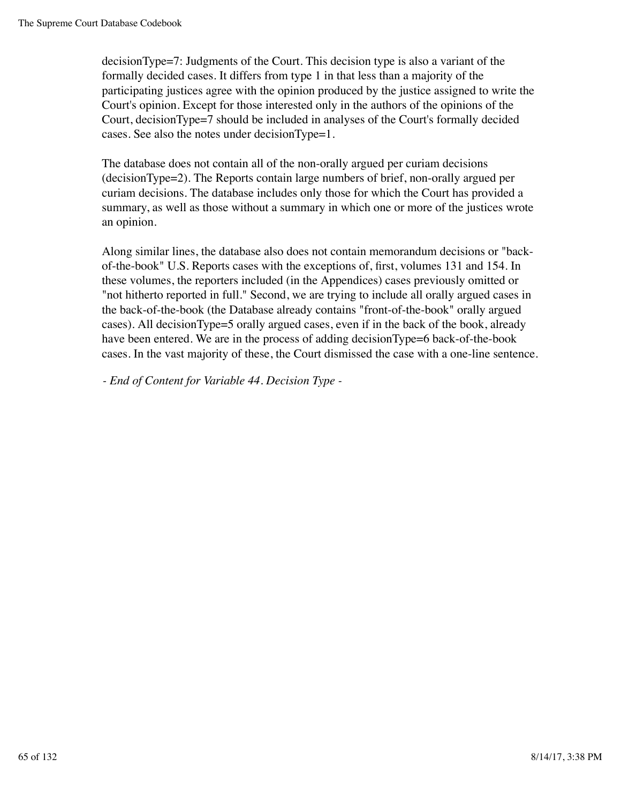decisionType=7: Judgments of the Court. This decision type is also a variant of the formally decided cases. It differs from type 1 in that less than a majority of the participating justices agree with the opinion produced by the justice assigned to write the Court's opinion. Except for those interested only in the authors of the opinions of the Court, decisionType=7 should be included in analyses of the Court's formally decided cases. See also the notes under decisionType=1.

The database does not contain all of the non-orally argued per curiam decisions (decisionType=2). The Reports contain large numbers of brief, non-orally argued per curiam decisions. The database includes only those for which the Court has provided a summary, as well as those without a summary in which one or more of the justices wrote an opinion.

Along similar lines, the database also does not contain memorandum decisions or "backof-the-book" U.S. Reports cases with the exceptions of, first, volumes 131 and 154. In these volumes, the reporters included (in the Appendices) cases previously omitted or "not hitherto reported in full." Second, we are trying to include all orally argued cases in the back-of-the-book (the Database already contains "front-of-the-book" orally argued cases). All decisionType=5 orally argued cases, even if in the back of the book, already have been entered. We are in the process of adding decisionType=6 back-of-the-book cases. In the vast majority of these, the Court dismissed the case with a one-line sentence.

*- End of Content for Variable 44. Decision Type -*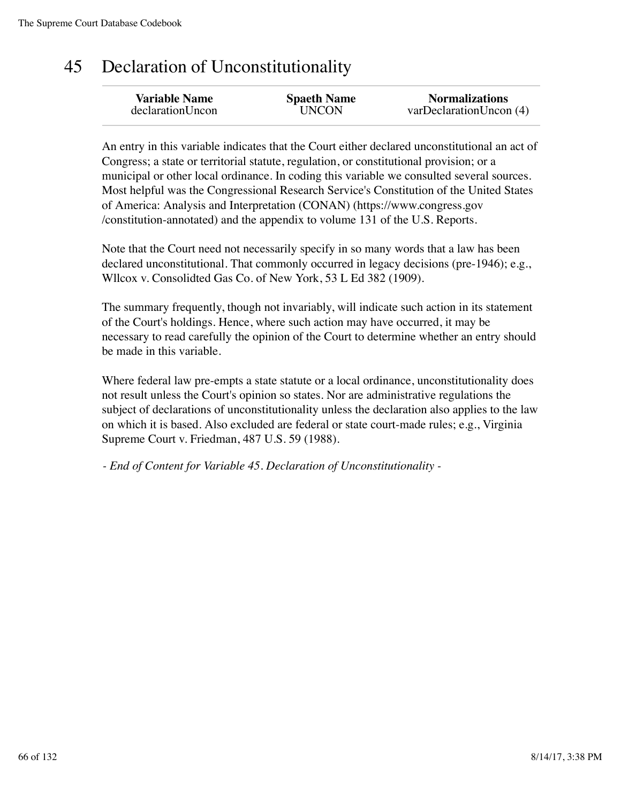## 45 Declaration of Unconstitutionality

An entry in this variable indicates that the Court either declared unconstitutional an act of Congress; a state or territorial statute, regulation, or constitutional provision; or a municipal or other local ordinance. In coding this variable we consulted several sources. Most helpful was the Congressional Research Service's Constitution of the United States of America: Analysis and Interpretation (CONAN) (https://www.congress.gov /constitution-annotated) and the appendix to volume 131 of the U.S. Reports.

Note that the Court need not necessarily specify in so many words that a law has been declared unconstitutional. That commonly occurred in legacy decisions (pre-1946); e.g., Wllcox v. Consolidted Gas Co. of New York, 53 L Ed 382 (1909).

The summary frequently, though not invariably, will indicate such action in its statement of the Court's holdings. Hence, where such action may have occurred, it may be necessary to read carefully the opinion of the Court to determine whether an entry should be made in this variable.

Where federal law pre-empts a state statute or a local ordinance, unconstitutionality does not result unless the Court's opinion so states. Nor are administrative regulations the subject of declarations of unconstitutionality unless the declaration also applies to the law on which it is based. Also excluded are federal or state court-made rules; e.g., Virginia Supreme Court v. Friedman, 487 U.S. 59 (1988).

*- End of Content for Variable 45. Declaration of Unconstitutionality -*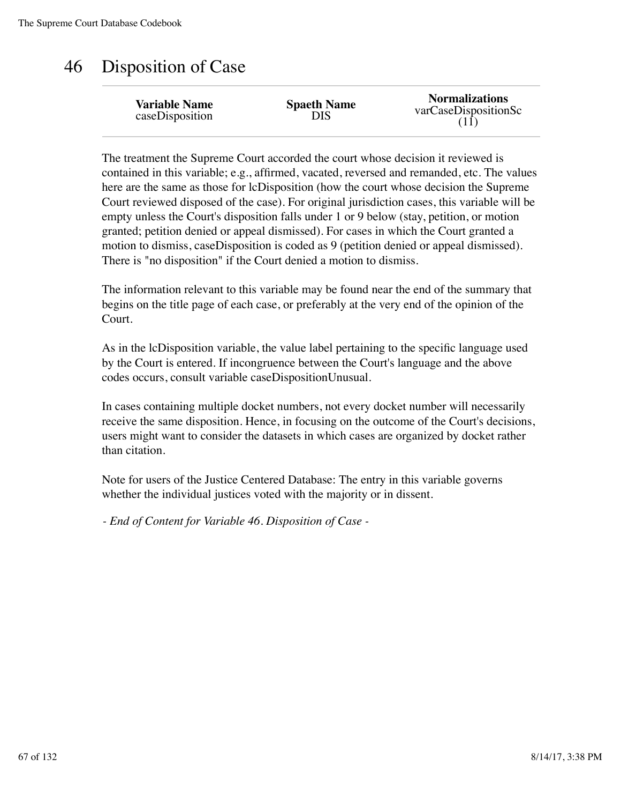#### 46 Disposition of Case

| <b>Variable Name</b> | <b>Spaeth Name</b> | <b>Normalizations</b> |
|----------------------|--------------------|-----------------------|
| caseDisposition      | DIS                | varCaseDispositionSc  |

The treatment the Supreme Court accorded the court whose decision it reviewed is contained in this variable; e.g., affirmed, vacated, reversed and remanded, etc. The values here are the same as those for lcDisposition (how the court whose decision the Supreme Court reviewed disposed of the case). For original jurisdiction cases, this variable will be empty unless the Court's disposition falls under 1 or 9 below (stay, petition, or motion granted; petition denied or appeal dismissed). For cases in which the Court granted a motion to dismiss, caseDisposition is coded as 9 (petition denied or appeal dismissed). There is "no disposition" if the Court denied a motion to dismiss.

The information relevant to this variable may be found near the end of the summary that begins on the title page of each case, or preferably at the very end of the opinion of the Court.

As in the lcDisposition variable, the value label pertaining to the specific language used by the Court is entered. If incongruence between the Court's language and the above codes occurs, consult variable caseDispositionUnusual.

In cases containing multiple docket numbers, not every docket number will necessarily receive the same disposition. Hence, in focusing on the outcome of the Court's decisions, users might want to consider the datasets in which cases are organized by docket rather than citation.

Note for users of the Justice Centered Database: The entry in this variable governs whether the individual justices voted with the majority or in dissent.

*- End of Content for Variable 46. Disposition of Case -*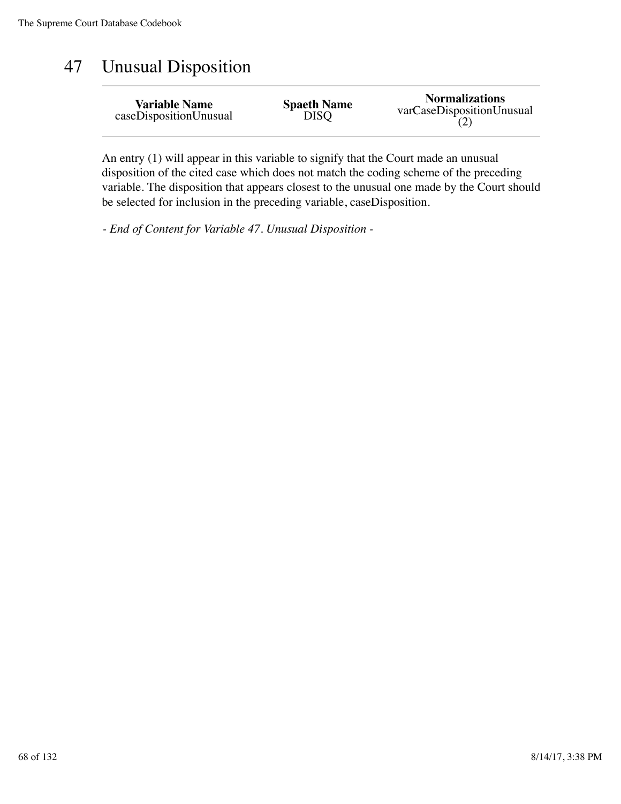# 47 Unusual Disposition

| <b>Variable Name</b>   | <b>Spaeth Name</b> | <b>Normalizations</b>     |
|------------------------|--------------------|---------------------------|
| caseDispositionUnusual | <b>DISQ</b>        | varCaseDispositionUnusual |

An entry (1) will appear in this variable to signify that the Court made an unusual disposition of the cited case which does not match the coding scheme of the preceding variable. The disposition that appears closest to the unusual one made by the Court should be selected for inclusion in the preceding variable, caseDisposition.

*- End of Content for Variable 47. Unusual Disposition -*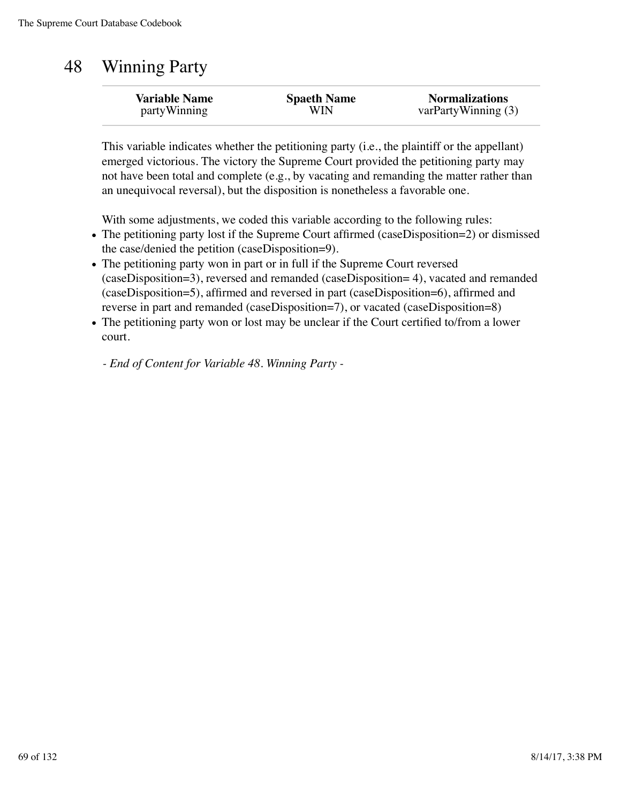### 48 Winning Party

| <b>Variable Name</b> | <b>Spaeth Name</b> | <b>Normalizations</b> |
|----------------------|--------------------|-----------------------|
| partyWinning         | WIN                | varPartyWinning $(3)$ |
|                      |                    |                       |

This variable indicates whether the petitioning party (i.e., the plaintiff or the appellant) emerged victorious. The victory the Supreme Court provided the petitioning party may not have been total and complete (e.g., by vacating and remanding the matter rather than an unequivocal reversal), but the disposition is nonetheless a favorable one.

With some adjustments, we coded this variable according to the following rules:

- The petitioning party lost if the Supreme Court affirmed (caseDisposition=2) or dismissed the case/denied the petition (caseDisposition=9).
- The petitioning party won in part or in full if the Supreme Court reversed (caseDisposition=3), reversed and remanded (caseDisposition= 4), vacated and remanded (caseDisposition=5), affirmed and reversed in part (caseDisposition=6), affirmed and reverse in part and remanded (caseDisposition=7), or vacated (caseDisposition=8)
- The petitioning party won or lost may be unclear if the Court certified to/from a lower court.

*- End of Content for Variable 48. Winning Party -*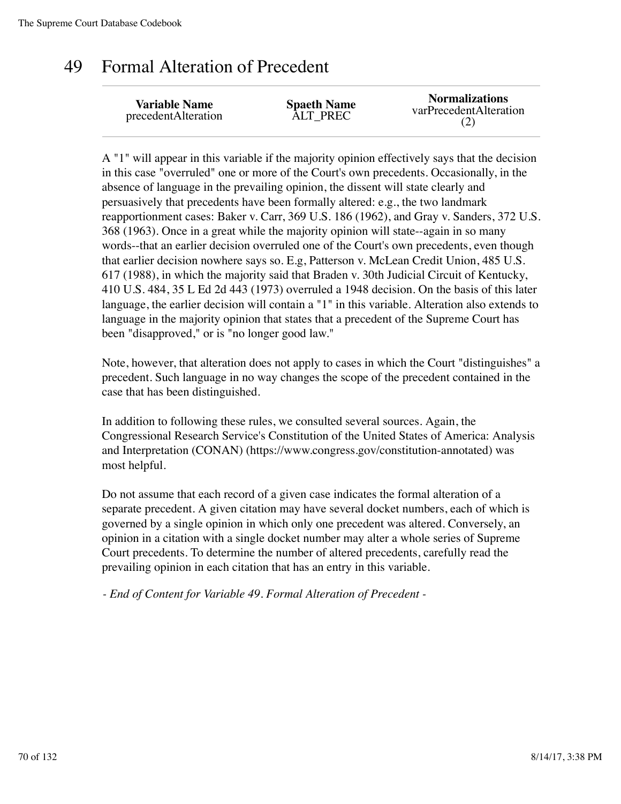#### 49 Formal Alteration of Precedent

| <b>Variable Name</b> | <b>Spaeth Name</b> | <b>Normalizations</b>  |
|----------------------|--------------------|------------------------|
| precedentAlteration  | <b>ALT PREC</b>    | varPrecedentAlteration |

A "1" will appear in this variable if the majority opinion effectively says that the decision in this case "overruled" one or more of the Court's own precedents. Occasionally, in the absence of language in the prevailing opinion, the dissent will state clearly and persuasively that precedents have been formally altered: e.g., the two landmark reapportionment cases: Baker v. Carr, 369 U.S. 186 (1962), and Gray v. Sanders, 372 U.S. 368 (1963). Once in a great while the majority opinion will state--again in so many words--that an earlier decision overruled one of the Court's own precedents, even though that earlier decision nowhere says so. E.g, Patterson v. McLean Credit Union, 485 U.S. 617 (1988), in which the majority said that Braden v. 30th Judicial Circuit of Kentucky, 410 U.S. 484, 35 L Ed 2d 443 (1973) overruled a 1948 decision. On the basis of this later language, the earlier decision will contain a "1" in this variable. Alteration also extends to language in the majority opinion that states that a precedent of the Supreme Court has been "disapproved," or is "no longer good law."

Note, however, that alteration does not apply to cases in which the Court "distinguishes" a precedent. Such language in no way changes the scope of the precedent contained in the case that has been distinguished.

In addition to following these rules, we consulted several sources. Again, the Congressional Research Service's Constitution of the United States of America: Analysis and Interpretation (CONAN) (https://www.congress.gov/constitution-annotated) was most helpful.

Do not assume that each record of a given case indicates the formal alteration of a separate precedent. A given citation may have several docket numbers, each of which is governed by a single opinion in which only one precedent was altered. Conversely, an opinion in a citation with a single docket number may alter a whole series of Supreme Court precedents. To determine the number of altered precedents, carefully read the prevailing opinion in each citation that has an entry in this variable.

*- End of Content for Variable 49. Formal Alteration of Precedent -*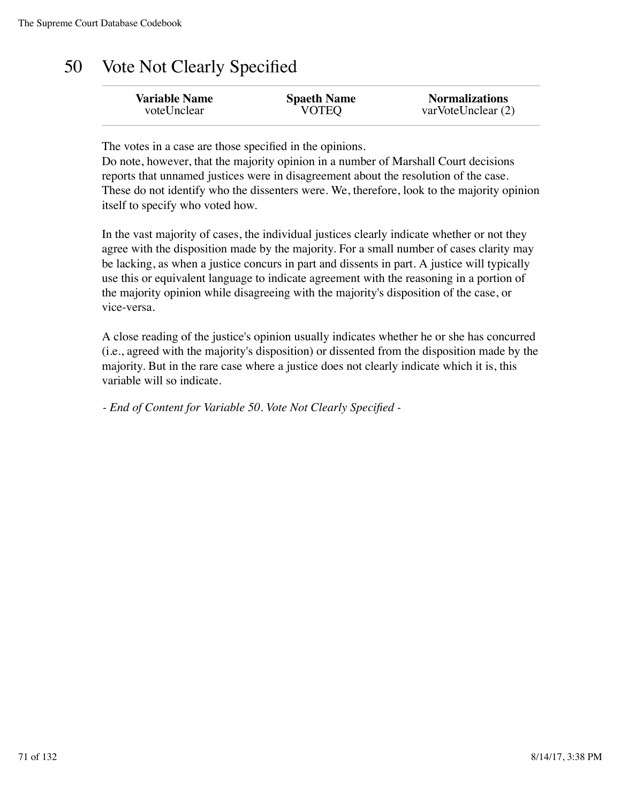#### 50 Vote Not Clearly Specified

| <b>Variable Name</b> | <b>Spaeth Name</b> | <b>Normalizations</b> |
|----------------------|--------------------|-----------------------|
| voteUnclear          | <b>VOTEQ</b>       | varVoteUnclear (2)    |
|                      |                    |                       |

The votes in a case are those specified in the opinions.

Do note, however, that the majority opinion in a number of Marshall Court decisions reports that unnamed justices were in disagreement about the resolution of the case. These do not identify who the dissenters were. We, therefore, look to the majority opinion itself to specify who voted how.

In the vast majority of cases, the individual justices clearly indicate whether or not they agree with the disposition made by the majority. For a small number of cases clarity may be lacking, as when a justice concurs in part and dissents in part. A justice will typically use this or equivalent language to indicate agreement with the reasoning in a portion of the majority opinion while disagreeing with the majority's disposition of the case, or vice-versa.

A close reading of the justice's opinion usually indicates whether he or she has concurred (i.e., agreed with the majority's disposition) or dissented from the disposition made by the majority. But in the rare case where a justice does not clearly indicate which it is, this variable will so indicate.

*- End of Content for Variable 50. Vote Not Clearly Specified -*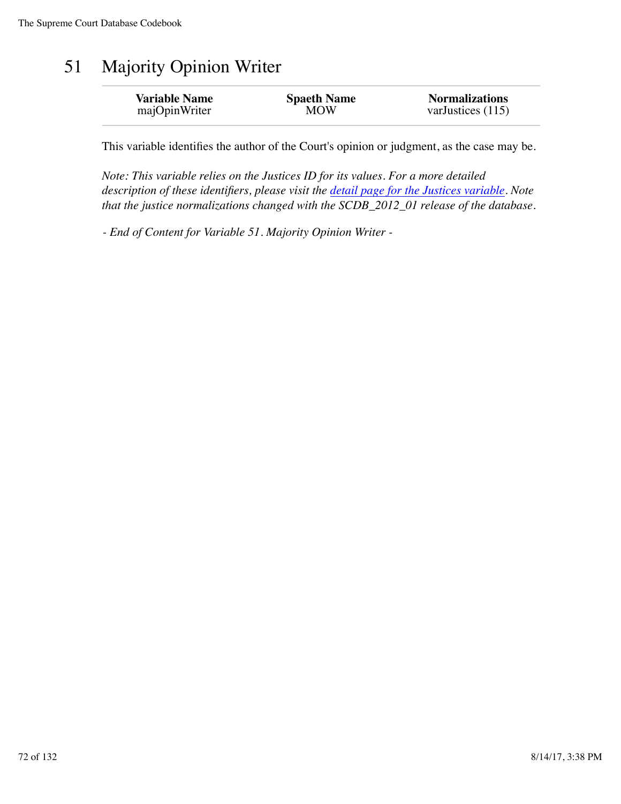# 51 Majority Opinion Writer

| <b>Variable Name</b> | <b>Spaeth Name</b> | <b>Normalizations</b> |
|----------------------|--------------------|-----------------------|
| majOpinWriter        | <b>MOW</b>         | varJustices $(115)$   |

This variable identifies the author of the Court's opinion or judgment, as the case may be.

*Note: This variable relies on the Justices ID for its values. For a more detailed description of these identifiers, please visit the detail page for the Justices variable. Note that the justice normalizations changed with the SCDB\_2012\_01 release of the database.*

*- End of Content for Variable 51. Majority Opinion Writer -*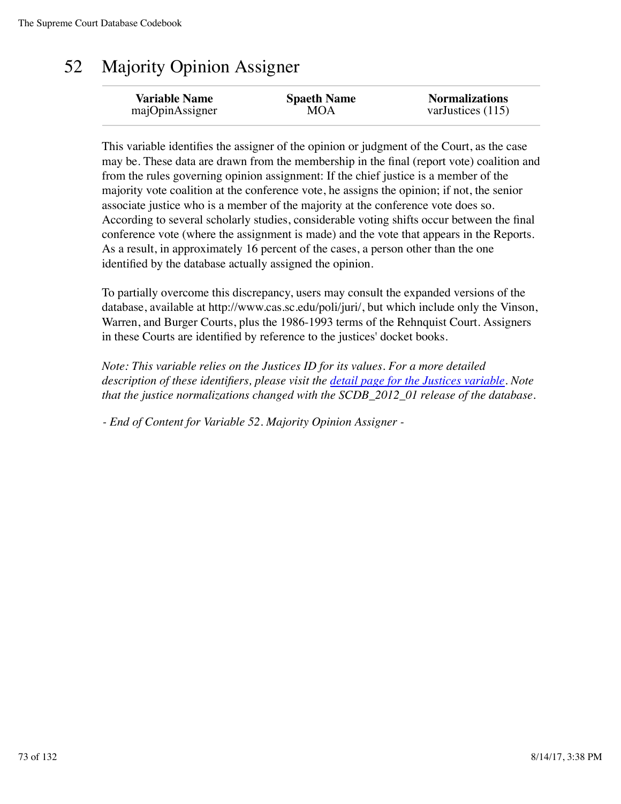## 52 Majority Opinion Assigner

| <b>Variable Name</b> | <b>Spaeth Name</b> | <b>Normalizations</b> |
|----------------------|--------------------|-----------------------|
| majOpinAssigner      | MOA                | varJustices (115)     |
|                      |                    |                       |

This variable identifies the assigner of the opinion or judgment of the Court, as the case may be. These data are drawn from the membership in the final (report vote) coalition and from the rules governing opinion assignment: If the chief justice is a member of the majority vote coalition at the conference vote, he assigns the opinion; if not, the senior associate justice who is a member of the majority at the conference vote does so. According to several scholarly studies, considerable voting shifts occur between the final conference vote (where the assignment is made) and the vote that appears in the Reports. As a result, in approximately 16 percent of the cases, a person other than the one identified by the database actually assigned the opinion.

To partially overcome this discrepancy, users may consult the expanded versions of the database, available at http://www.cas.sc.edu/poli/juri/, but which include only the Vinson, Warren, and Burger Courts, plus the 1986-1993 terms of the Rehnquist Court. Assigners in these Courts are identified by reference to the justices' docket books.

*Note: This variable relies on the Justices ID for its values. For a more detailed description of these identifiers, please visit the detail page for the Justices variable. Note that the justice normalizations changed with the SCDB\_2012\_01 release of the database.*

*- End of Content for Variable 52. Majority Opinion Assigner -*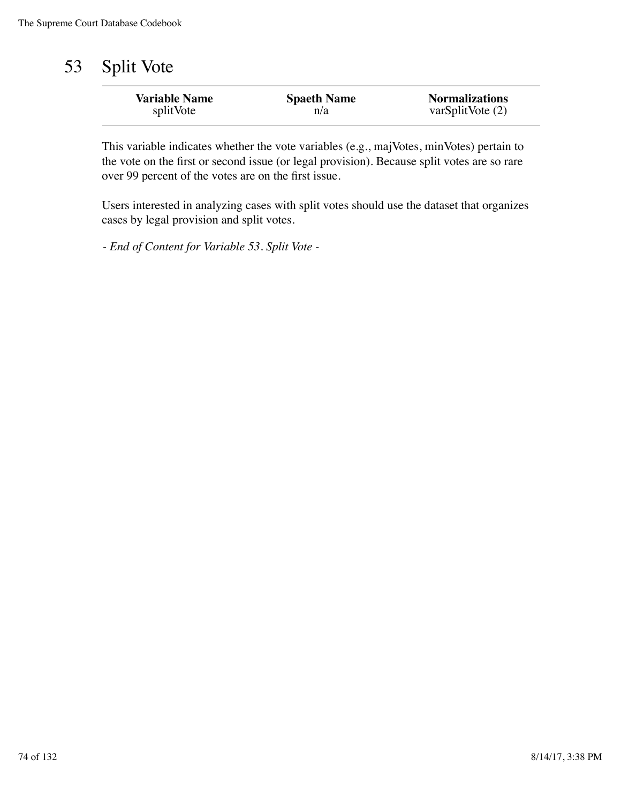## 53 Split Vote

| <b>Variable Name</b> | <b>Spaeth Name</b> | <b>Normalizations</b> |
|----------------------|--------------------|-----------------------|
| splitVote            | n/a                | varSplitVote $(2)$    |

This variable indicates whether the vote variables (e.g., majVotes, minVotes) pertain to the vote on the first or second issue (or legal provision). Because split votes are so rare over 99 percent of the votes are on the first issue.

Users interested in analyzing cases with split votes should use the dataset that organizes cases by legal provision and split votes.

*- End of Content for Variable 53. Split Vote -*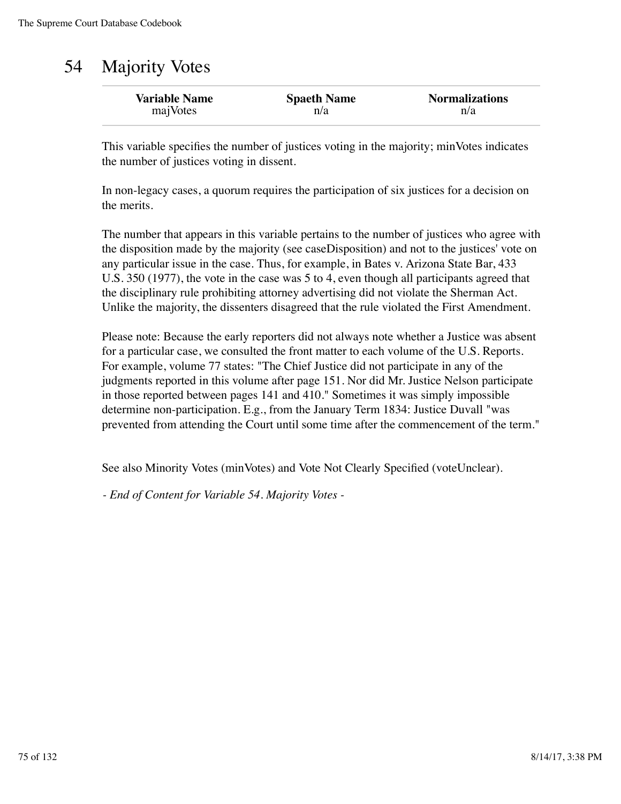## 54 Majority Votes

| <b>Variable Name</b> | <b>Spaeth Name</b> | <b>Normalizations</b> |
|----------------------|--------------------|-----------------------|
| majVotes             | n/a                | n/a                   |

This variable specifies the number of justices voting in the majority; minVotes indicates the number of justices voting in dissent.

In non-legacy cases, a quorum requires the participation of six justices for a decision on the merits.

The number that appears in this variable pertains to the number of justices who agree with the disposition made by the majority (see caseDisposition) and not to the justices' vote on any particular issue in the case. Thus, for example, in Bates v. Arizona State Bar, 433 U.S. 350 (1977), the vote in the case was 5 to 4, even though all participants agreed that the disciplinary rule prohibiting attorney advertising did not violate the Sherman Act. Unlike the majority, the dissenters disagreed that the rule violated the First Amendment.

Please note: Because the early reporters did not always note whether a Justice was absent for a particular case, we consulted the front matter to each volume of the U.S. Reports. For example, volume 77 states: "The Chief Justice did not participate in any of the judgments reported in this volume after page 151. Nor did Mr. Justice Nelson participate in those reported between pages 141 and 410." Sometimes it was simply impossible determine non-participation. E.g., from the January Term 1834: Justice Duvall "was prevented from attending the Court until some time after the commencement of the term."

See also Minority Votes (minVotes) and Vote Not Clearly Specified (voteUnclear).

*- End of Content for Variable 54. Majority Votes -*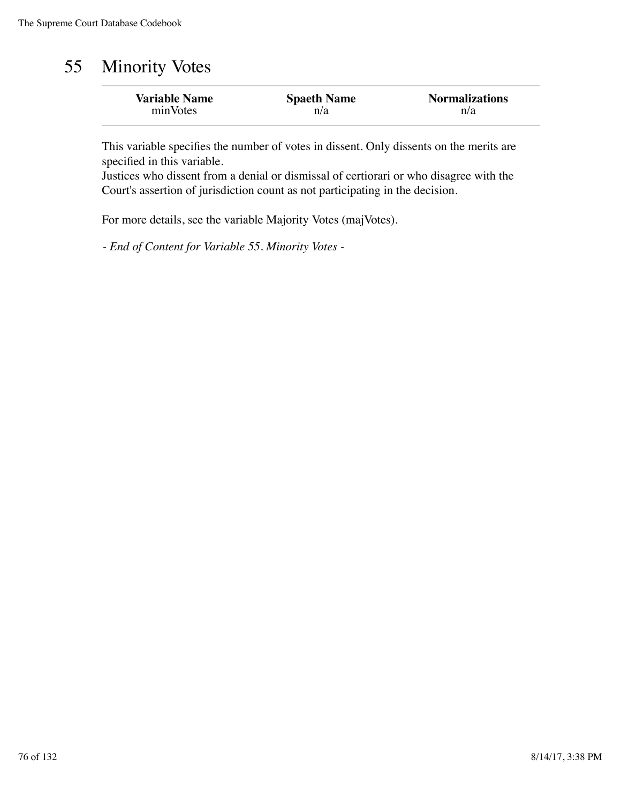## 55 Minority Votes

| <b>Variable Name</b> | <b>Spaeth Name</b> | <b>Normalizations</b> |
|----------------------|--------------------|-----------------------|
| minVotes             | n/a                | n/a                   |

This variable specifies the number of votes in dissent. Only dissents on the merits are specified in this variable.

Justices who dissent from a denial or dismissal of certiorari or who disagree with the Court's assertion of jurisdiction count as not participating in the decision.

For more details, see the variable Majority Votes (majVotes).

*- End of Content for Variable 55. Minority Votes -*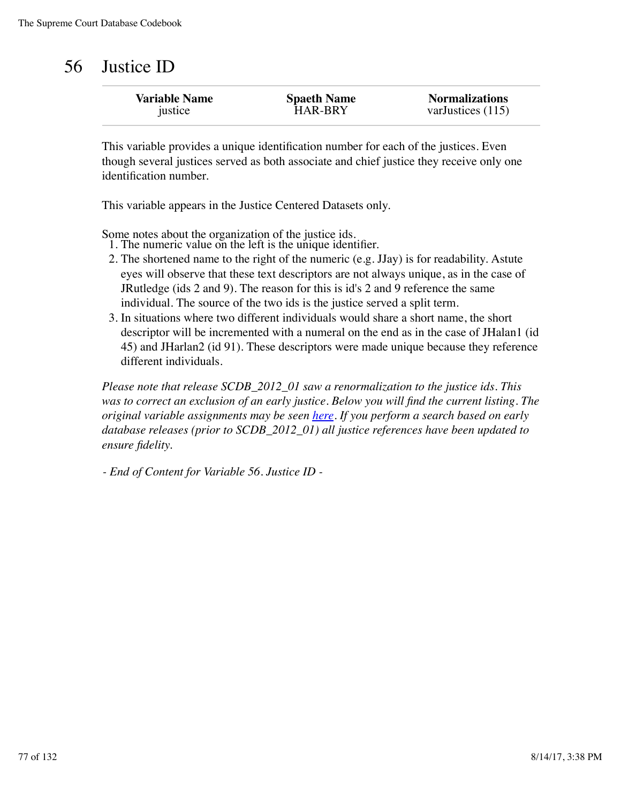## 56 Justice ID

| <b>Variable Name</b> | <b>Spaeth Name</b> | <b>Normalizations</b> |
|----------------------|--------------------|-----------------------|
| justice              | <b>HAR-BRY</b>     | varJustices $(115)$   |
|                      |                    |                       |

This variable provides a unique identification number for each of the justices. Even though several justices served as both associate and chief justice they receive only one identification number.

This variable appears in the Justice Centered Datasets only.

Some notes about the organization of the justice ids. 1. The numeric value on the left is the unique identifier.

- 2. The shortened name to the right of the numeric (e.g. JJay) is for readability. Astute eyes will observe that these text descriptors are not always unique, as in the case of JRutledge (ids 2 and 9). The reason for this is id's 2 and 9 reference the same individual. The source of the two ids is the justice served a split term.
- 3. In situations where two different individuals would share a short name, the short descriptor will be incremented with a numeral on the end as in the case of JHalan1 (id 45) and JHarlan2 (id 91). These descriptors were made unique because they reference different individuals.

*Please note that release SCDB\_2012\_01 saw a renormalization to the justice ids. This was to correct an exclusion of an early justice. Below you will find the current listing. The original variable assignments may be seen here. If you perform a search based on early database releases (prior to SCDB\_2012\_01) all justice references have been updated to ensure fidelity.*

*- End of Content for Variable 56. Justice ID -*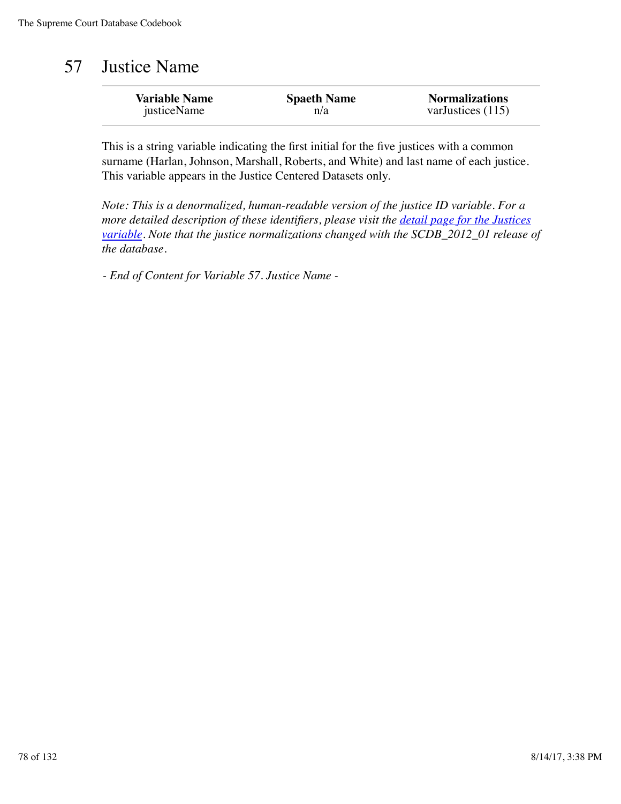## 57 Justice Name

| <b>Variable Name</b> | <b>Spaeth Name</b> | <b>Normalizations</b> |
|----------------------|--------------------|-----------------------|
| justiceName          | n/a                | varJustices (115)     |

This is a string variable indicating the first initial for the five justices with a common surname (Harlan, Johnson, Marshall, Roberts, and White) and last name of each justice. This variable appears in the Justice Centered Datasets only.

*Note: This is a denormalized, human-readable version of the justice ID variable. For a more detailed description of these identifiers, please visit the detail page for the Justices variable. Note that the justice normalizations changed with the SCDB\_2012\_01 release of the database.*

*- End of Content for Variable 57. Justice Name -*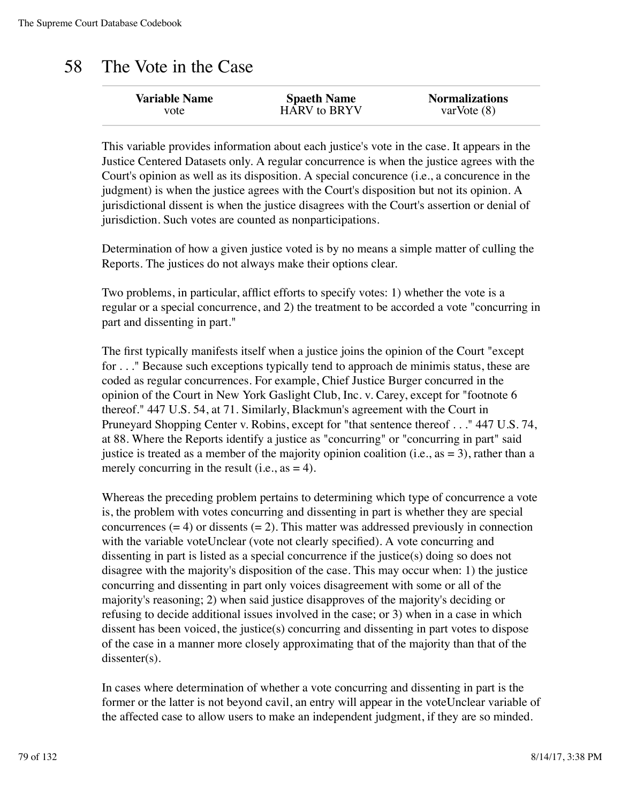### 58 The Vote in the Case

| <b>Variable Name</b> | <b>Spaeth Name</b>  | <b>Normalizations</b> |
|----------------------|---------------------|-----------------------|
| vote                 | <b>HARV</b> to BRYV | varVote $(8)$         |
|                      |                     |                       |

This variable provides information about each justice's vote in the case. It appears in the Justice Centered Datasets only. A regular concurrence is when the justice agrees with the Court's opinion as well as its disposition. A special concurence (i.e., a concurence in the judgment) is when the justice agrees with the Court's disposition but not its opinion. A jurisdictional dissent is when the justice disagrees with the Court's assertion or denial of jurisdiction. Such votes are counted as nonparticipations.

Determination of how a given justice voted is by no means a simple matter of culling the Reports. The justices do not always make their options clear.

Two problems, in particular, afflict efforts to specify votes: 1) whether the vote is a regular or a special concurrence, and 2) the treatment to be accorded a vote "concurring in part and dissenting in part."

The first typically manifests itself when a justice joins the opinion of the Court "except for . . ." Because such exceptions typically tend to approach de minimis status, these are coded as regular concurrences. For example, Chief Justice Burger concurred in the opinion of the Court in New York Gaslight Club, Inc. v. Carey, except for "footnote 6 thereof." 447 U.S. 54, at 71. Similarly, Blackmun's agreement with the Court in Pruneyard Shopping Center v. Robins, except for "that sentence thereof . . ." 447 U.S. 74, at 88. Where the Reports identify a justice as "concurring" or "concurring in part" said justice is treated as a member of the majority opinion coalition (i.e.,  $as = 3$ ), rather than a merely concurring in the result (i.e.,  $as = 4$ ).

Whereas the preceding problem pertains to determining which type of concurrence a vote is, the problem with votes concurring and dissenting in part is whether they are special concurrences  $(= 4)$  or dissents  $(= 2)$ . This matter was addressed previously in connection with the variable voteUnclear (vote not clearly specified). A vote concurring and dissenting in part is listed as a special concurrence if the justice(s) doing so does not disagree with the majority's disposition of the case. This may occur when: 1) the justice concurring and dissenting in part only voices disagreement with some or all of the majority's reasoning; 2) when said justice disapproves of the majority's deciding or refusing to decide additional issues involved in the case; or 3) when in a case in which dissent has been voiced, the justice(s) concurring and dissenting in part votes to dispose of the case in a manner more closely approximating that of the majority than that of the dissenter(s).

In cases where determination of whether a vote concurring and dissenting in part is the former or the latter is not beyond cavil, an entry will appear in the voteUnclear variable of the affected case to allow users to make an independent judgment, if they are so minded.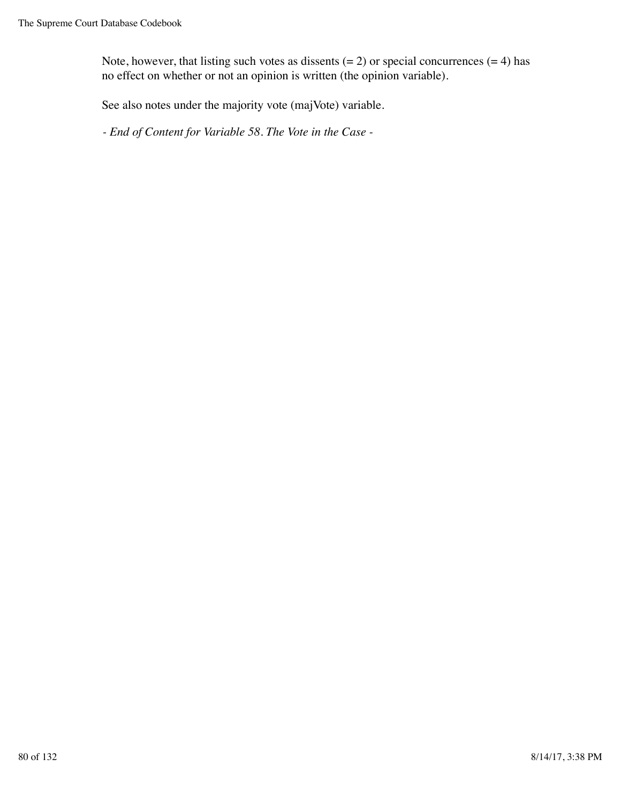Note, however, that listing such votes as dissents  $(= 2)$  or special concurrences  $(= 4)$  has no effect on whether or not an opinion is written (the opinion variable).

See also notes under the majority vote (majVote) variable.

*- End of Content for Variable 58. The Vote in the Case -*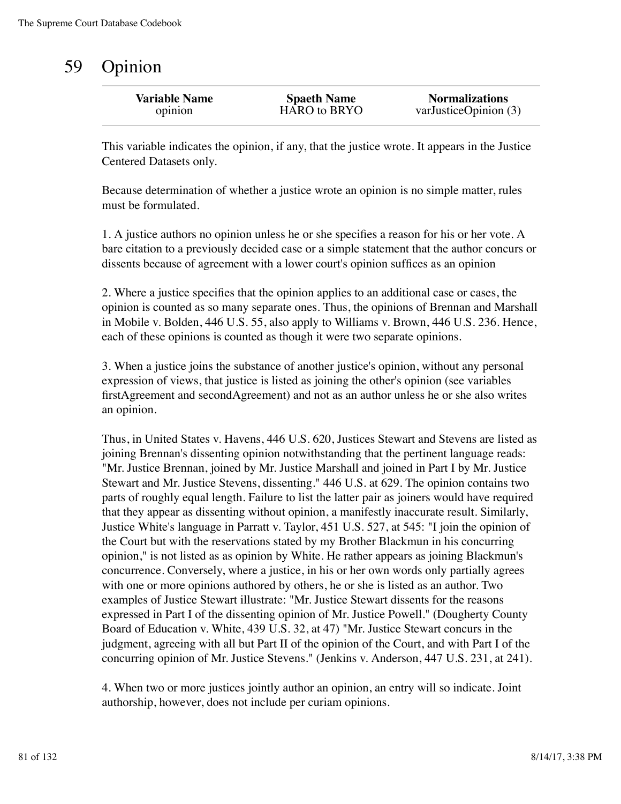## 59 Opinion

| <b>Variable Name</b> | <b>Spaeth Name</b> | <b>Normalizations</b> |
|----------------------|--------------------|-----------------------|
| opinion              | HARO to BRYO       | varJusticeOpinion (3) |
|                      |                    |                       |

This variable indicates the opinion, if any, that the justice wrote. It appears in the Justice Centered Datasets only.

Because determination of whether a justice wrote an opinion is no simple matter, rules must be formulated.

1. A justice authors no opinion unless he or she specifies a reason for his or her vote. A bare citation to a previously decided case or a simple statement that the author concurs or dissents because of agreement with a lower court's opinion suffices as an opinion

2. Where a justice specifies that the opinion applies to an additional case or cases, the opinion is counted as so many separate ones. Thus, the opinions of Brennan and Marshall in Mobile v. Bolden, 446 U.S. 55, also apply to Williams v. Brown, 446 U.S. 236. Hence, each of these opinions is counted as though it were two separate opinions.

3. When a justice joins the substance of another justice's opinion, without any personal expression of views, that justice is listed as joining the other's opinion (see variables firstAgreement and secondAgreement) and not as an author unless he or she also writes an opinion.

Thus, in United States v. Havens, 446 U.S. 620, Justices Stewart and Stevens are listed as joining Brennan's dissenting opinion notwithstanding that the pertinent language reads: "Mr. Justice Brennan, joined by Mr. Justice Marshall and joined in Part I by Mr. Justice Stewart and Mr. Justice Stevens, dissenting." 446 U.S. at 629. The opinion contains two parts of roughly equal length. Failure to list the latter pair as joiners would have required that they appear as dissenting without opinion, a manifestly inaccurate result. Similarly, Justice White's language in Parratt v. Taylor, 451 U.S. 527, at 545: "I join the opinion of the Court but with the reservations stated by my Brother Blackmun in his concurring opinion," is not listed as as opinion by White. He rather appears as joining Blackmun's concurrence. Conversely, where a justice, in his or her own words only partially agrees with one or more opinions authored by others, he or she is listed as an author. Two examples of Justice Stewart illustrate: "Mr. Justice Stewart dissents for the reasons expressed in Part I of the dissenting opinion of Mr. Justice Powell." (Dougherty County Board of Education v. White, 439 U.S. 32, at 47) "Mr. Justice Stewart concurs in the judgment, agreeing with all but Part II of the opinion of the Court, and with Part I of the concurring opinion of Mr. Justice Stevens." (Jenkins v. Anderson, 447 U.S. 231, at 241).

4. When two or more justices jointly author an opinion, an entry will so indicate. Joint authorship, however, does not include per curiam opinions.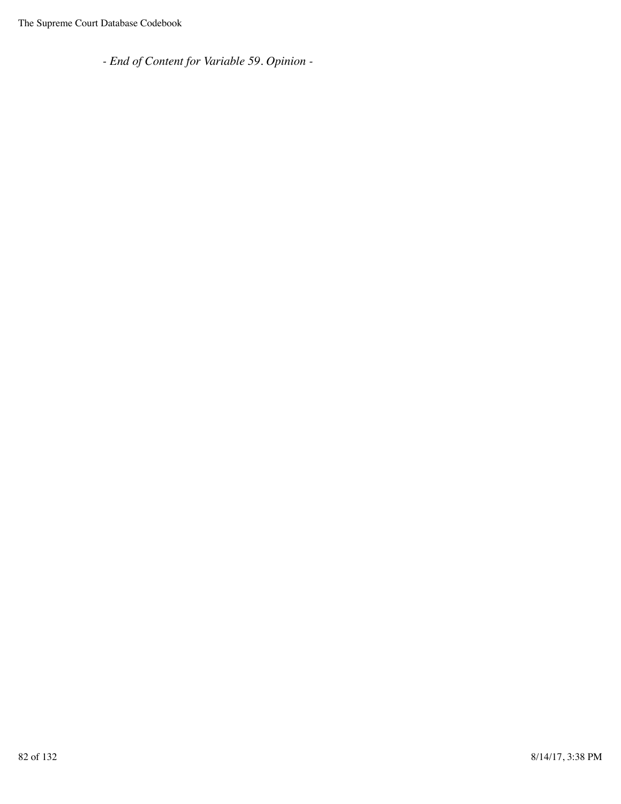*- End of Content for Variable 59. Opinion -*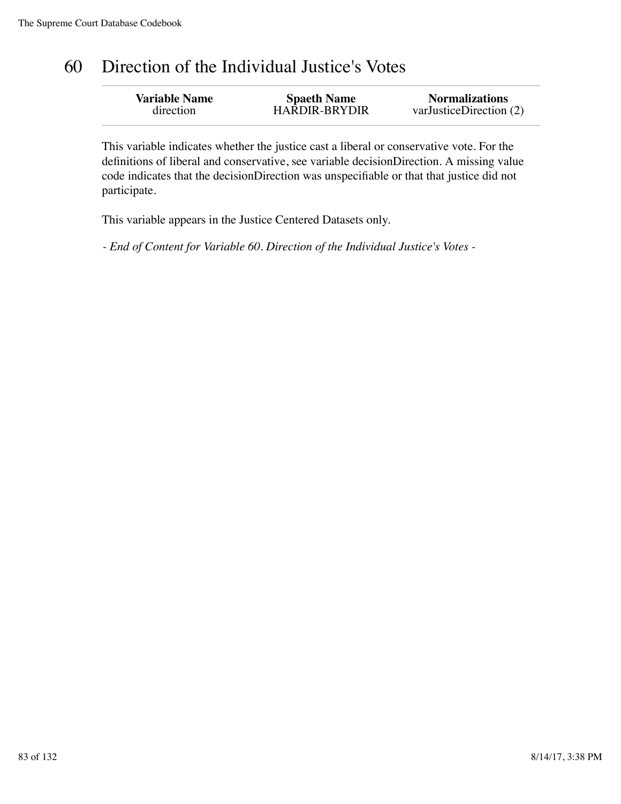## 60 Direction of the Individual Justice's Votes

| <b>Variable Name</b> | <b>Spaeth Name</b>   | <b>Normalizations</b>   |
|----------------------|----------------------|-------------------------|
| direction            | <b>HARDIR-BRYDIR</b> | varJusticeDirection (2) |

This variable indicates whether the justice cast a liberal or conservative vote. For the definitions of liberal and conservative, see variable decisionDirection. A missing value code indicates that the decisionDirection was unspecifiable or that that justice did not participate.

This variable appears in the Justice Centered Datasets only.

*- End of Content for Variable 60. Direction of the Individual Justice's Votes -*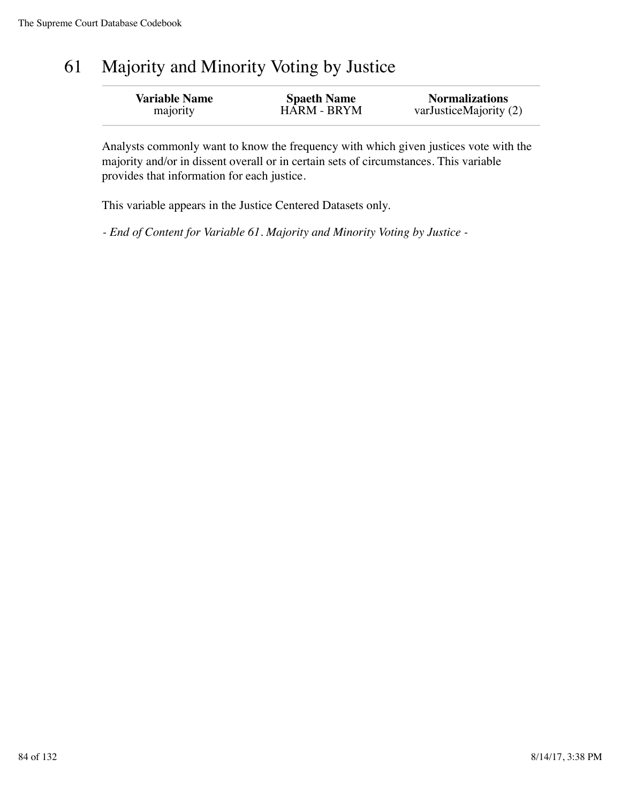## 61 Majority and Minority Voting by Justice

| <b>Variable Name</b> | <b>Spaeth Name</b> | <b>Normalizations</b>  |
|----------------------|--------------------|------------------------|
| majority             | <b>HARM - BRYM</b> | varJusticeMajority (2) |

Analysts commonly want to know the frequency with which given justices vote with the majority and/or in dissent overall or in certain sets of circumstances. This variable provides that information for each justice.

This variable appears in the Justice Centered Datasets only.

*- End of Content for Variable 61. Majority and Minority Voting by Justice -*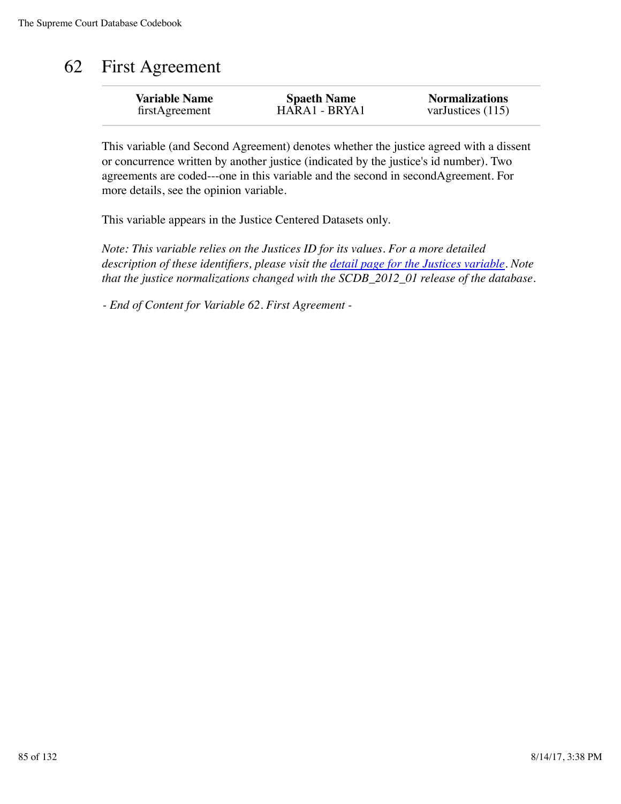## 62 First Agreement

| <b>Variable Name</b> | <b>Spaeth Name</b> | <b>Normalizations</b> |
|----------------------|--------------------|-----------------------|
| firstAgreement       | HARA1 - BRYA1      | varJustices (115)     |
|                      |                    |                       |

This variable (and Second Agreement) denotes whether the justice agreed with a dissent or concurrence written by another justice (indicated by the justice's id number). Two agreements are coded---one in this variable and the second in secondAgreement. For more details, see the opinion variable.

This variable appears in the Justice Centered Datasets only.

*Note: This variable relies on the Justices ID for its values. For a more detailed description of these identifiers, please visit the detail page for the Justices variable. Note that the justice normalizations changed with the SCDB\_2012\_01 release of the database.*

*- End of Content for Variable 62. First Agreement -*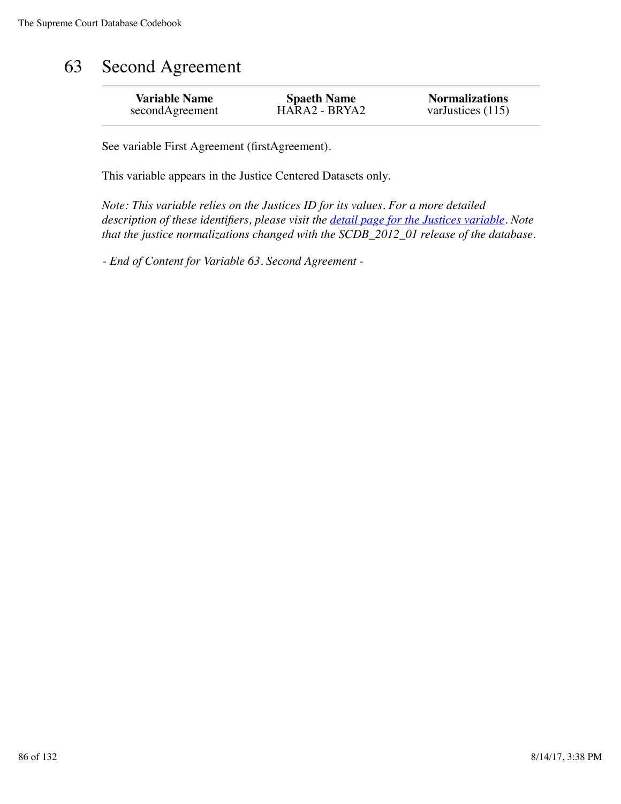## 63 Second Agreement

| <b>Variable Name</b> | <b>Spaeth Name</b> | <b>Normalizations</b> |
|----------------------|--------------------|-----------------------|
| secondAgreement      | HARA2 - BRYA2      | varJustices $(115)$   |
|                      |                    |                       |

See variable First Agreement (firstAgreement).

This variable appears in the Justice Centered Datasets only.

*Note: This variable relies on the Justices ID for its values. For a more detailed description of these identifiers, please visit the detail page for the Justices variable. Note that the justice normalizations changed with the SCDB\_2012\_01 release of the database.*

*- End of Content for Variable 63. Second Agreement -*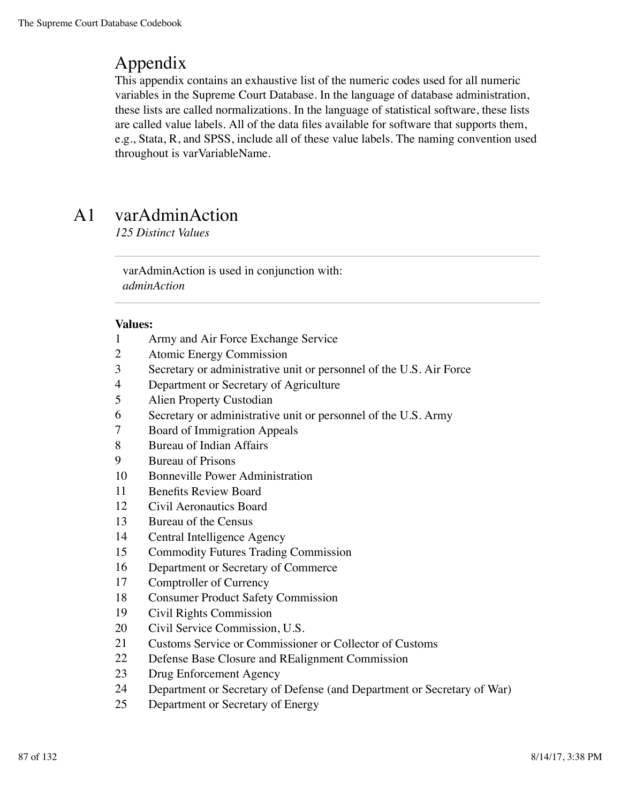### Appendix

This appendix contains an exhaustive list of the numeric codes used for all numeric variables in the Supreme Court Database. In the language of database administration, these lists are called normalizations. In the language of statistical software, these lists are called value labels. All of the data files available for software that supports them, e.g., Stata, R, and SPSS, include all of these value labels. The naming convention used throughout is varVariableName.

### A1 varAdminAction

*125 Distinct Values*

varAdminAction is used in conjunction with: *adminAction*

- Army and Air Force Exchange Service
- Atomic Energy Commission
- Secretary or administrative unit or personnel of the U.S. Air Force
- Department or Secretary of Agriculture
- Alien Property Custodian
- Secretary or administrative unit or personnel of the U.S. Army
- Board of Immigration Appeals
- Bureau of Indian Affairs
- Bureau of Prisons
- Bonneville Power Administration
- Benefits Review Board
- Civil Aeronautics Board
- Bureau of the Census
- Central Intelligence Agency
- Commodity Futures Trading Commission
- Department or Secretary of Commerce
- Comptroller of Currency
- Consumer Product Safety Commission
- Civil Rights Commission
- Civil Service Commission, U.S.
- Customs Service or Commissioner or Collector of Customs
- Defense Base Closure and REalignment Commission
- Drug Enforcement Agency
- Department or Secretary of Defense (and Department or Secretary of War)
- Department or Secretary of Energy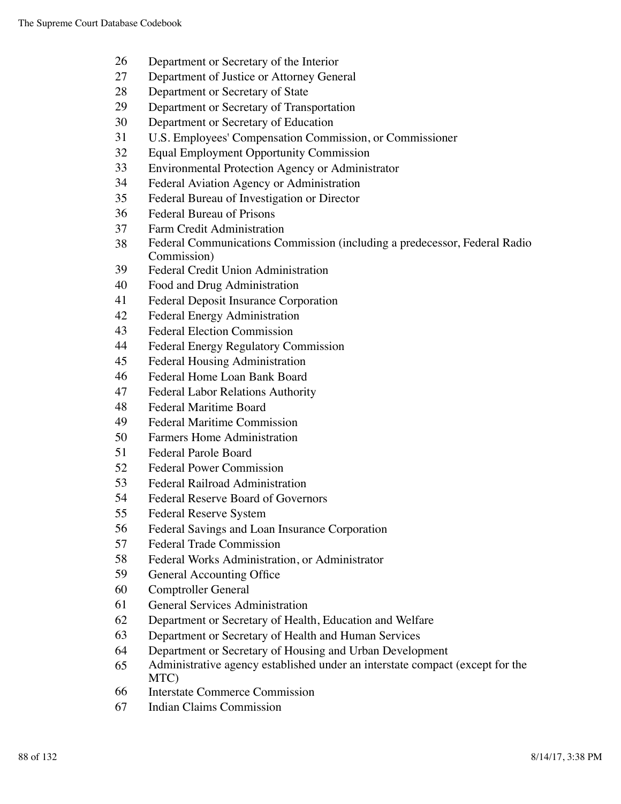- Department or Secretary of the Interior
- Department of Justice or Attorney General
- Department or Secretary of State
- Department or Secretary of Transportation
- Department or Secretary of Education
- U.S. Employees' Compensation Commission, or Commissioner
- Equal Employment Opportunity Commission
- Environmental Protection Agency or Administrator
- Federal Aviation Agency or Administration
- Federal Bureau of Investigation or Director
- Federal Bureau of Prisons
- Farm Credit Administration
- Federal Communications Commission (including a predecessor, Federal Radio Commission)
- Federal Credit Union Administration
- Food and Drug Administration
- Federal Deposit Insurance Corporation
- Federal Energy Administration
- Federal Election Commission
- Federal Energy Regulatory Commission
- Federal Housing Administration
- Federal Home Loan Bank Board
- Federal Labor Relations Authority
- Federal Maritime Board
- Federal Maritime Commission
- Farmers Home Administration
- Federal Parole Board
- Federal Power Commission
- Federal Railroad Administration
- Federal Reserve Board of Governors
- Federal Reserve System
- Federal Savings and Loan Insurance Corporation
- Federal Trade Commission
- Federal Works Administration, or Administrator
- General Accounting Office
- Comptroller General
- General Services Administration
- Department or Secretary of Health, Education and Welfare
- Department or Secretary of Health and Human Services
- Department or Secretary of Housing and Urban Development
- Administrative agency established under an interstate compact (except for the MTC)
- Interstate Commerce Commission
- Indian Claims Commission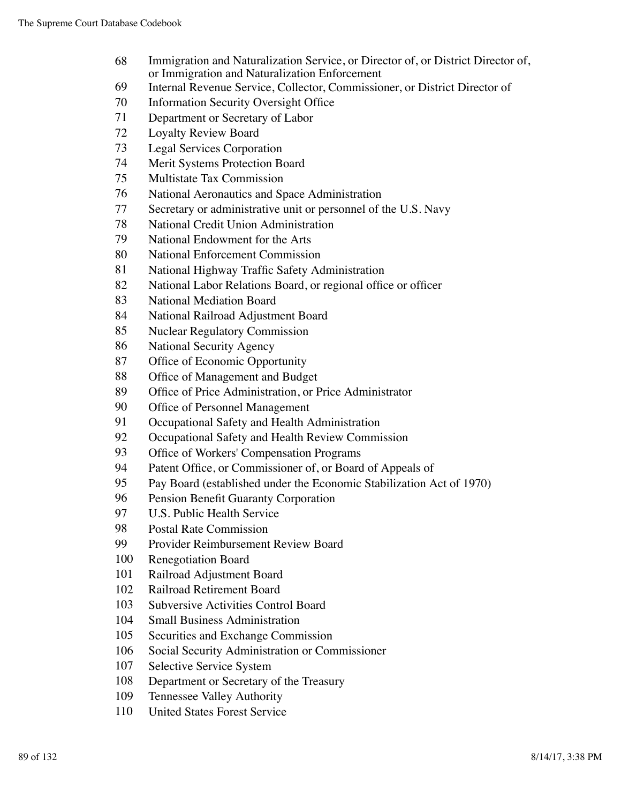- Immigration and Naturalization Service, or Director of, or District Director of, or Immigration and Naturalization Enforcement
- Internal Revenue Service, Collector, Commissioner, or District Director of
- Information Security Oversight Office
- Department or Secretary of Labor
- Loyalty Review Board
- Legal Services Corporation
- Merit Systems Protection Board
- Multistate Tax Commission
- National Aeronautics and Space Administration
- Secretary or administrative unit or personnel of the U.S. Navy
- National Credit Union Administration
- National Endowment for the Arts
- National Enforcement Commission
- National Highway Traffic Safety Administration
- 82 National Labor Relations Board, or regional office or officer
- National Mediation Board
- National Railroad Adjustment Board
- Nuclear Regulatory Commission
- National Security Agency
- Office of Economic Opportunity
- Office of Management and Budget
- Office of Price Administration, or Price Administrator
- Office of Personnel Management
- Occupational Safety and Health Administration
- Occupational Safety and Health Review Commission
- Office of Workers' Compensation Programs
- Patent Office, or Commissioner of, or Board of Appeals of
- Pay Board (established under the Economic Stabilization Act of 1970)
- Pension Benefit Guaranty Corporation
- U.S. Public Health Service
- Postal Rate Commission
- Provider Reimbursement Review Board
- Renegotiation Board
- Railroad Adjustment Board
- Railroad Retirement Board
- Subversive Activities Control Board
- Small Business Administration
- Securities and Exchange Commission
- Social Security Administration or Commissioner
- Selective Service System
- Department or Secretary of the Treasury
- Tennessee Valley Authority
- United States Forest Service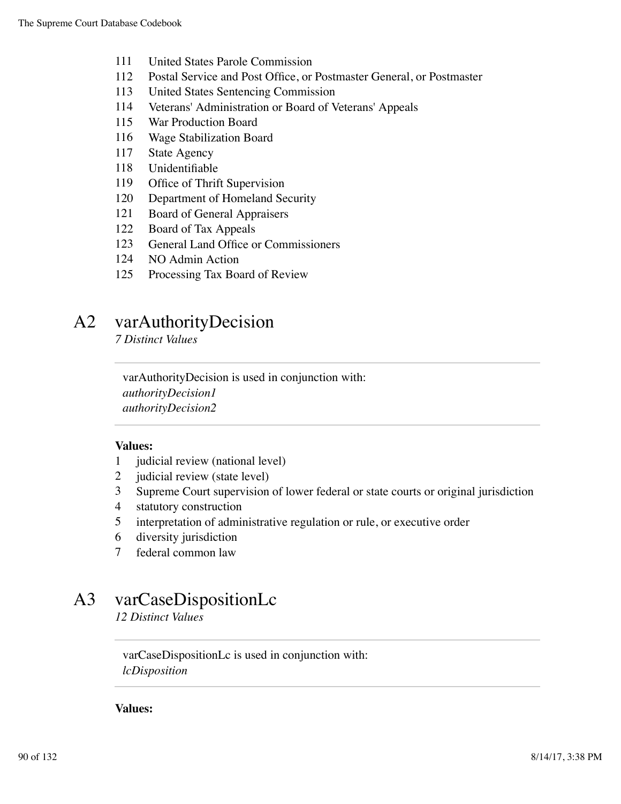- United States Parole Commission
- Postal Service and Post Office, or Postmaster General, or Postmaster
- United States Sentencing Commission
- Veterans' Administration or Board of Veterans' Appeals
- War Production Board
- Wage Stabilization Board
- State Agency
- Unidentifiable
- Office of Thrift Supervision
- Department of Homeland Security
- Board of General Appraisers
- Board of Tax Appeals
- General Land Office or Commissioners
- NO Admin Action
- Processing Tax Board of Review

### A2 varAuthorityDecision

*7 Distinct Values*

varAuthorityDecision is used in conjunction with: *authorityDecision1 authorityDecision2*

#### **Values:**

- judicial review (national level)
- judicial review (state level)
- Supreme Court supervision of lower federal or state courts or original jurisdiction
- statutory construction
- interpretation of administrative regulation or rule, or executive order
- diversity jurisdiction
- federal common law

### A3 varCaseDispositionLc

*12 Distinct Values*

varCaseDispositionLc is used in conjunction with: *lcDisposition*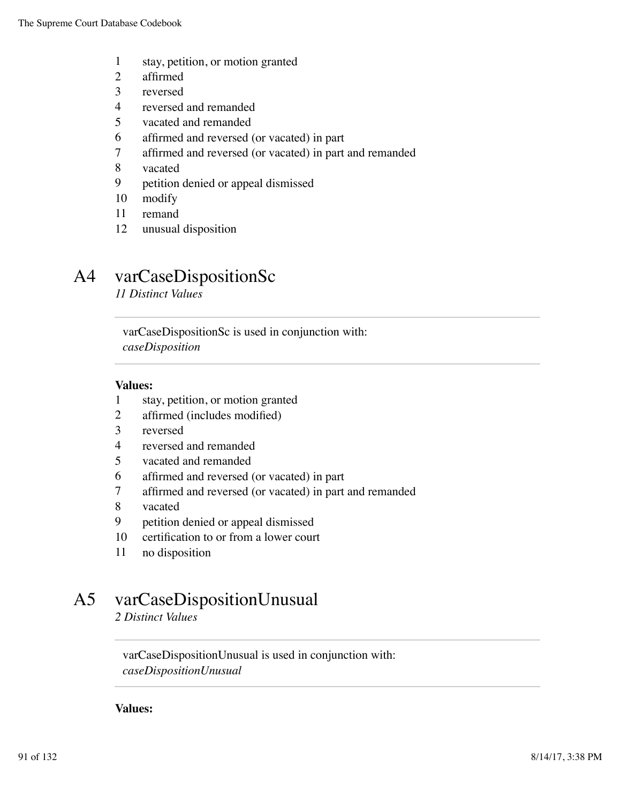- stay, petition, or motion granted
- affirmed
- reversed
- reversed and remanded
- vacated and remanded
- affirmed and reversed (or vacated) in part
- affirmed and reversed (or vacated) in part and remanded
- vacated
- petition denied or appeal dismissed
- modify
- remand
- unusual disposition

### A4 varCaseDispositionSc

*11 Distinct Values*

varCaseDispositionSc is used in conjunction with: *caseDisposition*

#### **Values:**

- stay, petition, or motion granted
- affirmed (includes modified)
- reversed
- reversed and remanded
- vacated and remanded
- affirmed and reversed (or vacated) in part
- affirmed and reversed (or vacated) in part and remanded
- vacated
- petition denied or appeal dismissed
- certification to or from a lower court
- no disposition

### A5 varCaseDispositionUnusual

*2 Distinct Values*

varCaseDispositionUnusual is used in conjunction with: *caseDispositionUnusual*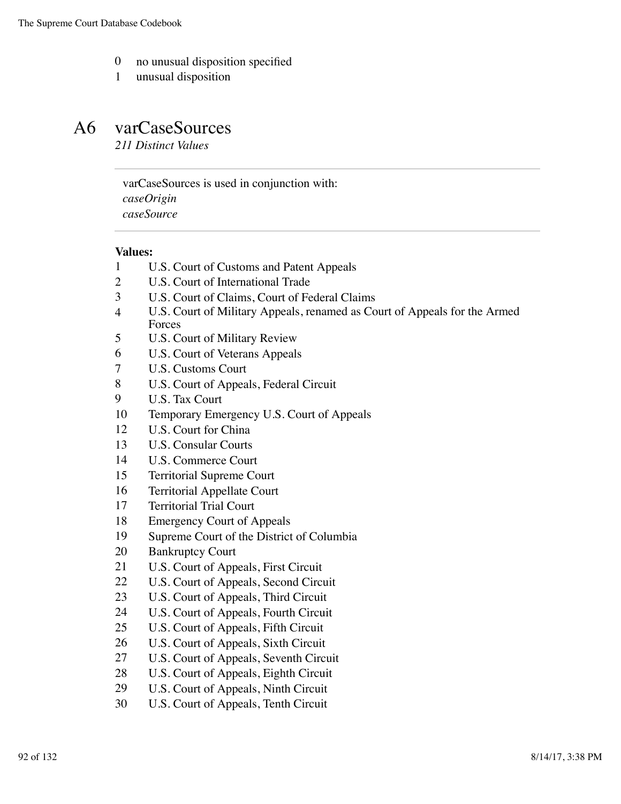- no unusual disposition specified
- unusual disposition

### A6 varCaseSources

*211 Distinct Values*

varCaseSources is used in conjunction with: *caseOrigin caseSource*

- U.S. Court of Customs and Patent Appeals
- U.S. Court of International Trade
- U.S. Court of Claims, Court of Federal Claims
- U.S. Court of Military Appeals, renamed as Court of Appeals for the Armed Forces
- U.S. Court of Military Review
- U.S. Court of Veterans Appeals
- U.S. Customs Court
- U.S. Court of Appeals, Federal Circuit
- U.S. Tax Court
- Temporary Emergency U.S. Court of Appeals
- U.S. Court for China
- U.S. Consular Courts
- U.S. Commerce Court
- Territorial Supreme Court
- Territorial Appellate Court
- Territorial Trial Court
- Emergency Court of Appeals
- Supreme Court of the District of Columbia
- Bankruptcy Court
- U.S. Court of Appeals, First Circuit
- U.S. Court of Appeals, Second Circuit
- U.S. Court of Appeals, Third Circuit
- U.S. Court of Appeals, Fourth Circuit
- U.S. Court of Appeals, Fifth Circuit
- U.S. Court of Appeals, Sixth Circuit
- U.S. Court of Appeals, Seventh Circuit
- U.S. Court of Appeals, Eighth Circuit
- U.S. Court of Appeals, Ninth Circuit
- U.S. Court of Appeals, Tenth Circuit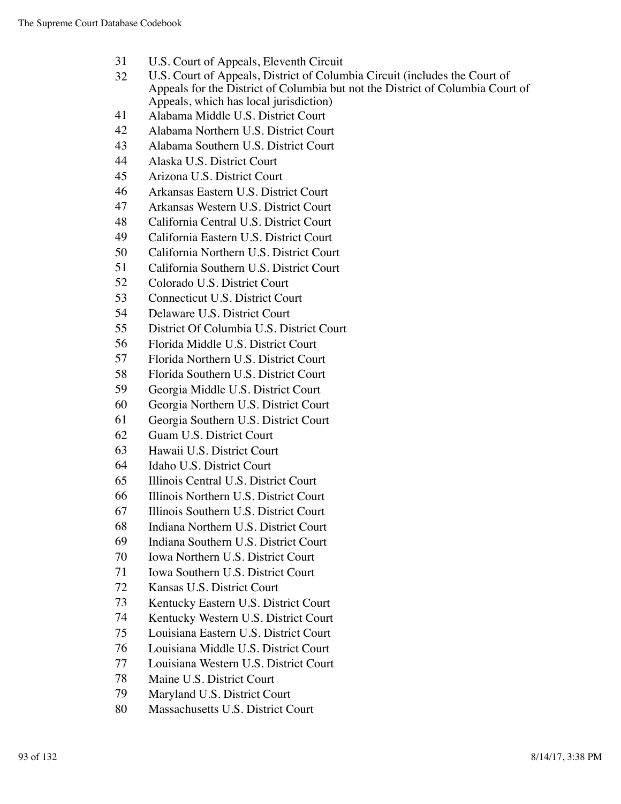- U.S. Court of Appeals, Eleventh Circuit
- U.S. Court of Appeals, District of Columbia Circuit (includes the Court of Appeals for the District of Columbia but not the District of Columbia Court of Appeals, which has local jurisdiction)
- Alabama Middle U.S. District Court
- Alabama Northern U.S. District Court
- Alabama Southern U.S. District Court
- Alaska U.S. District Court
- Arizona U.S. District Court
- Arkansas Eastern U.S. District Court
- Arkansas Western U.S. District Court
- California Central U.S. District Court
- California Eastern U.S. District Court
- California Northern U.S. District Court
- California Southern U.S. District Court
- Colorado U.S. District Court
- Connecticut U.S. District Court
- Delaware U.S. District Court
- District Of Columbia U.S. District Court
- Florida Middle U.S. District Court
- Florida Northern U.S. District Court
- Florida Southern U.S. District Court
- Georgia Middle U.S. District Court
- Georgia Northern U.S. District Court
- Georgia Southern U.S. District Court
- Guam U.S. District Court
- Hawaii U.S. District Court
- Idaho U.S. District Court
- Illinois Central U.S. District Court
- Illinois Northern U.S. District Court
- Illinois Southern U.S. District Court
- Indiana Northern U.S. District Court
- Indiana Southern U.S. District Court
- Iowa Northern U.S. District Court
- Iowa Southern U.S. District Court
- Kansas U.S. District Court
- Kentucky Eastern U.S. District Court
- Kentucky Western U.S. District Court
- Louisiana Eastern U.S. District Court
- Louisiana Middle U.S. District Court
- Louisiana Western U.S. District Court
- Maine U.S. District Court
- Maryland U.S. District Court
- Massachusetts U.S. District Court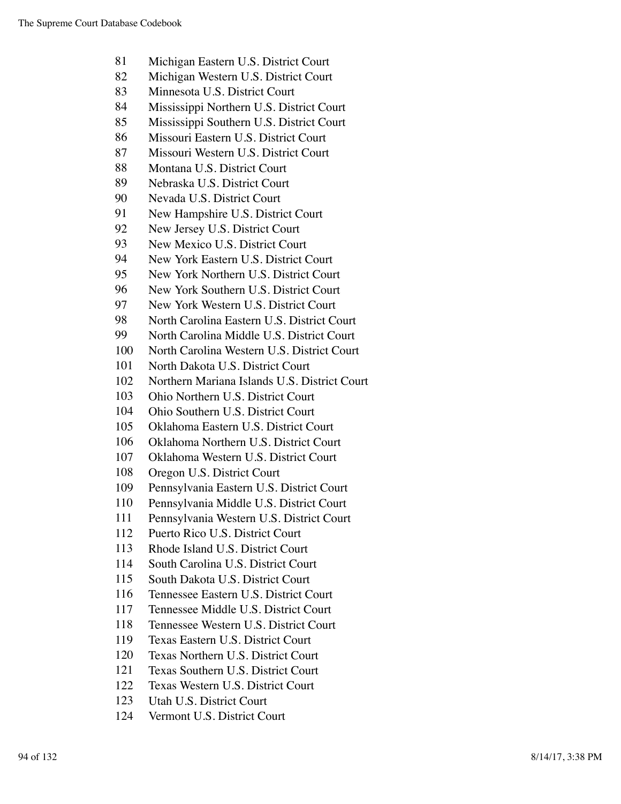- Michigan Eastern U.S. District Court
- Michigan Western U.S. District Court
- Minnesota U.S. District Court
- Mississippi Northern U.S. District Court
- Mississippi Southern U.S. District Court
- Missouri Eastern U.S. District Court
- Missouri Western U.S. District Court
- Montana U.S. District Court
- Nebraska U.S. District Court
- Nevada U.S. District Court
- New Hampshire U.S. District Court
- New Jersey U.S. District Court
- New Mexico U.S. District Court
- New York Eastern U.S. District Court
- New York Northern U.S. District Court
- New York Southern U.S. District Court
- New York Western U.S. District Court
- North Carolina Eastern U.S. District Court
- North Carolina Middle U.S. District Court
- North Carolina Western U.S. District Court
- North Dakota U.S. District Court
- Northern Mariana Islands U.S. District Court
- Ohio Northern U.S. District Court
- Ohio Southern U.S. District Court
- Oklahoma Eastern U.S. District Court
- Oklahoma Northern U.S. District Court
- Oklahoma Western U.S. District Court
- Oregon U.S. District Court
- Pennsylvania Eastern U.S. District Court
- Pennsylvania Middle U.S. District Court
- Pennsylvania Western U.S. District Court
- Puerto Rico U.S. District Court
- Rhode Island U.S. District Court
- South Carolina U.S. District Court
- South Dakota U.S. District Court
- Tennessee Eastern U.S. District Court
- Tennessee Middle U.S. District Court
- Tennessee Western U.S. District Court
- Texas Eastern U.S. District Court
- Texas Northern U.S. District Court
- Texas Southern U.S. District Court
- Texas Western U.S. District Court
- Utah U.S. District Court
- Vermont U.S. District Court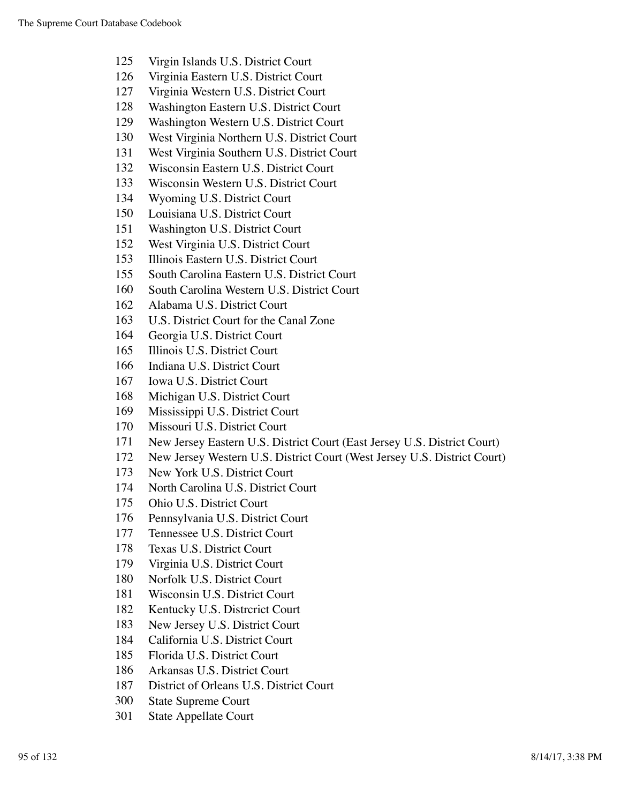- Virgin Islands U.S. District Court
- Virginia Eastern U.S. District Court
- Virginia Western U.S. District Court
- Washington Eastern U.S. District Court
- Washington Western U.S. District Court
- West Virginia Northern U.S. District Court
- West Virginia Southern U.S. District Court
- Wisconsin Eastern U.S. District Court
- Wisconsin Western U.S. District Court
- Wyoming U.S. District Court
- Louisiana U.S. District Court
- Washington U.S. District Court
- West Virginia U.S. District Court
- Illinois Eastern U.S. District Court
- South Carolina Eastern U.S. District Court
- South Carolina Western U.S. District Court
- Alabama U.S. District Court
- U.S. District Court for the Canal Zone
- Georgia U.S. District Court
- Illinois U.S. District Court
- Indiana U.S. District Court
- Iowa U.S. District Court
- Michigan U.S. District Court
- Mississippi U.S. District Court
- Missouri U.S. District Court
- New Jersey Eastern U.S. District Court (East Jersey U.S. District Court)
- New Jersey Western U.S. District Court (West Jersey U.S. District Court)
- New York U.S. District Court
- North Carolina U.S. District Court
- Ohio U.S. District Court
- Pennsylvania U.S. District Court
- Tennessee U.S. District Court
- Texas U.S. District Court
- Virginia U.S. District Court
- Norfolk U.S. District Court
- Wisconsin U.S. District Court
- Kentucky U.S. Distrcrict Court
- New Jersey U.S. District Court
- California U.S. District Court
- Florida U.S. District Court
- Arkansas U.S. District Court
- District of Orleans U.S. District Court
- State Supreme Court
- State Appellate Court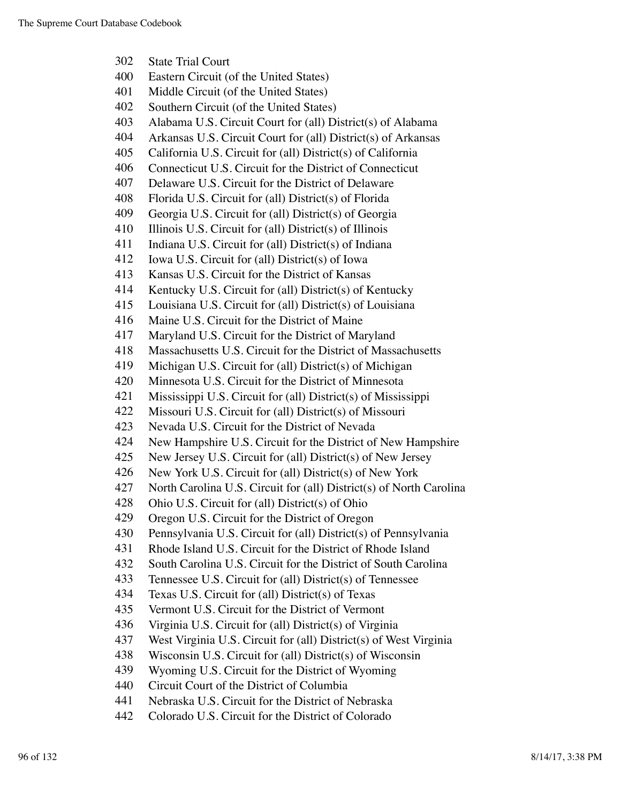| 302 | <b>State Trial Court</b>                                            |
|-----|---------------------------------------------------------------------|
| 400 | Eastern Circuit (of the United States)                              |
| 401 | Middle Circuit (of the United States)                               |
| 402 | Southern Circuit (of the United States)                             |
| 403 | Alabama U.S. Circuit Court for (all) District(s) of Alabama         |
| 404 | Arkansas U.S. Circuit Court for (all) District(s) of Arkansas       |
| 405 | California U.S. Circuit for (all) District(s) of California         |
| 406 | Connecticut U.S. Circuit for the District of Connecticut            |
| 407 | Delaware U.S. Circuit for the District of Delaware                  |
| 408 | Florida U.S. Circuit for (all) District(s) of Florida               |
| 409 | Georgia U.S. Circuit for (all) District(s) of Georgia               |
| 410 | Illinois U.S. Circuit for (all) District(s) of Illinois             |
| 411 | Indiana U.S. Circuit for (all) District(s) of Indiana               |
| 412 | Iowa U.S. Circuit for (all) District(s) of Iowa                     |
| 413 | Kansas U.S. Circuit for the District of Kansas                      |
| 414 | Kentucky U.S. Circuit for (all) District(s) of Kentucky             |
| 415 | Louisiana U.S. Circuit for (all) District(s) of Louisiana           |
| 416 | Maine U.S. Circuit for the District of Maine                        |
| 417 | Maryland U.S. Circuit for the District of Maryland                  |
| 418 | Massachusetts U.S. Circuit for the District of Massachusetts        |
| 419 | Michigan U.S. Circuit for (all) District(s) of Michigan             |
| 420 | Minnesota U.S. Circuit for the District of Minnesota                |
| 421 | Mississippi U.S. Circuit for (all) District(s) of Mississippi       |
| 422 | Missouri U.S. Circuit for (all) District(s) of Missouri             |
| 423 | Nevada U.S. Circuit for the District of Nevada                      |
| 424 | New Hampshire U.S. Circuit for the District of New Hampshire        |
| 425 | New Jersey U.S. Circuit for (all) District(s) of New Jersey         |
| 426 | New York U.S. Circuit for (all) District(s) of New York             |
| 427 | North Carolina U.S. Circuit for (all) District(s) of North Carolina |
| 428 | Ohio U.S. Circuit for (all) District(s) of Ohio                     |
| 429 | Oregon U.S. Circuit for the District of Oregon                      |
| 430 | Pennsylvania U.S. Circuit for (all) District(s) of Pennsylvania     |
| 431 | Rhode Island U.S. Circuit for the District of Rhode Island          |
| 432 | South Carolina U.S. Circuit for the District of South Carolina      |
| 433 | Tennessee U.S. Circuit for (all) District(s) of Tennessee           |
| 434 | Texas U.S. Circuit for (all) District(s) of Texas                   |
| 435 | Vermont U.S. Circuit for the District of Vermont                    |
| 436 | Virginia U.S. Circuit for (all) District(s) of Virginia             |
| 437 | West Virginia U.S. Circuit for (all) District(s) of West Virginia   |
| 438 | Wisconsin U.S. Circuit for (all) District(s) of Wisconsin           |
| 439 | Wyoming U.S. Circuit for the District of Wyoming                    |
| 440 | Circuit Court of the District of Columbia                           |
| 441 | Nebraska U.S. Circuit for the District of Nebraska                  |
| 442 | Colorado U.S. Circuit for the District of Colorado                  |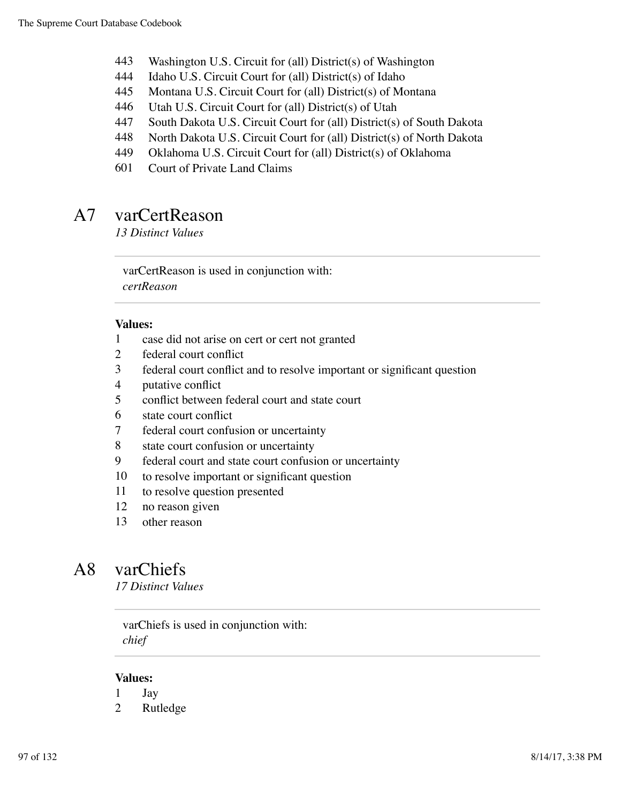- Washington U.S. Circuit for (all) District(s) of Washington
- Idaho U.S. Circuit Court for (all) District(s) of Idaho
- Montana U.S. Circuit Court for (all) District(s) of Montana
- Utah U.S. Circuit Court for (all) District(s) of Utah
- South Dakota U.S. Circuit Court for (all) District(s) of South Dakota
- North Dakota U.S. Circuit Court for (all) District(s) of North Dakota
- Oklahoma U.S. Circuit Court for (all) District(s) of Oklahoma
- Court of Private Land Claims

### A7 varCertReason

*13 Distinct Values*

varCertReason is used in conjunction with: *certReason*

#### **Values:**

- case did not arise on cert or cert not granted
- federal court conflict
- federal court conflict and to resolve important or significant question
- putative conflict
- conflict between federal court and state court
- state court conflict
- federal court confusion or uncertainty
- 8 state court confusion or uncertainty
- federal court and state court confusion or uncertainty
- to resolve important or significant question
- to resolve question presented
- no reason given
- other reason

### A8 varChiefs

*17 Distinct Values*

varChiefs is used in conjunction with: *chief*

- Jay
- Rutledge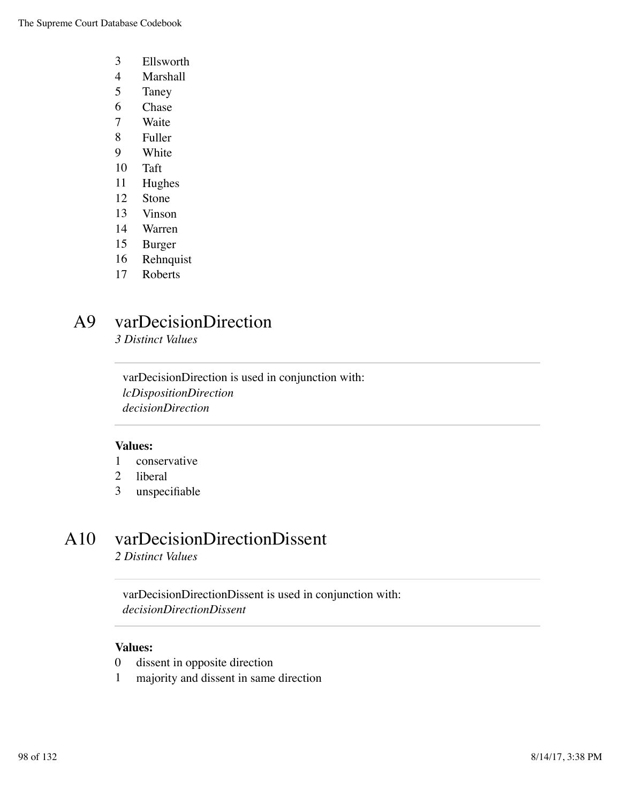The Supreme Court Database Codebook

- Ellsworth
- Marshall
- Taney
- Chase
- Waite
- Fuller
- White
- Taft
- Hughes
- Stone
- Vinson
- Warren
- Burger
- Rehnquist
- Roberts

### A9 varDecisionDirection

*3 Distinct Values*

varDecisionDirection is used in conjunction with: *lcDispositionDirection decisionDirection*

#### **Values:**

- conservative
- liberal
- unspecifiable

### A10 varDecisionDirectionDissent

*2 Distinct Values*

varDecisionDirectionDissent is used in conjunction with: *decisionDirectionDissent*

- dissent in opposite direction
- majority and dissent in same direction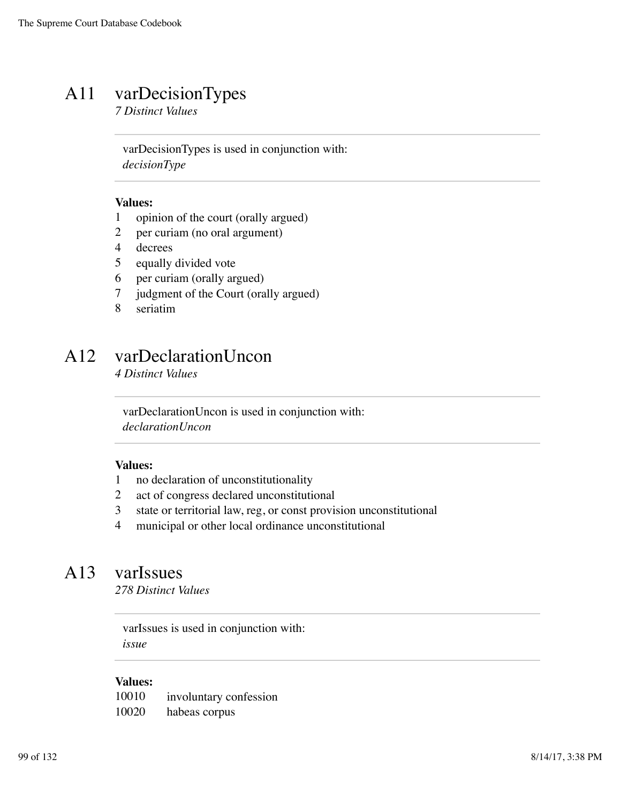### A11 varDecisionTypes

*7 Distinct Values*

varDecisionTypes is used in conjunction with: *decisionType*

#### **Values:**

- 1 opinion of the court (orally argued)
- 2 per curiam (no oral argument)
- 4 decrees
- 5 equally divided vote
- 6 per curiam (orally argued)
- 7 judgment of the Court (orally argued)
- 8 seriatim

### A12 varDeclarationUncon

*4 Distinct Values*

varDeclarationUncon is used in conjunction with: *declarationUncon*

#### **Values:**

- 1 no declaration of unconstitutionality
- 2 act of congress declared unconstitutional
- 3 state or territorial law, reg, or const provision unconstitutional
- 4 municipal or other local ordinance unconstitutional

### A13 varIssues

*278 Distinct Values*

varIssues is used in conjunction with: *issue*

#### **Values:**

10010 involuntary confession 10020 habeas corpus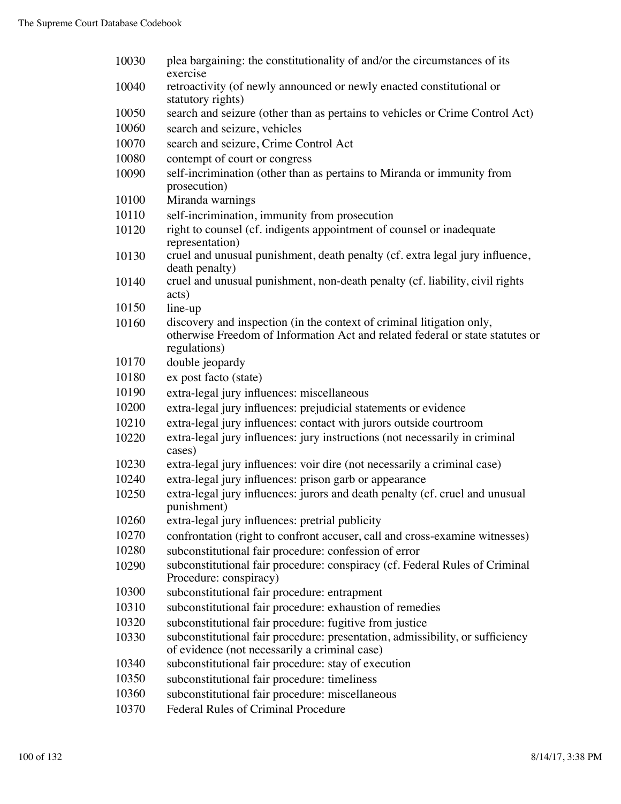| 10030 | plea bargaining: the constitutionality of and/or the circumstances of its<br>exercise                                                                                  |
|-------|------------------------------------------------------------------------------------------------------------------------------------------------------------------------|
| 10040 | retroactivity (of newly announced or newly enacted constitutional or<br>statutory rights)                                                                              |
| 10050 | search and seizure (other than as pertains to vehicles or Crime Control Act)                                                                                           |
| 10060 | search and seizure, vehicles                                                                                                                                           |
| 10070 | search and seizure, Crime Control Act                                                                                                                                  |
| 10080 | contempt of court or congress                                                                                                                                          |
| 10090 | self-incrimination (other than as pertains to Miranda or immunity from<br>prosecution)                                                                                 |
| 10100 | Miranda warnings                                                                                                                                                       |
| 10110 | self-incrimination, immunity from prosecution                                                                                                                          |
| 10120 | right to counsel (cf. indigents appointment of counsel or inadequate<br>representation)                                                                                |
| 10130 | cruel and unusual punishment, death penalty (cf. extra legal jury influence,<br>death penalty)                                                                         |
| 10140 | cruel and unusual punishment, non-death penalty (cf. liability, civil rights<br>acts)                                                                                  |
| 10150 | line-up                                                                                                                                                                |
| 10160 | discovery and inspection (in the context of criminal litigation only,<br>otherwise Freedom of Information Act and related federal or state statutes or<br>regulations) |
| 10170 | double jeopardy                                                                                                                                                        |
| 10180 | ex post facto (state)                                                                                                                                                  |
| 10190 | extra-legal jury influences: miscellaneous                                                                                                                             |
| 10200 | extra-legal jury influences: prejudicial statements or evidence                                                                                                        |
| 10210 | extra-legal jury influences: contact with jurors outside courtroom                                                                                                     |
| 10220 | extra-legal jury influences: jury instructions (not necessarily in criminal<br>cases)                                                                                  |
| 10230 | extra-legal jury influences: voir dire (not necessarily a criminal case)                                                                                               |
| 10240 | extra-legal jury influences: prison garb or appearance                                                                                                                 |
| 10250 | extra-legal jury influences: jurors and death penalty (cf. cruel and unusual<br>punishment)                                                                            |
| 10260 | extra-legal jury influences: pretrial publicity                                                                                                                        |
| 10270 | confrontation (right to confront accuser, call and cross-examine witnesses)                                                                                            |
| 10280 | subconstitutional fair procedure: confession of error                                                                                                                  |
| 10290 | subconstitutional fair procedure: conspiracy (cf. Federal Rules of Criminal<br>Procedure: conspiracy)                                                                  |
| 10300 | subconstitutional fair procedure: entrapment                                                                                                                           |
| 10310 | subconstitutional fair procedure: exhaustion of remedies                                                                                                               |
| 10320 | subconstitutional fair procedure: fugitive from justice                                                                                                                |
| 10330 | subconstitutional fair procedure: presentation, admissibility, or sufficiency<br>of evidence (not necessarily a criminal case)                                         |
| 10340 | subconstitutional fair procedure: stay of execution                                                                                                                    |
| 10350 | subconstitutional fair procedure: timeliness                                                                                                                           |
| 10360 | subconstitutional fair procedure: miscellaneous                                                                                                                        |
| 10370 | <b>Federal Rules of Criminal Procedure</b>                                                                                                                             |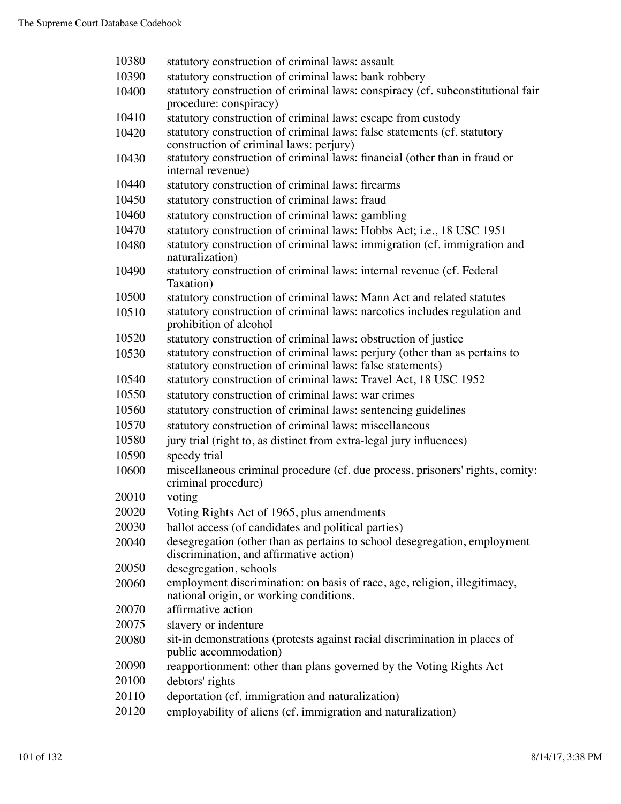| 10380 | statutory construction of criminal laws: assault                                                                     |
|-------|----------------------------------------------------------------------------------------------------------------------|
| 10390 | statutory construction of criminal laws: bank robbery                                                                |
| 10400 | statutory construction of criminal laws: conspiracy (cf. subconstitutional fair                                      |
|       | procedure: conspiracy)                                                                                               |
| 10410 | statutory construction of criminal laws: escape from custody                                                         |
| 10420 | statutory construction of criminal laws: false statements (cf. statutory                                             |
|       | construction of criminal laws: perjury)                                                                              |
| 10430 | statutory construction of criminal laws: financial (other than in fraud or<br>internal revenue)                      |
| 10440 | statutory construction of criminal laws: firearms                                                                    |
| 10450 | statutory construction of criminal laws: fraud                                                                       |
| 10460 | statutory construction of criminal laws: gambling                                                                    |
| 10470 | statutory construction of criminal laws: Hobbs Act; i.e., 18 USC 1951                                                |
| 10480 | statutory construction of criminal laws: immigration (cf. immigration and                                            |
|       | naturalization)                                                                                                      |
| 10490 | statutory construction of criminal laws: internal revenue (cf. Federal                                               |
|       | Taxation)                                                                                                            |
| 10500 | statutory construction of criminal laws: Mann Act and related statutes                                               |
| 10510 | statutory construction of criminal laws: narcotics includes regulation and                                           |
|       | prohibition of alcohol                                                                                               |
| 10520 | statutory construction of criminal laws: obstruction of justice                                                      |
| 10530 | statutory construction of criminal laws: perjury (other than as pertains to                                          |
|       | statutory construction of criminal laws: false statements)                                                           |
| 10540 | statutory construction of criminal laws: Travel Act, 18 USC 1952                                                     |
| 10550 | statutory construction of criminal laws: war crimes                                                                  |
| 10560 | statutory construction of criminal laws: sentencing guidelines                                                       |
| 10570 | statutory construction of criminal laws: miscellaneous                                                               |
| 10580 | jury trial (right to, as distinct from extra-legal jury influences)                                                  |
| 10590 | speedy trial                                                                                                         |
| 10600 | miscellaneous criminal procedure (cf. due process, prisoners' rights, comity:                                        |
|       | criminal procedure)                                                                                                  |
| 20010 | voting                                                                                                               |
| 20020 | Voting Rights Act of 1965, plus amendments                                                                           |
| 20030 | ballot access (of candidates and political parties)                                                                  |
| 20040 | desegregation (other than as pertains to school desegregation, employment<br>discrimination, and affirmative action) |
| 20050 | desegregation, schools                                                                                               |
| 20060 | employment discrimination: on basis of race, age, religion, illegitimacy,                                            |
|       | national origin, or working conditions.                                                                              |
| 20070 | affirmative action                                                                                                   |
| 20075 | slavery or indenture                                                                                                 |
| 20080 | sit-in demonstrations (protests against racial discrimination in places of                                           |
|       | public accommodation)                                                                                                |
| 20090 | reapportionment: other than plans governed by the Voting Rights Act                                                  |
| 20100 | debtors' rights                                                                                                      |
| 20110 | deportation (cf. immigration and naturalization)                                                                     |
| 20120 | employability of aliens (cf. immigration and naturalization)                                                         |
|       |                                                                                                                      |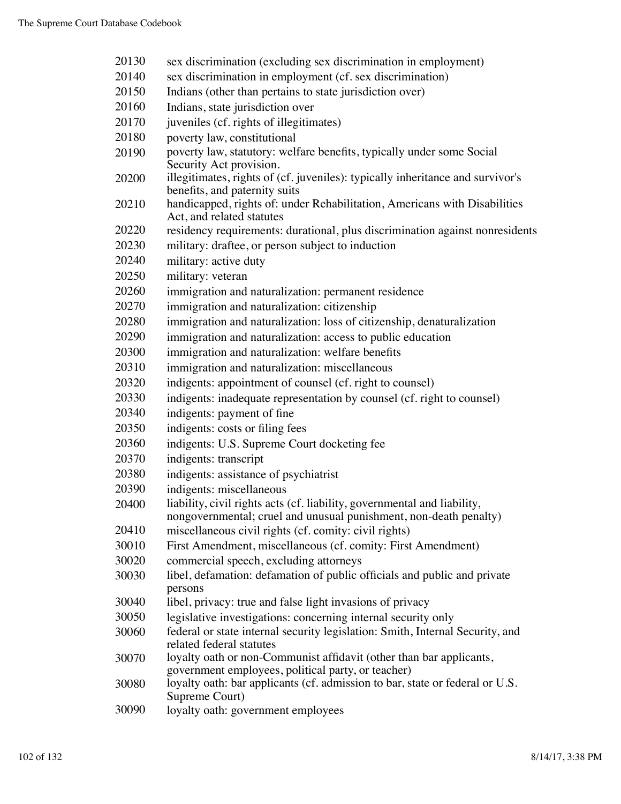| 20130 | sex discrimination (excluding sex discrimination in employment)                                                                               |
|-------|-----------------------------------------------------------------------------------------------------------------------------------------------|
| 20140 | sex discrimination in employment (cf. sex discrimination)                                                                                     |
| 20150 | Indians (other than pertains to state jurisdiction over)                                                                                      |
| 20160 | Indians, state jurisdiction over                                                                                                              |
| 20170 | juveniles (cf. rights of illegitimates)                                                                                                       |
| 20180 | poverty law, constitutional                                                                                                                   |
| 20190 | poverty law, statutory: welfare benefits, typically under some Social<br>Security Act provision.                                              |
| 20200 | illegitimates, rights of (cf. juveniles): typically inheritance and survivor's<br>benefits, and paternity suits                               |
| 20210 | handicapped, rights of: under Rehabilitation, Americans with Disabilities<br>Act, and related statutes                                        |
| 20220 | residency requirements: durational, plus discrimination against nonresidents                                                                  |
| 20230 | military: draftee, or person subject to induction                                                                                             |
| 20240 | military: active duty                                                                                                                         |
| 20250 | military: veteran                                                                                                                             |
| 20260 | immigration and naturalization: permanent residence                                                                                           |
| 20270 | immigration and naturalization: citizenship                                                                                                   |
| 20280 | immigration and naturalization: loss of citizenship, denaturalization                                                                         |
| 20290 | immigration and naturalization: access to public education                                                                                    |
| 20300 | immigration and naturalization: welfare benefits                                                                                              |
| 20310 | immigration and naturalization: miscellaneous                                                                                                 |
| 20320 | indigents: appointment of counsel (cf. right to counsel)                                                                                      |
| 20330 | indigents: inadequate representation by counsel (cf. right to counsel)                                                                        |
| 20340 | indigents: payment of fine                                                                                                                    |
| 20350 | indigents: costs or filing fees                                                                                                               |
| 20360 | indigents: U.S. Supreme Court docketing fee                                                                                                   |
| 20370 | indigents: transcript                                                                                                                         |
| 20380 | indigents: assistance of psychiatrist                                                                                                         |
| 20390 | indigents: miscellaneous                                                                                                                      |
| 20400 | liability, civil rights acts (cf. liability, governmental and liability,<br>nongovernmental; cruel and unusual punishment, non-death penalty) |
| 20410 | miscellaneous civil rights (cf. comity: civil rights)                                                                                         |
| 30010 | First Amendment, miscellaneous (cf. comity: First Amendment)                                                                                  |
| 30020 | commercial speech, excluding attorneys                                                                                                        |
| 30030 | libel, defamation: defamation of public officials and public and private<br>persons                                                           |
| 30040 | libel, privacy: true and false light invasions of privacy                                                                                     |
| 30050 | legislative investigations: concerning internal security only                                                                                 |
| 30060 | federal or state internal security legislation: Smith, Internal Security, and<br>related federal statutes                                     |
| 30070 | loyalty oath or non-Communist affidavit (other than bar applicants,<br>government employees, political party, or teacher)                     |
| 30080 | loyalty oath: bar applicants (cf. admission to bar, state or federal or U.S.<br>Supreme Court)                                                |
| 30090 | loyalty oath: government employees                                                                                                            |
|       |                                                                                                                                               |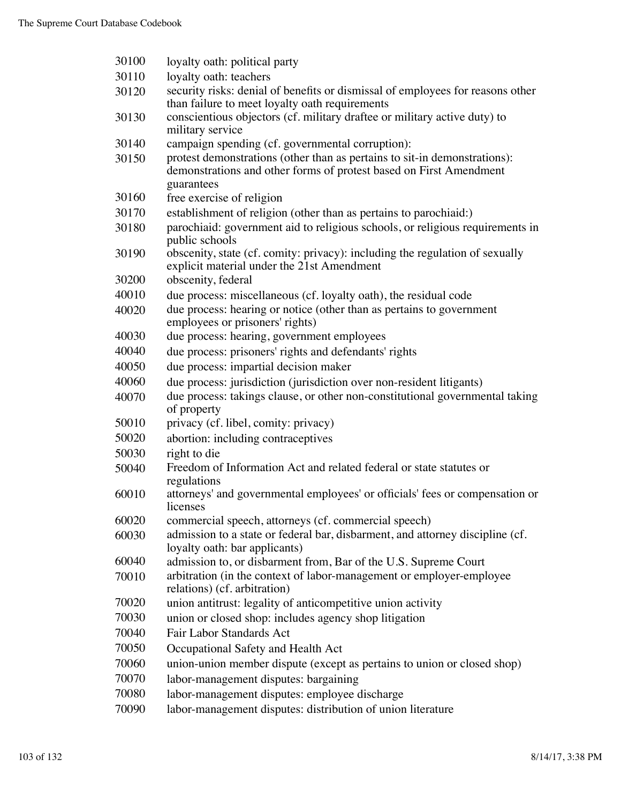| 30100 | loyalty oath: political party                                                                                                                                 |
|-------|---------------------------------------------------------------------------------------------------------------------------------------------------------------|
| 30110 | loyalty oath: teachers                                                                                                                                        |
| 30120 | security risks: denial of benefits or dismissal of employees for reasons other<br>than failure to meet loyalty oath requirements                              |
| 30130 | conscientious objectors (cf. military draftee or military active duty) to<br>military service                                                                 |
| 30140 | campaign spending (cf. governmental corruption):                                                                                                              |
| 30150 | protest demonstrations (other than as pertains to sit-in demonstrations):<br>demonstrations and other forms of protest based on First Amendment<br>guarantees |
| 30160 | free exercise of religion                                                                                                                                     |
| 30170 | establishment of religion (other than as pertains to parochiaid:)                                                                                             |
| 30180 | parochiaid: government aid to religious schools, or religious requirements in<br>public schools                                                               |
| 30190 | obscenity, state (cf. comity: privacy): including the regulation of sexually<br>explicit material under the 21st Amendment                                    |
| 30200 | obscenity, federal                                                                                                                                            |
| 40010 | due process: miscellaneous (cf. loyalty oath), the residual code                                                                                              |
| 40020 | due process: hearing or notice (other than as pertains to government<br>employees or prisoners' rights)                                                       |
| 40030 | due process: hearing, government employees                                                                                                                    |
| 40040 | due process: prisoners' rights and defendants' rights                                                                                                         |
| 40050 | due process: impartial decision maker                                                                                                                         |
| 40060 | due process: jurisdiction (jurisdiction over non-resident litigants)                                                                                          |
| 40070 | due process: takings clause, or other non-constitutional governmental taking<br>of property                                                                   |
| 50010 | privacy (cf. libel, comity: privacy)                                                                                                                          |
| 50020 | abortion: including contraceptives                                                                                                                            |
| 50030 | right to die                                                                                                                                                  |
| 50040 | Freedom of Information Act and related federal or state statutes or<br>regulations                                                                            |
| 60010 | attorneys' and governmental employees' or officials' fees or compensation or<br>licenses                                                                      |
| 60020 | commercial speech, attorneys (cf. commercial speech)                                                                                                          |
| 60030 | admission to a state or federal bar, disbarment, and attorney discipline (cf.<br>loyalty oath: bar applicants)                                                |
| 60040 | admission to, or disbarment from, Bar of the U.S. Supreme Court                                                                                               |
| 70010 | arbitration (in the context of labor-management or employer-employee<br>relations) (cf. arbitration)                                                          |
| 70020 | union antitrust: legality of anticompetitive union activity                                                                                                   |
| 70030 | union or closed shop: includes agency shop litigation                                                                                                         |
| 70040 | Fair Labor Standards Act                                                                                                                                      |
| 70050 | Occupational Safety and Health Act                                                                                                                            |
| 70060 | union-union member dispute (except as pertains to union or closed shop)                                                                                       |
| 70070 | labor-management disputes: bargaining                                                                                                                         |
| 70080 | labor-management disputes: employee discharge                                                                                                                 |
| 70090 | labor-management disputes: distribution of union literature                                                                                                   |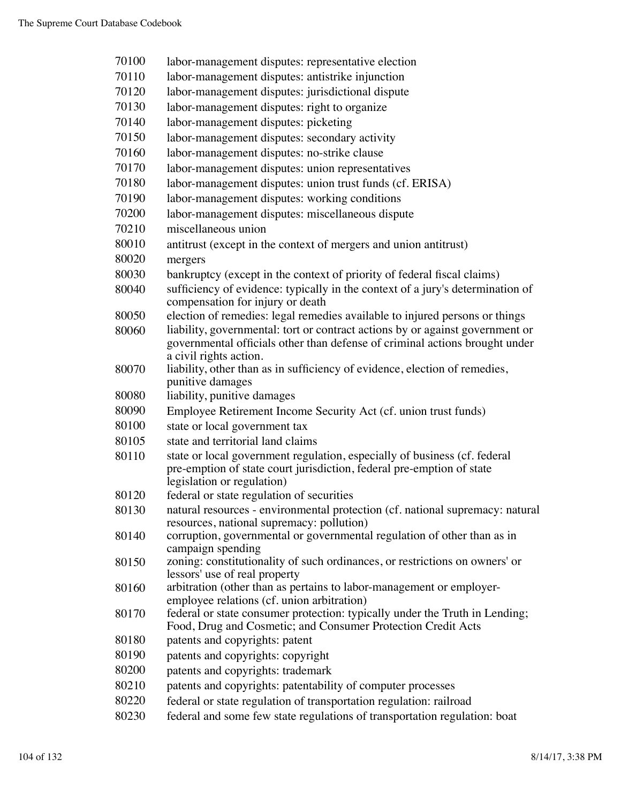| 70100 | labor-management disputes: representative election                                                                         |
|-------|----------------------------------------------------------------------------------------------------------------------------|
| 70110 | labor-management disputes: antistrike injunction                                                                           |
| 70120 | labor-management disputes: jurisdictional dispute                                                                          |
| 70130 | labor-management disputes: right to organize                                                                               |
| 70140 | labor-management disputes: picketing                                                                                       |
| 70150 | labor-management disputes: secondary activity                                                                              |
| 70160 | labor-management disputes: no-strike clause                                                                                |
| 70170 | labor-management disputes: union representatives                                                                           |
| 70180 | labor-management disputes: union trust funds (cf. ERISA)                                                                   |
| 70190 | labor-management disputes: working conditions                                                                              |
| 70200 | labor-management disputes: miscellaneous dispute                                                                           |
| 70210 | miscellaneous union                                                                                                        |
| 80010 | antitrust (except in the context of mergers and union antitrust)                                                           |
| 80020 | mergers                                                                                                                    |
| 80030 | bankruptcy (except in the context of priority of federal fiscal claims)                                                    |
| 80040 | sufficiency of evidence: typically in the context of a jury's determination of<br>compensation for injury or death         |
| 80050 | election of remedies: legal remedies available to injured persons or things                                                |
| 80060 | liability, governmental: tort or contract actions by or against government or                                              |
|       | governmental officials other than defense of criminal actions brought under                                                |
|       | a civil rights action.                                                                                                     |
| 80070 | liability, other than as in sufficiency of evidence, election of remedies,<br>punitive damages                             |
| 80080 | liability, punitive damages                                                                                                |
| 80090 | Employee Retirement Income Security Act (cf. union trust funds)                                                            |
| 80100 | state or local government tax                                                                                              |
| 80105 | state and territorial land claims                                                                                          |
| 80110 | state or local government regulation, especially of business (cf. federal                                                  |
|       | pre-emption of state court jurisdiction, federal pre-emption of state<br>legislation or regulation)                        |
| 80120 | federal or state regulation of securities                                                                                  |
| 80130 | natural resources - environmental protection (cf. national supremacy: natural<br>resources, national supremacy: pollution) |
| 80140 | corruption, governmental or governmental regulation of other than as in                                                    |
|       | campaign spending                                                                                                          |
| 80150 | zoning: constitutionality of such ordinances, or restrictions on owners' or                                                |
| 80160 | lessors' use of real property<br>arbitration (other than as pertains to labor-management or employer-                      |
|       | employee relations (cf. union arbitration)                                                                                 |
| 80170 | federal or state consumer protection: typically under the Truth in Lending;                                                |
|       | Food, Drug and Cosmetic; and Consumer Protection Credit Acts                                                               |
| 80180 | patents and copyrights: patent                                                                                             |
| 80190 | patents and copyrights: copyright                                                                                          |
| 80200 | patents and copyrights: trademark                                                                                          |
| 80210 | patents and copyrights: patentability of computer processes                                                                |
| 80220 | federal or state regulation of transportation regulation: railroad                                                         |
| 80230 | federal and some few state regulations of transportation regulation: boat                                                  |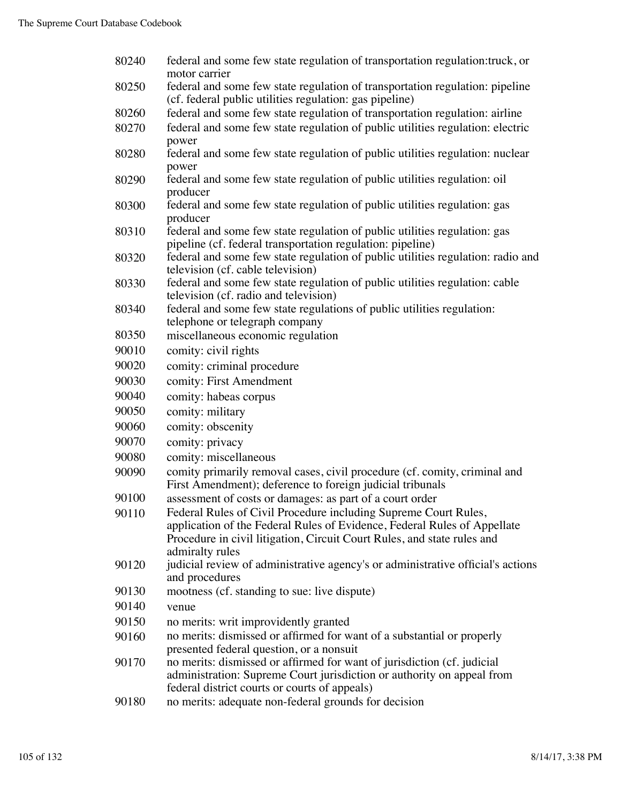| 80240 | federal and some few state regulation of transportation regulation: truck, or<br>motor carrier                                                                                                                                            |
|-------|-------------------------------------------------------------------------------------------------------------------------------------------------------------------------------------------------------------------------------------------|
| 80250 | federal and some few state regulation of transportation regulation: pipeline<br>(cf. federal public utilities regulation: gas pipeline)                                                                                                   |
| 80260 | federal and some few state regulation of transportation regulation: airline                                                                                                                                                               |
| 80270 | federal and some few state regulation of public utilities regulation: electric<br>power                                                                                                                                                   |
| 80280 | federal and some few state regulation of public utilities regulation: nuclear<br>power                                                                                                                                                    |
| 80290 | federal and some few state regulation of public utilities regulation: oil<br>producer                                                                                                                                                     |
| 80300 | federal and some few state regulation of public utilities regulation: gas<br>producer                                                                                                                                                     |
| 80310 | federal and some few state regulation of public utilities regulation: gas<br>pipeline (cf. federal transportation regulation: pipeline)                                                                                                   |
| 80320 | federal and some few state regulation of public utilities regulation: radio and<br>television (cf. cable television)                                                                                                                      |
| 80330 | federal and some few state regulation of public utilities regulation: cable<br>television (cf. radio and television)                                                                                                                      |
| 80340 | federal and some few state regulations of public utilities regulation:<br>telephone or telegraph company                                                                                                                                  |
| 80350 | miscellaneous economic regulation                                                                                                                                                                                                         |
| 90010 | comity: civil rights                                                                                                                                                                                                                      |
| 90020 | comity: criminal procedure                                                                                                                                                                                                                |
| 90030 | comity: First Amendment                                                                                                                                                                                                                   |
| 90040 | comity: habeas corpus                                                                                                                                                                                                                     |
| 90050 | comity: military                                                                                                                                                                                                                          |
| 90060 | comity: obscenity                                                                                                                                                                                                                         |
| 90070 | comity: privacy                                                                                                                                                                                                                           |
| 90080 | comity: miscellaneous                                                                                                                                                                                                                     |
| 90090 | comity primarily removal cases, civil procedure (cf. comity, criminal and<br>First Amendment); deference to foreign judicial tribunals                                                                                                    |
| 90100 | assessment of costs or damages: as part of a court order                                                                                                                                                                                  |
| 90110 | Federal Rules of Civil Procedure including Supreme Court Rules,<br>application of the Federal Rules of Evidence, Federal Rules of Appellate<br>Procedure in civil litigation, Circuit Court Rules, and state rules and<br>admiralty rules |
| 90120 | judicial review of administrative agency's or administrative official's actions<br>and procedures                                                                                                                                         |
| 90130 | mootness (cf. standing to sue: live dispute)                                                                                                                                                                                              |
| 90140 | venue                                                                                                                                                                                                                                     |
| 90150 | no merits: writ improvidently granted                                                                                                                                                                                                     |
| 90160 | no merits: dismissed or affirmed for want of a substantial or properly<br>presented federal question, or a nonsuit                                                                                                                        |
| 90170 | no merits: dismissed or affirmed for want of jurisdiction (cf. judicial<br>administration: Supreme Court jurisdiction or authority on appeal from<br>federal district courts or courts of appeals)                                        |
| 90180 | no merits: adequate non-federal grounds for decision                                                                                                                                                                                      |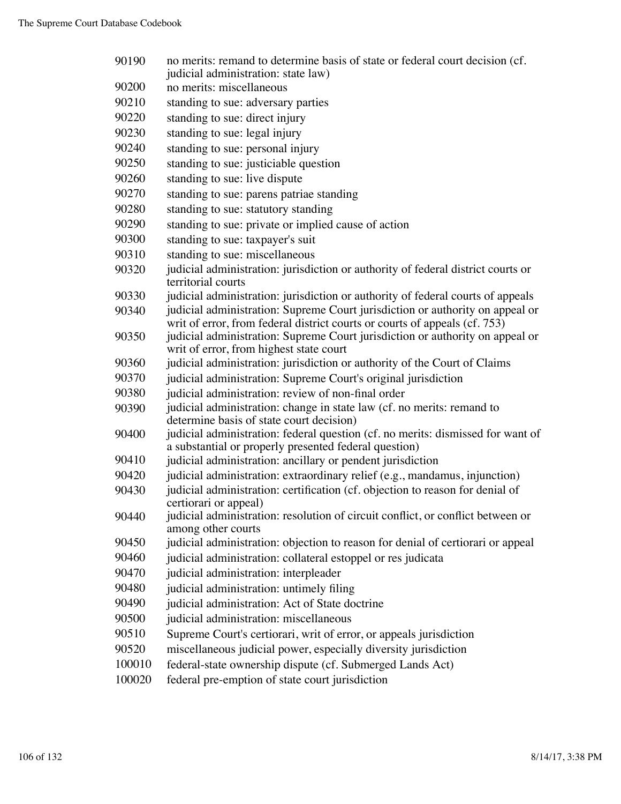| 90190  | no merits: remand to determine basis of state or federal court decision (cf.<br>judicial administration: state law)                                         |
|--------|-------------------------------------------------------------------------------------------------------------------------------------------------------------|
| 90200  | no merits: miscellaneous                                                                                                                                    |
| 90210  | standing to sue: adversary parties                                                                                                                          |
| 90220  | standing to sue: direct injury                                                                                                                              |
| 90230  | standing to sue: legal injury                                                                                                                               |
| 90240  | standing to sue: personal injury                                                                                                                            |
| 90250  | standing to sue: justiciable question                                                                                                                       |
| 90260  | standing to sue: live dispute                                                                                                                               |
| 90270  | standing to sue: parens patriae standing                                                                                                                    |
| 90280  | standing to sue: statutory standing                                                                                                                         |
| 90290  | standing to sue: private or implied cause of action                                                                                                         |
| 90300  | standing to sue: taxpayer's suit                                                                                                                            |
| 90310  | standing to sue: miscellaneous                                                                                                                              |
| 90320  | judicial administration: jurisdiction or authority of federal district courts or<br>territorial courts                                                      |
| 90330  | judicial administration: jurisdiction or authority of federal courts of appeals                                                                             |
| 90340  | judicial administration: Supreme Court jurisdiction or authority on appeal or<br>writ of error, from federal district courts or courts of appeals (cf. 753) |
| 90350  | judicial administration: Supreme Court jurisdiction or authority on appeal or<br>writ of error, from highest state court                                    |
| 90360  | judicial administration: jurisdiction or authority of the Court of Claims                                                                                   |
| 90370  | judicial administration: Supreme Court's original jurisdiction                                                                                              |
| 90380  | judicial administration: review of non-final order                                                                                                          |
| 90390  | judicial administration: change in state law (cf. no merits: remand to                                                                                      |
|        | determine basis of state court decision)                                                                                                                    |
| 90400  | judicial administration: federal question (cf. no merits: dismissed for want of<br>a substantial or properly presented federal question)                    |
| 90410  | judicial administration: ancillary or pendent jurisdiction                                                                                                  |
| 90420  | judicial administration: extraordinary relief (e.g., mandamus, injunction)                                                                                  |
| 90430  | judicial administration: certification (cf. objection to reason for denial of<br>certiorari or appeal)                                                      |
| 90440  | judicial administration: resolution of circuit conflict, or conflict between or<br>among other courts                                                       |
| 90450  | judicial administration: objection to reason for denial of certiorari or appeal                                                                             |
| 90460  | judicial administration: collateral estoppel or res judicata                                                                                                |
| 90470  | judicial administration: interpleader                                                                                                                       |
| 90480  | judicial administration: untimely filing                                                                                                                    |
| 90490  | judicial administration: Act of State doctrine                                                                                                              |
| 90500  | judicial administration: miscellaneous                                                                                                                      |
| 90510  | Supreme Court's certiorari, writ of error, or appeals jurisdiction                                                                                          |
| 90520  | miscellaneous judicial power, especially diversity jurisdiction                                                                                             |
| 100010 | federal-state ownership dispute (cf. Submerged Lands Act)                                                                                                   |
| 100020 | federal pre-emption of state court jurisdiction                                                                                                             |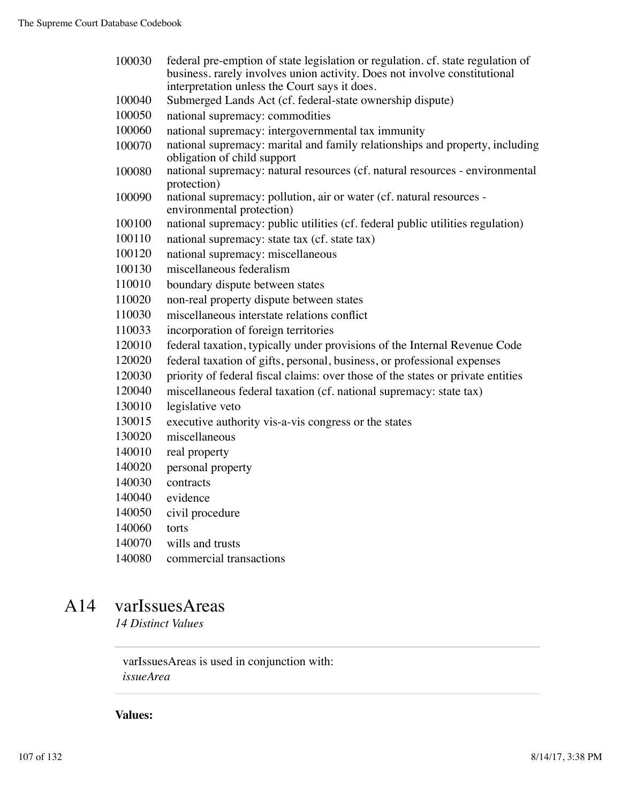- federal pre-emption of state legislation or regulation. cf. state regulation of business. rarely involves union activity. Does not involve constitutional interpretation unless the Court says it does.
- Submerged Lands Act (cf. federal-state ownership dispute)
- national supremacy: commodities
- national supremacy: intergovernmental tax immunity
- national supremacy: marital and family relationships and property, including obligation of child support
- national supremacy: natural resources (cf. natural resources environmental protection)
- national supremacy: pollution, air or water (cf. natural resources environmental protection)
- national supremacy: public utilities (cf. federal public utilities regulation)
- national supremacy: state tax (cf. state tax)
- national supremacy: miscellaneous
- miscellaneous federalism
- boundary dispute between states
- non-real property dispute between states
- miscellaneous interstate relations conflict
- incorporation of foreign territories
- federal taxation, typically under provisions of the Internal Revenue Code
- federal taxation of gifts, personal, business, or professional expenses
- priority of federal fiscal claims: over those of the states or private entities
- miscellaneous federal taxation (cf. national supremacy: state tax)
- legislative veto
- executive authority vis-a-vis congress or the states
- miscellaneous
- real property
- personal property
- contracts
- evidence
- civil procedure
- torts
- wills and trusts
- commercial transactions

### A14 varIssuesAreas

*14 Distinct Values*

varIssuesAreas is used in conjunction with: *issueArea*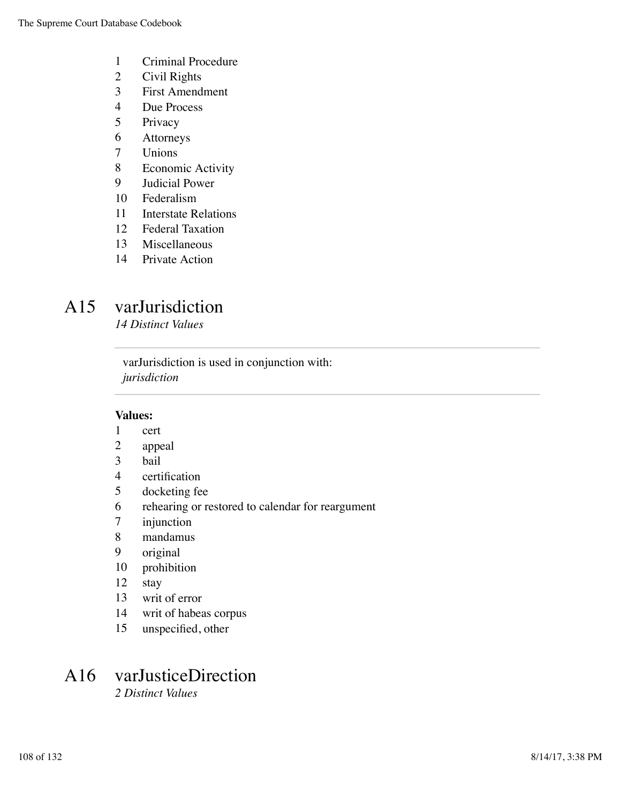- Criminal Procedure
- Civil Rights
- First Amendment
- Due Process
- Privacy
- Attorneys
- Unions
- Economic Activity
- Judicial Power
- Federalism
- Interstate Relations
- Federal Taxation
- Miscellaneous
- Private Action

### A15 varJurisdiction

*14 Distinct Values*

varJurisdiction is used in conjunction with: *jurisdiction*

#### **Values:**

- cert
- appeal
- bail
- certification
- docketing fee
- rehearing or restored to calendar for reargument
- injunction
- mandamus
- original
- prohibition
- stay
- writ of error
- writ of habeas corpus
- unspecified, other

# A16 varJusticeDirection

*2 Distinct Values*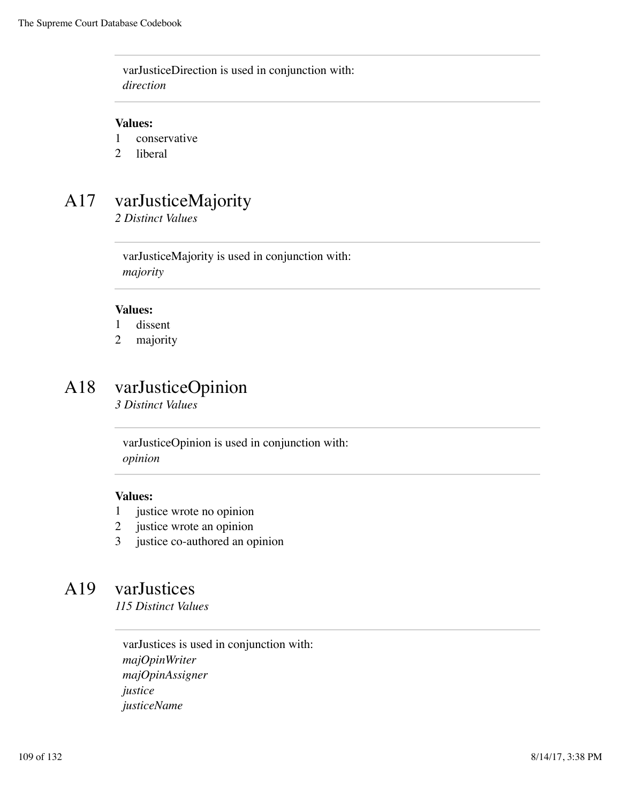varJusticeDirection is used in conjunction with: *direction*

#### **Values:**

- 1 conservative
- 2 liberal

# A17 varJusticeMajority

*2 Distinct Values*

varJusticeMajority is used in conjunction with: *majority*

#### **Values:**

- 1 dissent
- 2 majority

# A18 varJusticeOpinion

*3 Distinct Values*

varJusticeOpinion is used in conjunction with: *opinion*

#### **Values:**

- 1 justice wrote no opinion
- 2 justice wrote an opinion
- 3 justice co-authored an opinion

## A19 varJustices

*115 Distinct Values*

varJustices is used in conjunction with: *majOpinWriter majOpinAssigner justice justiceName*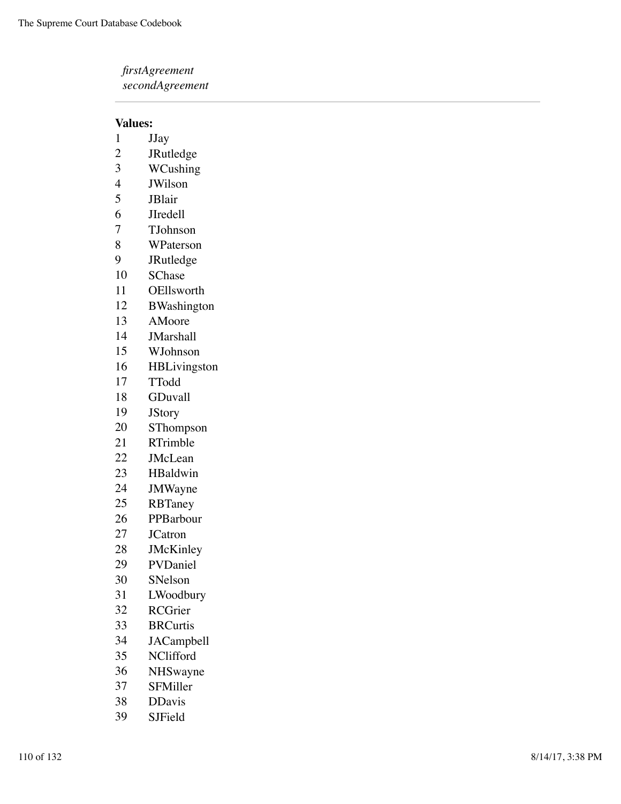*firstAgreement secondAgreement*

- JJay
- 2 JRutledge<br>3 WCushing
- **WCushing**
- JWilson
- JBlair
- JIredell
- TJohnson
- WPaterson
- JRutledge
- SChase
- OEllsworth
- BWashington
- AMoore
- JMarshall
- WJohnson
- HBLivingston
- TTodd
- GDuvall
- JStory
- SThompson
- RTrimble
- JMcLean
- HBaldwin
- JMWayne
- RBTaney
- PPBarbour
- JCatron
- JMcKinley
- PVDaniel
- SNelson
- LWoodbury
- RCGrier
- BRCurtis
- JACampbell
- NClifford
- NHSwayne
- SFMiller
- DDavis
- SJField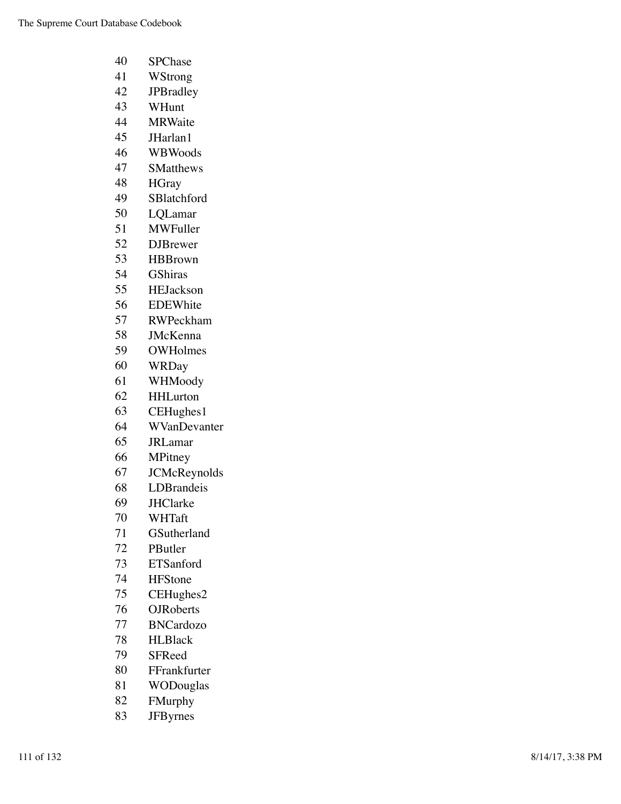| 40 | SPChase             |
|----|---------------------|
| 41 | WStrong             |
| 42 | <b>JPBradley</b>    |
| 43 | WHunt               |
| 44 | <b>MRWaite</b>      |
| 45 | JHarlan1            |
| 46 | WBWoods             |
| 47 | <b>SMatthews</b>    |
| 48 | <b>HGray</b>        |
| 49 | SBlatchford         |
| 50 | LQLamar             |
| 51 | <b>MWFuller</b>     |
| 52 | <b>DJB</b> rewer    |
| 53 | <b>HBBrown</b>      |
| 54 | <b>GShiras</b>      |
| 55 | HEJackson           |
| 56 | <b>EDEWhite</b>     |
| 57 | RWPeckham           |
| 58 | <b>JMcKenna</b>     |
| 59 | <b>OWHolmes</b>     |
| 60 | <b>WRDay</b>        |
| 61 | WHMoody             |
| 62 | <b>HHLurton</b>     |
| 63 | CEHughes1           |
| 64 | WVanDevanter        |
| 65 | <b>JRLamar</b>      |
| 66 | MPitney             |
| 67 | <b>JCMcReynolds</b> |
| 68 | LDBrandeis          |
| 69 | <b>JHClarke</b>     |
| 70 | WHTaft              |
| 71 | GSutherland         |
| 72 | PButler             |
| 73 | <b>ETSanford</b>    |
| 74 | <b>HFStone</b>      |
| 75 | CEHughes2           |
| 76 | <b>OJR</b> oberts   |
| 77 | <b>BNCardozo</b>    |
| 78 | <b>HLBlack</b>      |
| 79 | <b>SFReed</b>       |
| 80 | FFrankfurter        |
| 81 | WODouglas           |
| 82 | EMurnhv             |

 FMurphy JFByrnes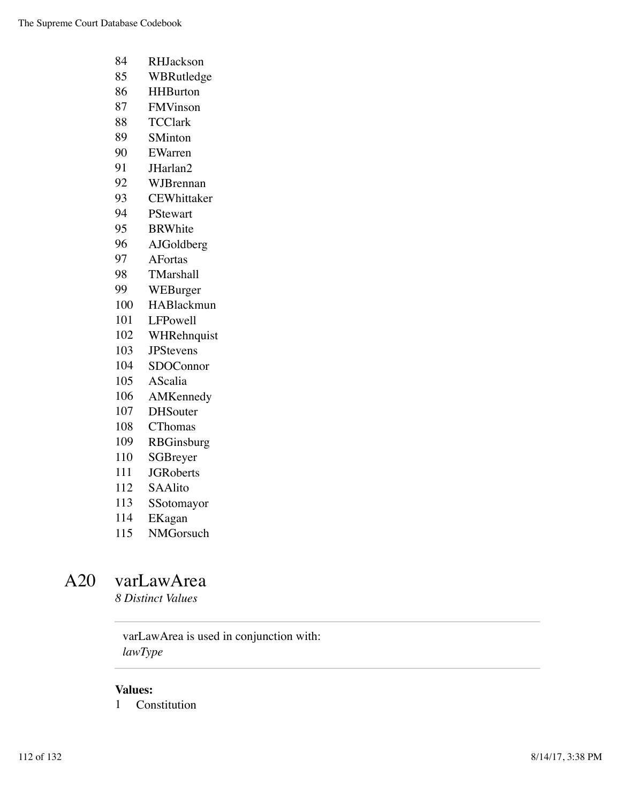- RHJackson
- WBRutledge
- HHBurton
- FMVinson
- TCClark
- SMinton
- EWarren
- JHarlan2
- WJBrennan
- CEWhittaker
- PStewart
- BRWhite
- AJGoldberg
- AFortas
- TMarshall
- WEBurger
- HABlackmun
- LFPowell
- WHRehnquist
- JPStevens
- SDOConnor
- AScalia
- AMKennedy
- DHSouter
- CThomas
- RBGinsburg
- SGBreyer
- JGRoberts
- SAAlito
- SSotomayor
- EKagan
- NMGorsuch

# A20 varLawArea

*8 Distinct Values*

varLawArea is used in conjunction with: *lawType*

### **Values:**

Constitution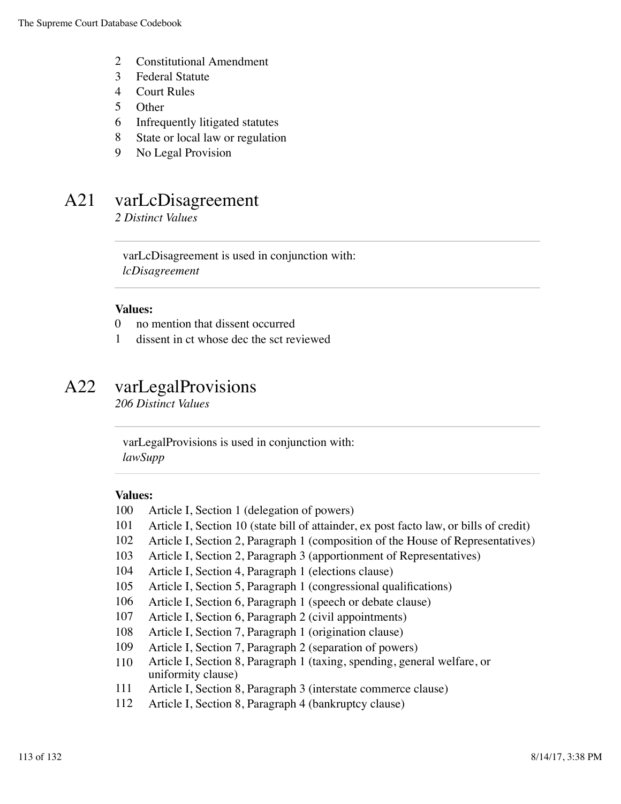- Constitutional Amendment
- Federal Statute
- Court Rules
- Other
- Infrequently litigated statutes
- State or local law or regulation
- No Legal Provision

## A21 varLcDisagreement

*2 Distinct Values*

varLcDisagreement is used in conjunction with: *lcDisagreement*

### **Values:**

- no mention that dissent occurred
- dissent in ct whose dec the sct reviewed

# A22 varLegalProvisions

*206 Distinct Values*

varLegalProvisions is used in conjunction with: *lawSupp*

- Article I, Section 1 (delegation of powers)
- Article I, Section 10 (state bill of attainder, ex post facto law, or bills of credit)
- Article I, Section 2, Paragraph 1 (composition of the House of Representatives)
- Article I, Section 2, Paragraph 3 (apportionment of Representatives)
- Article I, Section 4, Paragraph 1 (elections clause)
- Article I, Section 5, Paragraph 1 (congressional qualifications)
- Article I, Section 6, Paragraph 1 (speech or debate clause)
- Article I, Section 6, Paragraph 2 (civil appointments)
- Article I, Section 7, Paragraph 1 (origination clause)
- Article I, Section 7, Paragraph 2 (separation of powers)
- Article I, Section 8, Paragraph 1 (taxing, spending, general welfare, or uniformity clause)
- Article I, Section 8, Paragraph 3 (interstate commerce clause)
- Article I, Section 8, Paragraph 4 (bankruptcy clause)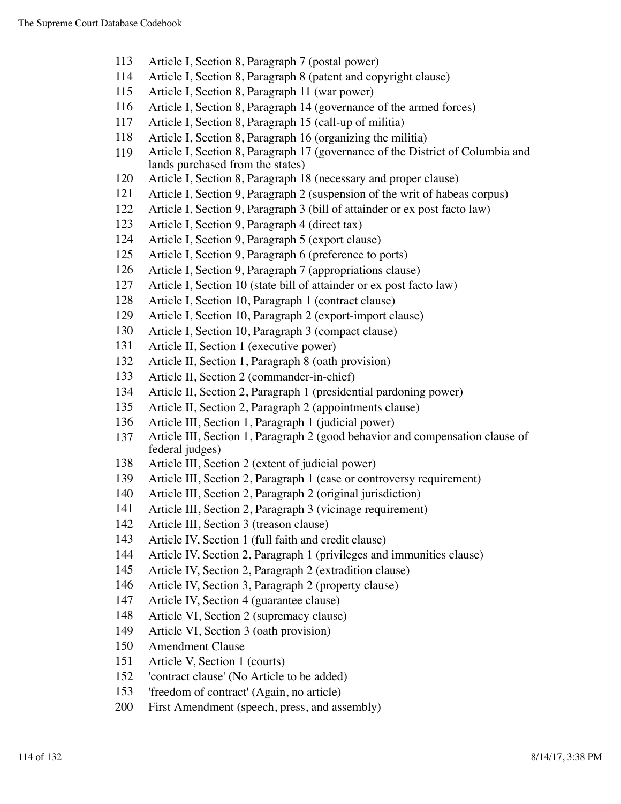- Article I, Section 8, Paragraph 7 (postal power)
- Article I, Section 8, Paragraph 8 (patent and copyright clause)
- Article I, Section 8, Paragraph 11 (war power)
- Article I, Section 8, Paragraph 14 (governance of the armed forces)
- Article I, Section 8, Paragraph 15 (call-up of militia)
- Article I, Section 8, Paragraph 16 (organizing the militia)
- Article I, Section 8, Paragraph 17 (governance of the District of Columbia and lands purchased from the states)
- Article I, Section 8, Paragraph 18 (necessary and proper clause)
- Article I, Section 9, Paragraph 2 (suspension of the writ of habeas corpus)
- Article I, Section 9, Paragraph 3 (bill of attainder or ex post facto law)
- Article I, Section 9, Paragraph 4 (direct tax)
- Article I, Section 9, Paragraph 5 (export clause)
- Article I, Section 9, Paragraph 6 (preference to ports)
- Article I, Section 9, Paragraph 7 (appropriations clause)
- Article I, Section 10 (state bill of attainder or ex post facto law)
- Article I, Section 10, Paragraph 1 (contract clause)
- Article I, Section 10, Paragraph 2 (export-import clause)
- Article I, Section 10, Paragraph 3 (compact clause)
- Article II, Section 1 (executive power)
- Article II, Section 1, Paragraph 8 (oath provision)
- Article II, Section 2 (commander-in-chief)
- Article II, Section 2, Paragraph 1 (presidential pardoning power)
- Article II, Section 2, Paragraph 2 (appointments clause)
- Article III, Section 1, Paragraph 1 (judicial power)
- Article III, Section 1, Paragraph 2 (good behavior and compensation clause of federal judges)
- Article III, Section 2 (extent of judicial power)
- Article III, Section 2, Paragraph 1 (case or controversy requirement)
- Article III, Section 2, Paragraph 2 (original jurisdiction)
- Article III, Section 2, Paragraph 3 (vicinage requirement)
- Article III, Section 3 (treason clause)
- Article IV, Section 1 (full faith and credit clause)
- Article IV, Section 2, Paragraph 1 (privileges and immunities clause)
- Article IV, Section 2, Paragraph 2 (extradition clause)
- Article IV, Section 3, Paragraph 2 (property clause)
- Article IV, Section 4 (guarantee clause)
- Article VI, Section 2 (supremacy clause)
- Article VI, Section 3 (oath provision)
- Amendment Clause
- Article V, Section 1 (courts)
- 'contract clause' (No Article to be added)
- 'freedom of contract' (Again, no article)
- First Amendment (speech, press, and assembly)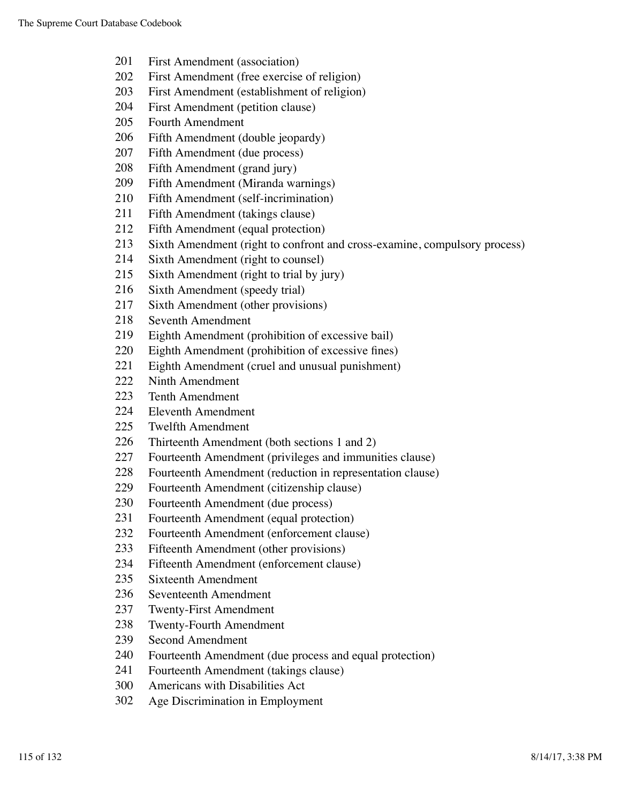- First Amendment (association)
- First Amendment (free exercise of religion)
- First Amendment (establishment of religion)
- First Amendment (petition clause)
- Fourth Amendment
- Fifth Amendment (double jeopardy)
- Fifth Amendment (due process)
- Fifth Amendment (grand jury)
- Fifth Amendment (Miranda warnings)
- Fifth Amendment (self-incrimination)
- Fifth Amendment (takings clause)
- Fifth Amendment (equal protection)
- Sixth Amendment (right to confront and cross-examine, compulsory process)
- Sixth Amendment (right to counsel)
- Sixth Amendment (right to trial by jury)
- Sixth Amendment (speedy trial)
- Sixth Amendment (other provisions)
- Seventh Amendment
- Eighth Amendment (prohibition of excessive bail)
- Eighth Amendment (prohibition of excessive fines)
- Eighth Amendment (cruel and unusual punishment)
- Ninth Amendment
- Tenth Amendment
- Eleventh Amendment
- Twelfth Amendment
- Thirteenth Amendment (both sections 1 and 2)
- Fourteenth Amendment (privileges and immunities clause)
- Fourteenth Amendment (reduction in representation clause)
- Fourteenth Amendment (citizenship clause)
- Fourteenth Amendment (due process)
- Fourteenth Amendment (equal protection)
- Fourteenth Amendment (enforcement clause)
- Fifteenth Amendment (other provisions)
- Fifteenth Amendment (enforcement clause)
- Sixteenth Amendment
- Seventeenth Amendment
- Twenty-First Amendment
- Twenty-Fourth Amendment
- Second Amendment
- Fourteenth Amendment (due process and equal protection)
- Fourteenth Amendment (takings clause)
- Americans with Disabilities Act
- Age Discrimination in Employment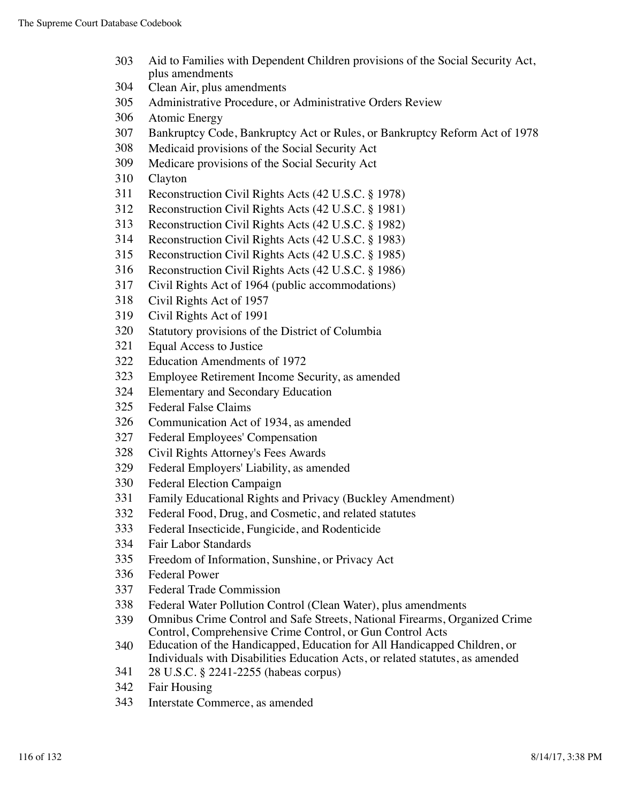- Aid to Families with Dependent Children provisions of the Social Security Act, plus amendments
- Clean Air, plus amendments
- Administrative Procedure, or Administrative Orders Review
- Atomic Energy
- Bankruptcy Code, Bankruptcy Act or Rules, or Bankruptcy Reform Act of 1978
- Medicaid provisions of the Social Security Act
- Medicare provisions of the Social Security Act
- Clayton
- Reconstruction Civil Rights Acts (42 U.S.C. § 1978)
- Reconstruction Civil Rights Acts (42 U.S.C. § 1981)
- Reconstruction Civil Rights Acts (42 U.S.C. § 1982)
- Reconstruction Civil Rights Acts (42 U.S.C. § 1983)
- Reconstruction Civil Rights Acts (42 U.S.C. § 1985)
- Reconstruction Civil Rights Acts (42 U.S.C. § 1986)
- Civil Rights Act of 1964 (public accommodations)
- Civil Rights Act of 1957
- Civil Rights Act of 1991
- Statutory provisions of the District of Columbia
- Equal Access to Justice
- Education Amendments of 1972
- Employee Retirement Income Security, as amended
- Elementary and Secondary Education
- Federal False Claims
- Communication Act of 1934, as amended
- Federal Employees' Compensation
- Civil Rights Attorney's Fees Awards
- Federal Employers' Liability, as amended
- Federal Election Campaign
- Family Educational Rights and Privacy (Buckley Amendment)
- Federal Food, Drug, and Cosmetic, and related statutes
- Federal Insecticide, Fungicide, and Rodenticide
- Fair Labor Standards
- Freedom of Information, Sunshine, or Privacy Act
- Federal Power
- Federal Trade Commission
- Federal Water Pollution Control (Clean Water), plus amendments
- Omnibus Crime Control and Safe Streets, National Firearms, Organized Crime Control, Comprehensive Crime Control, or Gun Control Acts
- Education of the Handicapped, Education for All Handicapped Children, or Individuals with Disabilities Education Acts, or related statutes, as amended
- 28 U.S.C. § 2241-2255 (habeas corpus)
- Fair Housing
- Interstate Commerce, as amended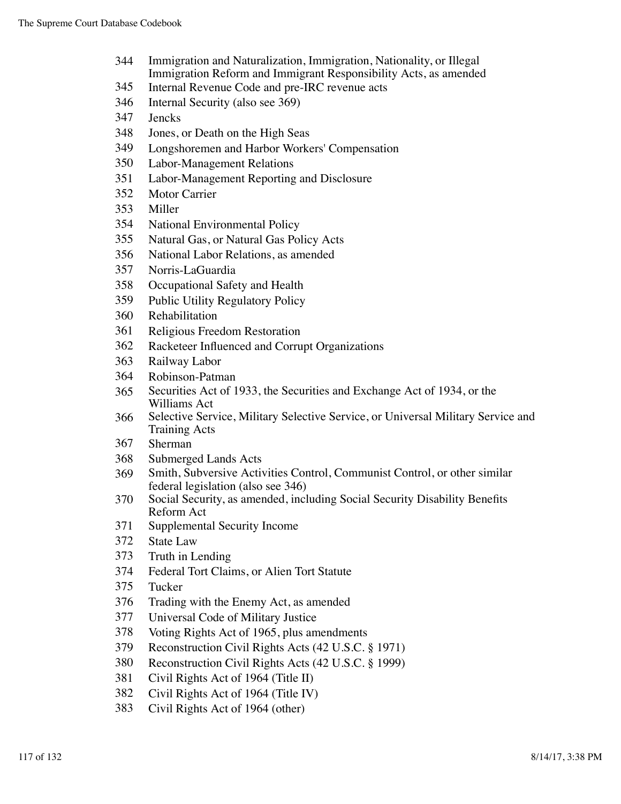- Immigration and Naturalization, Immigration, Nationality, or Illegal Immigration Reform and Immigrant Responsibility Acts, as amended
- Internal Revenue Code and pre-IRC revenue acts
- Internal Security (also see 369)
- Jencks
- Jones, or Death on the High Seas
- Longshoremen and Harbor Workers' Compensation
- Labor-Management Relations
- Labor-Management Reporting and Disclosure
- Motor Carrier
- Miller
- National Environmental Policy
- Natural Gas, or Natural Gas Policy Acts
- National Labor Relations, as amended
- Norris-LaGuardia
- Occupational Safety and Health
- Public Utility Regulatory Policy
- Rehabilitation
- Religious Freedom Restoration
- Racketeer Influenced and Corrupt Organizations
- Railway Labor
- Robinson-Patman
- Securities Act of 1933, the Securities and Exchange Act of 1934, or the Williams Act
- Selective Service, Military Selective Service, or Universal Military Service and Training Acts
- Sherman
- Submerged Lands Acts
- Smith, Subversive Activities Control, Communist Control, or other similar federal legislation (also see 346)
- Social Security, as amended, including Social Security Disability Benefits Reform Act
- Supplemental Security Income
- State Law
- Truth in Lending
- Federal Tort Claims, or Alien Tort Statute
- Tucker
- Trading with the Enemy Act, as amended
- Universal Code of Military Justice
- Voting Rights Act of 1965, plus amendments
- Reconstruction Civil Rights Acts (42 U.S.C. § 1971)
- Reconstruction Civil Rights Acts (42 U.S.C. § 1999)
- Civil Rights Act of 1964 (Title II)
- Civil Rights Act of 1964 (Title IV)
- Civil Rights Act of 1964 (other)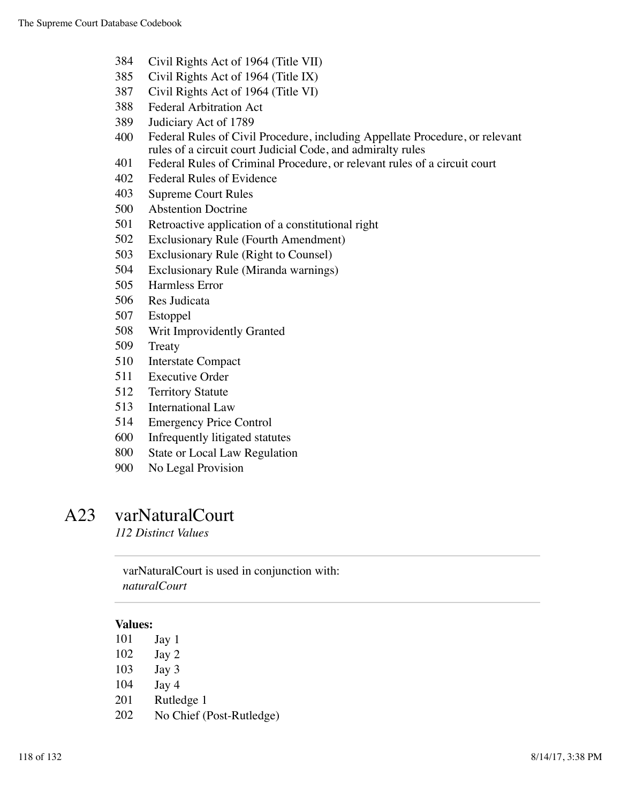- Civil Rights Act of 1964 (Title VII)
- Civil Rights Act of 1964 (Title IX)
- Civil Rights Act of 1964 (Title VI)
- Federal Arbitration Act
- Judiciary Act of 1789
- Federal Rules of Civil Procedure, including Appellate Procedure, or relevant rules of a circuit court Judicial Code, and admiralty rules
- Federal Rules of Criminal Procedure, or relevant rules of a circuit court
- Federal Rules of Evidence
- Supreme Court Rules
- Abstention Doctrine
- Retroactive application of a constitutional right
- Exclusionary Rule (Fourth Amendment)
- Exclusionary Rule (Right to Counsel)
- Exclusionary Rule (Miranda warnings)
- Harmless Error
- Res Judicata
- Estoppel
- Writ Improvidently Granted
- Treaty
- Interstate Compact
- Executive Order
- Territory Statute
- International Law
- Emergency Price Control
- Infrequently litigated statutes
- State or Local Law Regulation
- No Legal Provision

## A23 varNaturalCourt

*112 Distinct Values*

varNaturalCourt is used in conjunction with: *naturalCourt*

#### **Values:**

 Jay 1 Jay 2 Jay 3 Jay 4 Rutledge 1 No Chief (Post-Rutledge)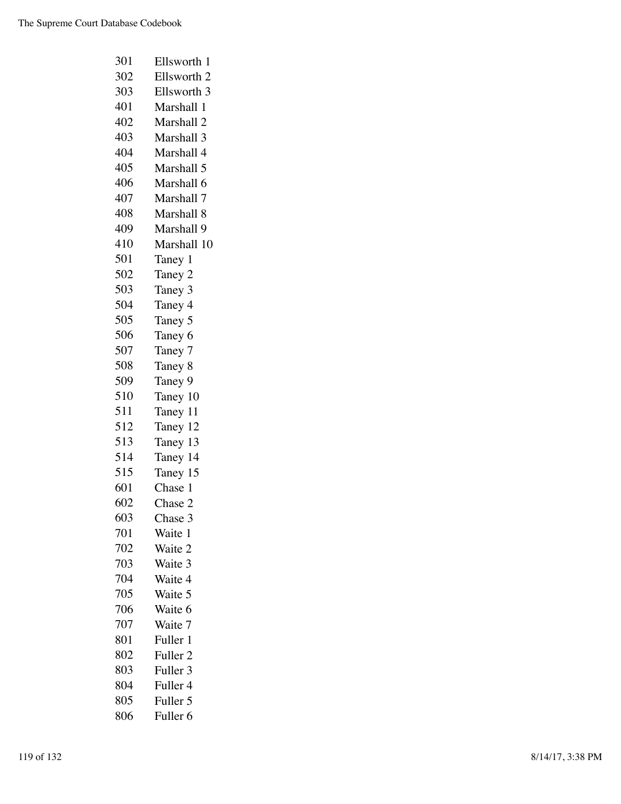| 301 | Ellsworth 1         |
|-----|---------------------|
| 302 | Ellsworth 2         |
| 303 | Ellsworth 3         |
| 401 | Marshall 1          |
| 402 | Marshall 2          |
| 403 | Marshall 3          |
| 404 | Marshall 4          |
| 405 | Marshall 5          |
| 406 | Marshall 6          |
| 407 | Marshall 7          |
| 408 | Marshall 8          |
| 409 | Marshall 9          |
| 410 | Marshall 10         |
| 501 | Taney 1             |
| 502 | Taney 2             |
| 503 | Taney 3             |
| 504 | Taney 4             |
| 505 | Taney 5             |
| 506 | Taney 6             |
| 507 | Taney 7             |
| 508 | Taney 8             |
| 509 | Taney 9             |
| 510 | Taney 10            |
| 511 | Taney 11            |
| 512 | Taney 12            |
| 513 | Taney 13            |
| 514 | Taney 14            |
| 515 | Taney 15            |
| 601 | Chase 1             |
| 602 | Chase 2             |
| 603 | Chase 3             |
| 701 | Waite 1             |
| 702 | Waite 2             |
| 703 | Waite 3             |
| 704 | Waite 4             |
| 705 | Waite 5             |
| 706 | Waite 6             |
| 707 | Waite 7             |
| 801 | Fuller 1            |
| 802 | Fuller <sub>2</sub> |
| 803 | Fuller <sub>3</sub> |
| 804 | Fuller 4            |
| 805 | Fuller 5            |
| 806 | Fuller <sub>6</sub> |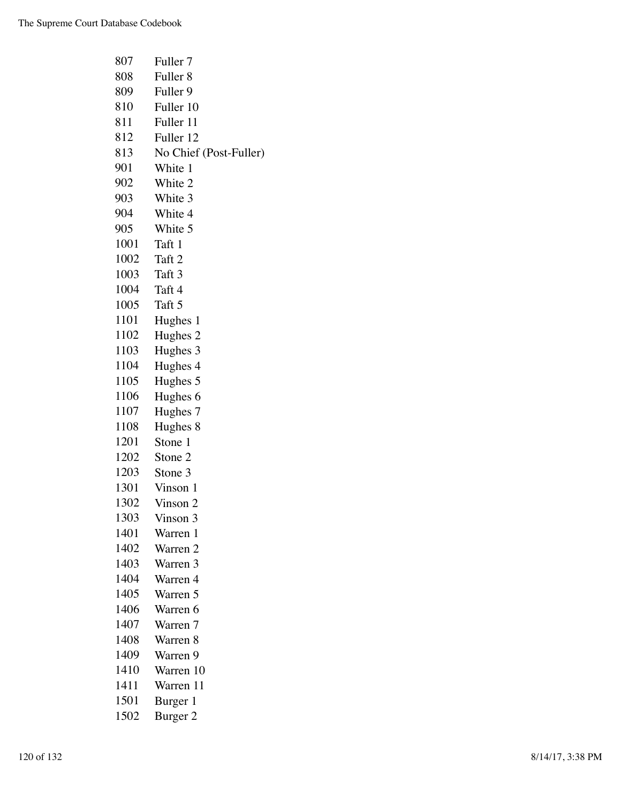| 807  | Fuller <sub>7</sub>    |
|------|------------------------|
| 808  | Fuller <sub>8</sub>    |
| 809  | Fuller 9               |
| 810  | Fuller 10              |
| 811  | Fuller 11              |
| 812  | Fuller 12              |
| 813  | No Chief (Post-Fuller) |
| 901  | White 1                |
| 902  | White 2                |
| 903  | White 3                |
| 904  | White 4                |
| 905  | White 5                |
| 1001 | Taft 1                 |
| 1002 | Taft 2                 |
| 1003 | Taft 3                 |
| 1004 | Taft 4                 |
| 1005 | Taft 5                 |
| 1101 | Hughes 1               |
| 1102 | Hughes 2               |
| 1103 | Hughes 3               |
| 1104 | Hughes 4               |
| 1105 | Hughes 5               |
| 1106 | Hughes 6               |
| 1107 | Hughes 7               |
| 1108 | Hughes 8               |
| 1201 | Stone 1                |
| 1202 | Stone 2                |
| 1203 | Stone 3                |
| 1301 | Vinson 1               |
| 1302 | Vinson 2               |
| 1303 | Vinson 3               |
| 1401 | Warren 1               |
| 1402 | Warren 2               |
| 1403 | Warren 3               |
| 1404 | Warren 4               |
| 1405 | Warren 5               |
| 1406 | Warren 6               |
| 1407 | Warren 7               |
| 1408 | Warren 8               |
| 1409 | Warren 9               |
| 1410 | Warren 10              |
| 1411 | Warren 11              |
| 1501 | Burger 1               |
| 1502 | Burger <sub>2</sub>    |
|      |                        |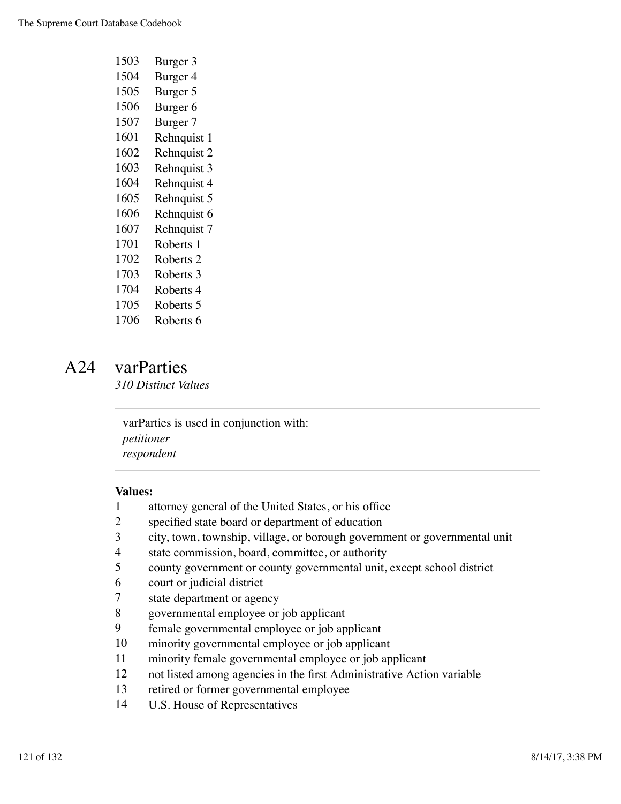| 1503 | Burger 3             |
|------|----------------------|
| 1504 | Burger 4             |
| 1505 | Burger 5             |
| 1506 | Burger <sub>6</sub>  |
| 1507 | Burger 7             |
| 1601 | Rehnquist 1          |
| 1602 | Rehnquist 2          |
| 1603 | Rehnquist 3          |
| 1604 | Rehnquist 4          |
| 1605 | Rehnquist 5          |
| 1606 | Rehnquist 6          |
| 1607 | Rehnquist 7          |
| 1701 | Roberts 1            |
| 1702 | Roberts <sub>2</sub> |
| 1703 | Roberts 3            |
| 1704 | Roberts 4            |

- Roberts 5
- Roberts 6

## A24 varParties

*310 Distinct Values*

varParties is used in conjunction with: *petitioner respondent*

- attorney general of the United States, or his office
- specified state board or department of education
- city, town, township, village, or borough government or governmental unit
- state commission, board, committee, or authority
- county government or county governmental unit, except school district
- court or judicial district
- state department or agency
- governmental employee or job applicant
- female governmental employee or job applicant
- minority governmental employee or job applicant
- minority female governmental employee or job applicant
- not listed among agencies in the first Administrative Action variable
- retired or former governmental employee
- U.S. House of Representatives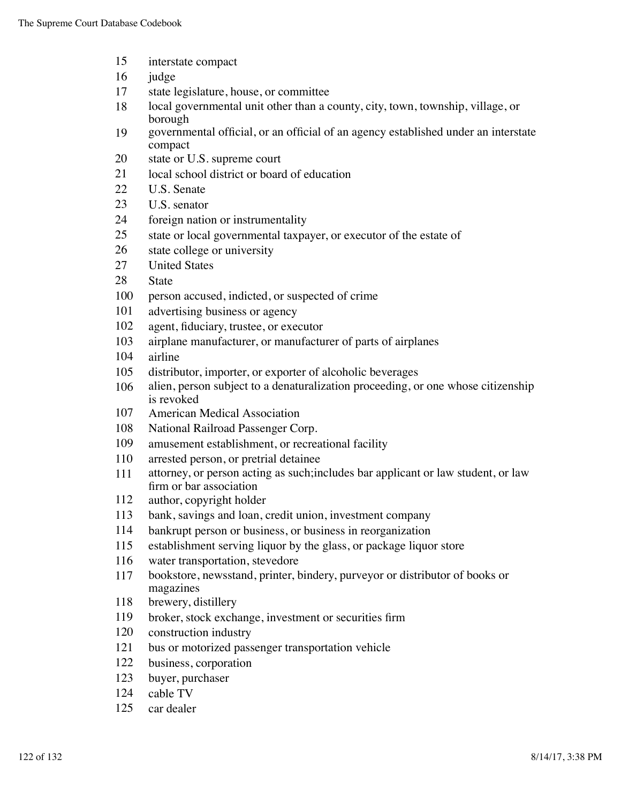- interstate compact
- judge
- state legislature, house, or committee
- local governmental unit other than a county, city, town, township, village, or borough
- governmental official, or an official of an agency established under an interstate compact
- state or U.S. supreme court
- 21 local school district or board of education
- U.S. Senate
- U.S. senator
- foreign nation or instrumentality
- state or local governmental taxpayer, or executor of the estate of
- state college or university
- United States
- State
- person accused, indicted, or suspected of crime
- advertising business or agency
- agent, fiduciary, trustee, or executor
- airplane manufacturer, or manufacturer of parts of airplanes
- airline
- distributor, importer, or exporter of alcoholic beverages
- alien, person subject to a denaturalization proceeding, or one whose citizenship is revoked
- American Medical Association
- National Railroad Passenger Corp.
- amusement establishment, or recreational facility
- arrested person, or pretrial detainee
- attorney, or person acting as such;includes bar applicant or law student, or law firm or bar association
- author, copyright holder
- bank, savings and loan, credit union, investment company
- bankrupt person or business, or business in reorganization
- establishment serving liquor by the glass, or package liquor store
- water transportation, stevedore
- bookstore, newsstand, printer, bindery, purveyor or distributor of books or magazines
- brewery, distillery
- broker, stock exchange, investment or securities firm
- construction industry
- bus or motorized passenger transportation vehicle
- business, corporation
- buyer, purchaser
- cable TV
- car dealer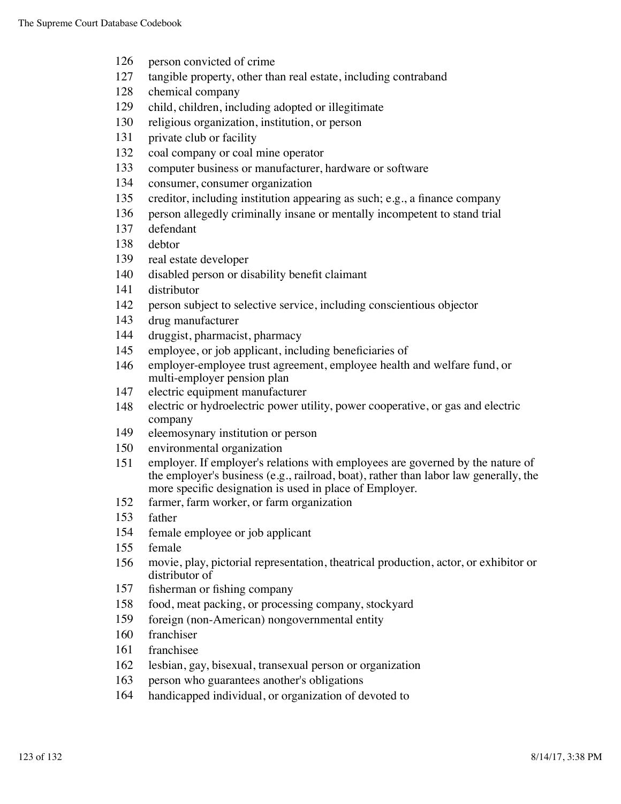- person convicted of crime
- tangible property, other than real estate, including contraband
- chemical company
- child, children, including adopted or illegitimate
- religious organization, institution, or person
- private club or facility
- coal company or coal mine operator
- computer business or manufacturer, hardware or software
- consumer, consumer organization
- creditor, including institution appearing as such; e.g., a finance company
- person allegedly criminally insane or mentally incompetent to stand trial
- defendant
- debtor
- real estate developer
- disabled person or disability benefit claimant
- distributor
- person subject to selective service, including conscientious objector
- drug manufacturer
- druggist, pharmacist, pharmacy
- employee, or job applicant, including beneficiaries of
- employer-employee trust agreement, employee health and welfare fund, or multi-employer pension plan
- electric equipment manufacturer
- electric or hydroelectric power utility, power cooperative, or gas and electric company
- eleemosynary institution or person
- environmental organization
- employer. If employer's relations with employees are governed by the nature of the employer's business (e.g., railroad, boat), rather than labor law generally, the more specific designation is used in place of Employer.
- farmer, farm worker, or farm organization
- father
- female employee or job applicant
- female
- movie, play, pictorial representation, theatrical production, actor, or exhibitor or distributor of
- fisherman or fishing company
- food, meat packing, or processing company, stockyard
- foreign (non-American) nongovernmental entity
- franchiser
- franchisee
- lesbian, gay, bisexual, transexual person or organization
- person who guarantees another's obligations
- handicapped individual, or organization of devoted to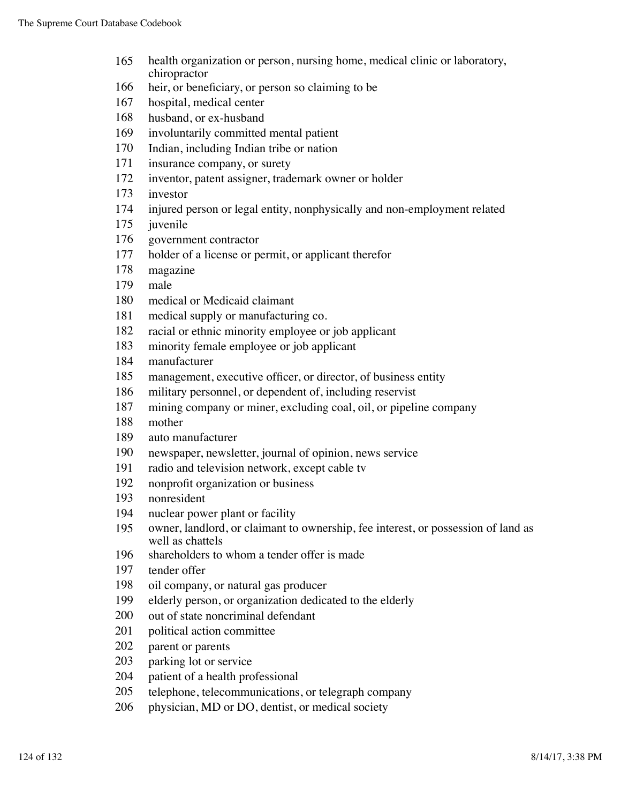| 165 | health organization or person, nursing home, medical clinic or laboratory,<br>chiropractor            |
|-----|-------------------------------------------------------------------------------------------------------|
| 166 | heir, or beneficiary, or person so claiming to be                                                     |
| 167 | hospital, medical center                                                                              |
| 168 | husband, or ex-husband                                                                                |
| 169 | involuntarily committed mental patient                                                                |
| 170 | Indian, including Indian tribe or nation                                                              |
| 171 | insurance company, or surety                                                                          |
| 172 | inventor, patent assigner, trademark owner or holder                                                  |
| 173 | investor                                                                                              |
| 174 | injured person or legal entity, nonphysically and non-employment related                              |
| 175 | juvenile                                                                                              |
| 176 | government contractor                                                                                 |
| 177 | holder of a license or permit, or applicant therefor                                                  |
| 178 | magazine                                                                                              |
| 179 | male                                                                                                  |
| 180 | medical or Medicaid claimant                                                                          |
| 181 | medical supply or manufacturing co.                                                                   |
| 182 | racial or ethnic minority employee or job applicant                                                   |
| 183 | minority female employee or job applicant                                                             |
| 184 | manufacturer                                                                                          |
| 185 | management, executive officer, or director, of business entity                                        |
| 186 | military personnel, or dependent of, including reservist                                              |
| 187 | mining company or miner, excluding coal, oil, or pipeline company                                     |
| 188 | mother                                                                                                |
| 189 | auto manufacturer                                                                                     |
| 190 | newspaper, newsletter, journal of opinion, news service                                               |
| 191 | radio and television network, except cable tv                                                         |
| 192 | nonprofit organization or business                                                                    |
| 193 | nonresident                                                                                           |
| 194 | nuclear power plant or facility                                                                       |
| 195 | owner, landlord, or claimant to ownership, fee interest, or possession of land as<br>well as chattels |
| 196 | shareholders to whom a tender offer is made                                                           |
| 197 | tender offer                                                                                          |
| 198 | oil company, or natural gas producer                                                                  |
| 199 | elderly person, or organization dedicated to the elderly                                              |
| 200 | out of state noncriminal defendant                                                                    |
| 201 | political action committee                                                                            |
| 202 | parent or parents                                                                                     |
| 203 | parking lot or service                                                                                |
| 204 | patient of a health professional                                                                      |
| 205 | telephone, telecommunications, or telegraph company                                                   |
| 206 | physician, MD or DO, dentist, or medical society                                                      |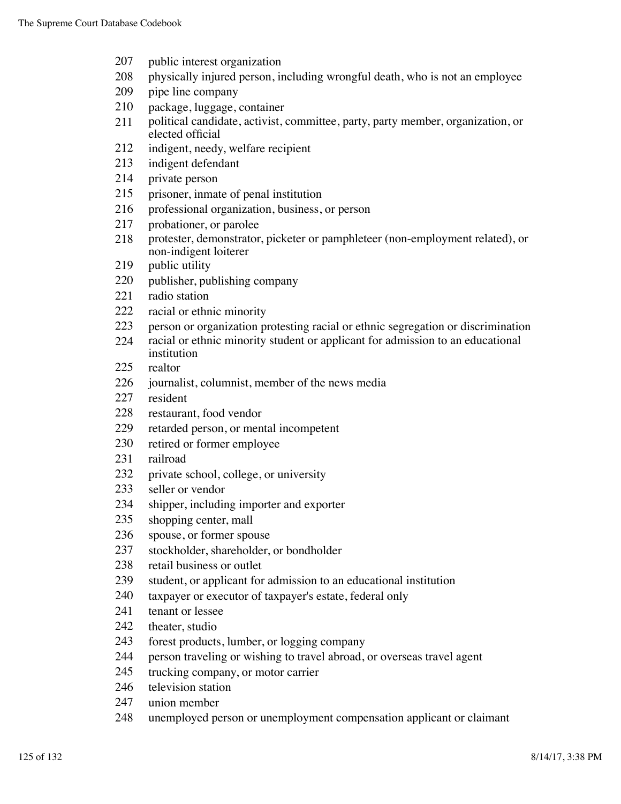- public interest organization
- physically injured person, including wrongful death, who is not an employee
- pipe line company
- package, luggage, container
- political candidate, activist, committee, party, party member, organization, or elected official
- indigent, needy, welfare recipient
- indigent defendant
- private person
- prisoner, inmate of penal institution
- professional organization, business, or person
- probationer, or parolee
- protester, demonstrator, picketer or pamphleteer (non-employment related), or non-indigent loiterer
- 219 public utility
- publisher, publishing company
- radio station
- racial or ethnic minority
- person or organization protesting racial or ethnic segregation or discrimination
- racial or ethnic minority student or applicant for admission to an educational institution
- realtor
- journalist, columnist, member of the news media
- resident
- restaurant, food vendor
- retarded person, or mental incompetent
- retired or former employee
- railroad
- private school, college, or university
- seller or vendor
- shipper, including importer and exporter
- shopping center, mall
- spouse, or former spouse
- stockholder, shareholder, or bondholder
- retail business or outlet
- student, or applicant for admission to an educational institution
- taxpayer or executor of taxpayer's estate, federal only
- tenant or lessee
- theater, studio
- forest products, lumber, or logging company
- person traveling or wishing to travel abroad, or overseas travel agent
- trucking company, or motor carrier
- 246 television station
- union member
- unemployed person or unemployment compensation applicant or claimant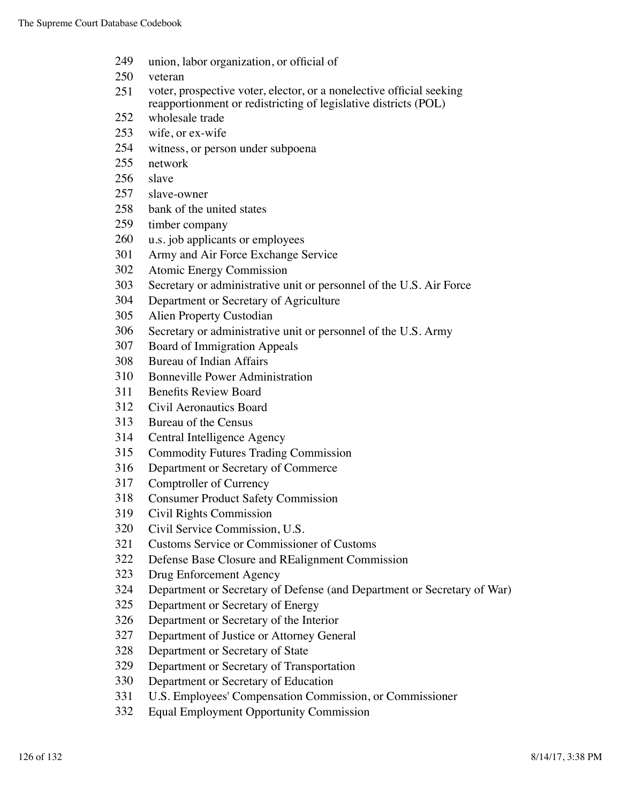- union, labor organization, or official of
- veteran
- voter, prospective voter, elector, or a nonelective official seeking reapportionment or redistricting of legislative districts (POL)
- wholesale trade
- wife, or ex-wife
- witness, or person under subpoena
- network
- slave
- slave-owner
- bank of the united states
- timber company
- u.s. job applicants or employees
- Army and Air Force Exchange Service
- Atomic Energy Commission
- Secretary or administrative unit or personnel of the U.S. Air Force
- Department or Secretary of Agriculture
- Alien Property Custodian
- Secretary or administrative unit or personnel of the U.S. Army
- Board of Immigration Appeals
- Bureau of Indian Affairs
- Bonneville Power Administration
- Benefits Review Board
- Civil Aeronautics Board
- Bureau of the Census
- Central Intelligence Agency
- Commodity Futures Trading Commission
- Department or Secretary of Commerce
- Comptroller of Currency
- Consumer Product Safety Commission
- Civil Rights Commission
- Civil Service Commission, U.S.
- Customs Service or Commissioner of Customs
- Defense Base Closure and REalignment Commission
- Drug Enforcement Agency
- Department or Secretary of Defense (and Department or Secretary of War)
- Department or Secretary of Energy
- Department or Secretary of the Interior
- Department of Justice or Attorney General
- Department or Secretary of State
- Department or Secretary of Transportation
- Department or Secretary of Education
- U.S. Employees' Compensation Commission, or Commissioner
- Equal Employment Opportunity Commission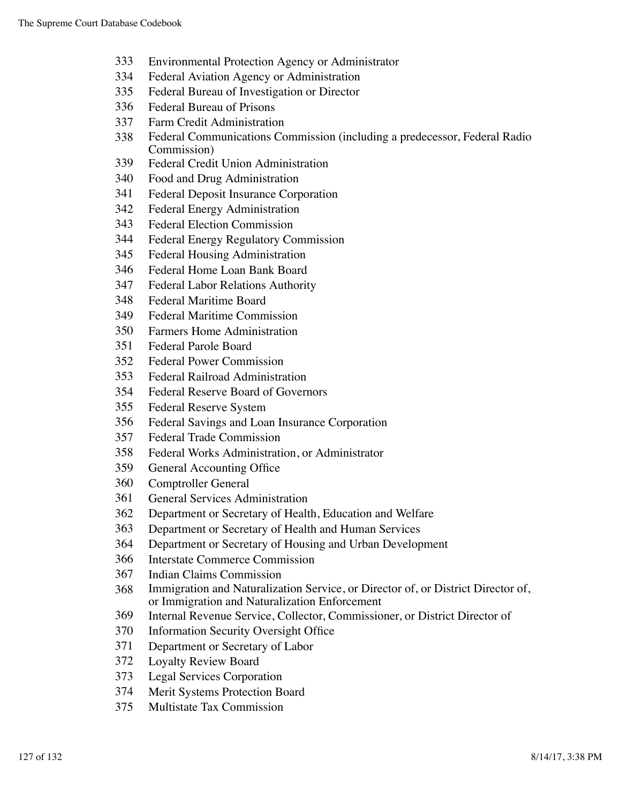- Environmental Protection Agency or Administrator
- Federal Aviation Agency or Administration
- Federal Bureau of Investigation or Director
- Federal Bureau of Prisons
- Farm Credit Administration
- Federal Communications Commission (including a predecessor, Federal Radio Commission)
- Federal Credit Union Administration
- Food and Drug Administration
- Federal Deposit Insurance Corporation
- Federal Energy Administration
- Federal Election Commission
- Federal Energy Regulatory Commission
- Federal Housing Administration
- Federal Home Loan Bank Board
- Federal Labor Relations Authority
- Federal Maritime Board
- Federal Maritime Commission
- Farmers Home Administration
- Federal Parole Board
- Federal Power Commission
- Federal Railroad Administration
- Federal Reserve Board of Governors
- Federal Reserve System
- Federal Savings and Loan Insurance Corporation
- Federal Trade Commission
- Federal Works Administration, or Administrator
- General Accounting Office
- Comptroller General
- General Services Administration
- Department or Secretary of Health, Education and Welfare
- Department or Secretary of Health and Human Services
- Department or Secretary of Housing and Urban Development
- Interstate Commerce Commission
- Indian Claims Commission
- Immigration and Naturalization Service, or Director of, or District Director of, or Immigration and Naturalization Enforcement
- Internal Revenue Service, Collector, Commissioner, or District Director of
- Information Security Oversight Office
- Department or Secretary of Labor
- Loyalty Review Board
- Legal Services Corporation
- Merit Systems Protection Board
- Multistate Tax Commission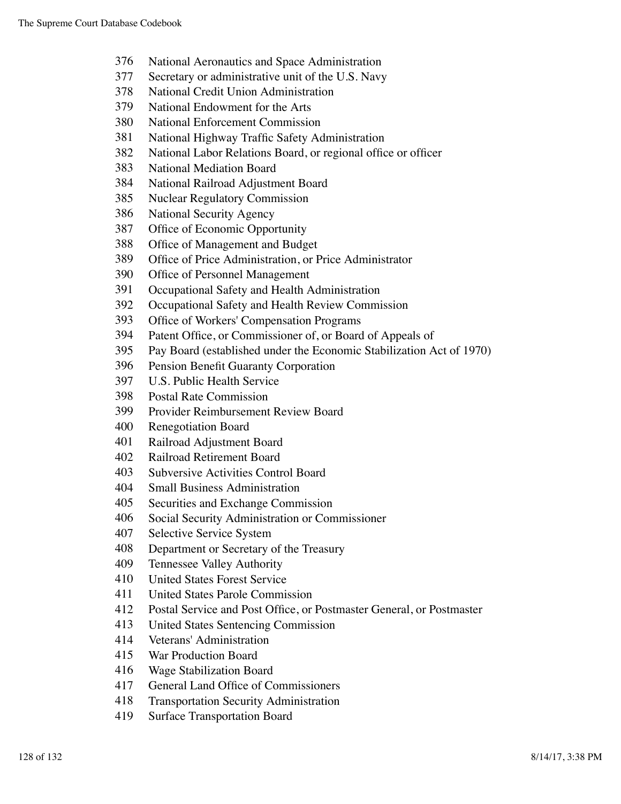- National Aeronautics and Space Administration
- Secretary or administrative unit of the U.S. Navy
- National Credit Union Administration
- National Endowment for the Arts
- National Enforcement Commission
- National Highway Traffic Safety Administration
- National Labor Relations Board, or regional office or officer
- National Mediation Board
- National Railroad Adjustment Board
- Nuclear Regulatory Commission
- National Security Agency
- Office of Economic Opportunity
- Office of Management and Budget
- Office of Price Administration, or Price Administrator
- Office of Personnel Management
- Occupational Safety and Health Administration
- Occupational Safety and Health Review Commission
- Office of Workers' Compensation Programs
- Patent Office, or Commissioner of, or Board of Appeals of
- Pay Board (established under the Economic Stabilization Act of 1970)
- Pension Benefit Guaranty Corporation
- U.S. Public Health Service
- Postal Rate Commission
- Provider Reimbursement Review Board
- Renegotiation Board
- Railroad Adjustment Board
- Railroad Retirement Board
- Subversive Activities Control Board
- Small Business Administration
- Securities and Exchange Commission
- Social Security Administration or Commissioner
- Selective Service System
- Department or Secretary of the Treasury
- Tennessee Valley Authority
- United States Forest Service
- United States Parole Commission
- Postal Service and Post Office, or Postmaster General, or Postmaster
- United States Sentencing Commission
- Veterans' Administration
- War Production Board
- Wage Stabilization Board
- General Land Office of Commissioners
- Transportation Security Administration
- Surface Transportation Board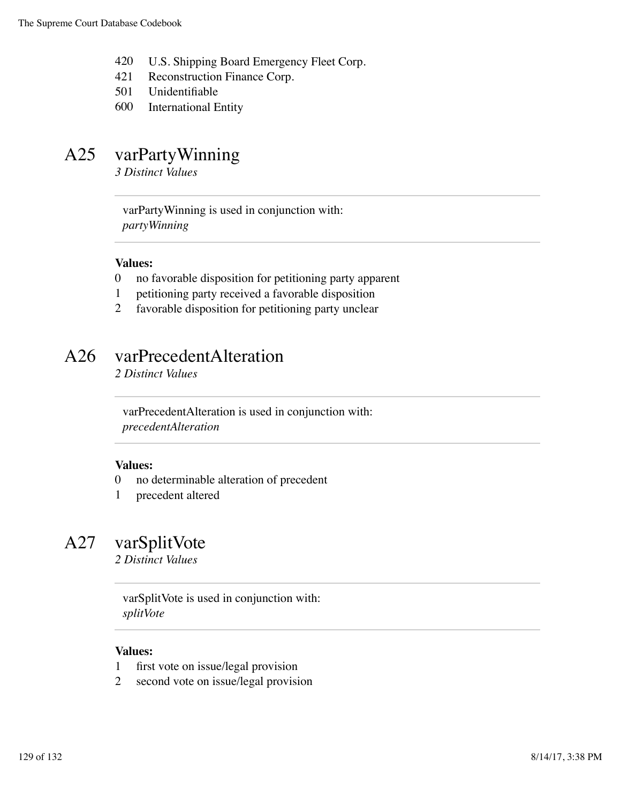- 420 U.S. Shipping Board Emergency Fleet Corp.
- 421 Reconstruction Finance Corp.
- 501 Unidentifiable
- 600 International Entity

## A25 varPartyWinning

*3 Distinct Values*

varPartyWinning is used in conjunction with: *partyWinning*

### **Values:**

- 0 no favorable disposition for petitioning party apparent
- 1 petitioning party received a favorable disposition
- 2 favorable disposition for petitioning party unclear

# A26 varPrecedentAlteration

*2 Distinct Values*

varPrecedentAlteration is used in conjunction with: *precedentAlteration*

### **Values:**

- 0 no determinable alteration of precedent
- 1 precedent altered

# A27 varSplitVote

*2 Distinct Values*

varSplitVote is used in conjunction with: *splitVote*

- 1 first vote on issue/legal provision
- 2 second vote on issue/legal provision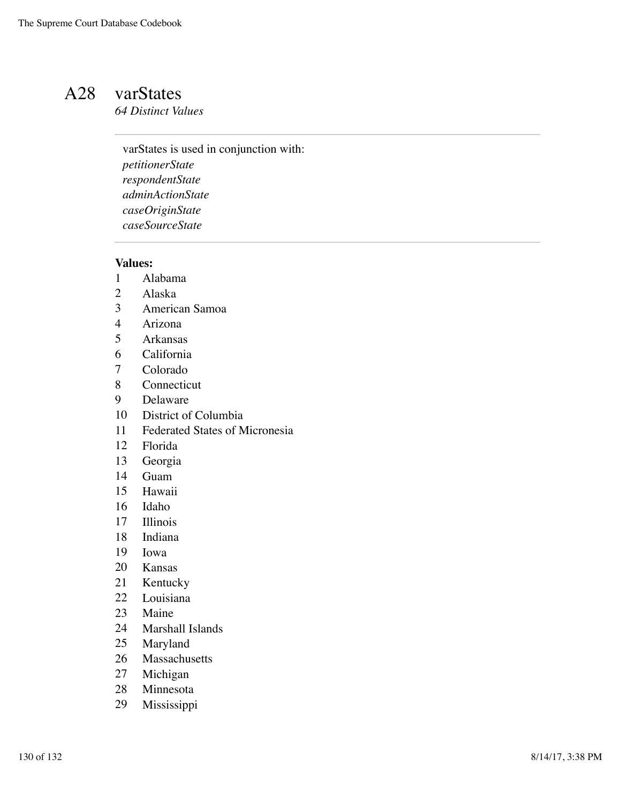## A28 varStates

*64 Distinct Values*

varStates is used in conjunction with: *petitionerState respondentState adminActionState caseOriginState caseSourceState*

- Alabama
- Alaska
- American Samoa
- Arizona
- Arkansas
- California
- Colorado
- Connecticut
- Delaware
- District of Columbia
- Federated States of Micronesia
- Florida
- Georgia
- Guam
- Hawaii
- Idaho
- Illinois
- Indiana
- Iowa
- Kansas
- Kentucky
- Louisiana
- Maine
- Marshall Islands
- Maryland
- Massachusetts
- Michigan
- Minnesota
- Mississippi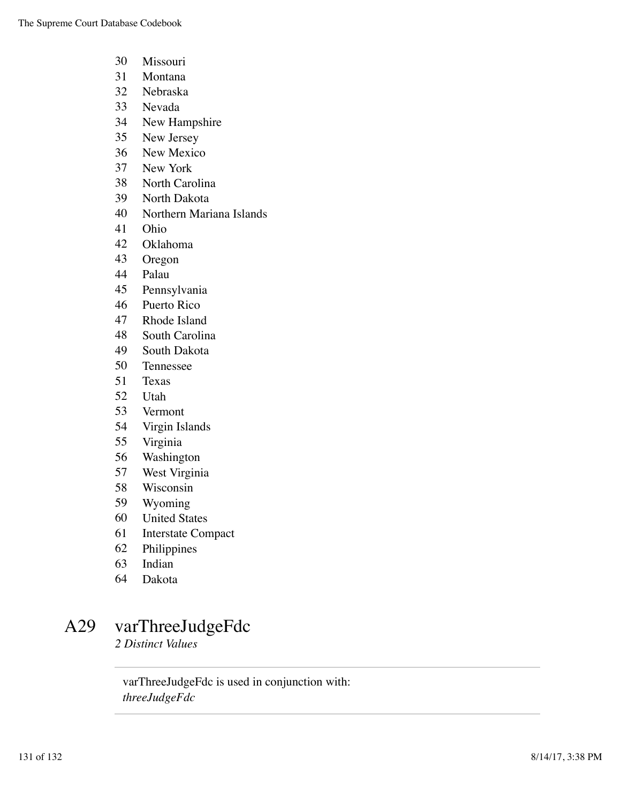- Missouri
- Montana
- Nebraska
- Nevada
- New Hampshire
- New Jersey
- New Mexico
- New York
- North Carolina
- North Dakota
- Northern Mariana Islands
- Ohio
- Oklahoma
- Oregon
- Palau
- Pennsylvania
- Puerto Rico
- Rhode Island
- South Carolina
- South Dakota
- Tennessee
- Texas
- Utah
- Vermont
- Virgin Islands
- Virginia
- Washington
- West Virginia
- Wisconsin
- Wyoming
- United States
- Interstate Compact
- Philippines
- Indian
- Dakota

## A29 varThreeJudgeFdc

*2 Distinct Values*

varThreeJudgeFdc is used in conjunction with: *threeJudgeFdc*